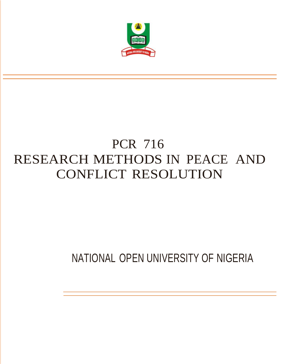

# PCR 716 RESEARCH METHODS IN PEACE AND CONFLICT RESOLUTION

# NATIONAL OPEN UNIVERSITY OF NIGERIA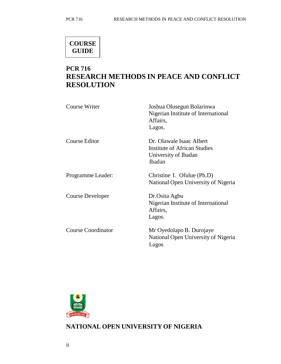# **COURSE GUIDE**

# **PCR 716 RESEARCH METHODS IN PEACE AND CONFLICT RESOLUTION**

| Course Writer             | Joshua Olusegun Bolarinwa<br>Nigerian Institute of International<br>Affairs,<br>Lagos.            |
|---------------------------|---------------------------------------------------------------------------------------------------|
| Course Editor             | Dr. Olawale Isaac Albert<br><b>Institute of African Studies</b><br>University of Ibadan<br>Ibadan |
| Programme Leader:         | Christine I. Ofulue (Ph.D)<br>National Open University of Nigeria                                 |
| Course Developer          | Dr. Osita Agbu<br>Nigerian Institute of International<br>Affairs,<br>Lagos.                       |
| <b>Course Coordinator</b> | Mr Oyedolapo B. Durojaye<br>National Open University of Nigeria<br>Lagos                          |



**NATIONAL OPEN UNIVERSITY OF NIGERIA**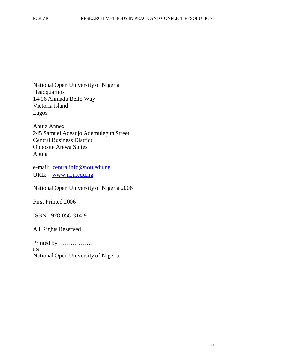National Open University of Nigeria Headquarters 14/16 Ahmadu Bello Way Victoria Island Lagos

Abuja Annex 245 Samuel Adesujo Ademulegun Street Central Business District Opposite Arewa Suites Abuja

e-mail: [centralinfo@nou.edu.ng](mailto:centralinfo@nou.edu.ng) URL: [www.nou.edu.ng](http://www.nou.edu.ng/)

National Open University of Nigeria 2006

First Printed 2006

ISBN: 978-058-314-9

All Rights Reserved

Printed by …………….. For National Open University of Nigeria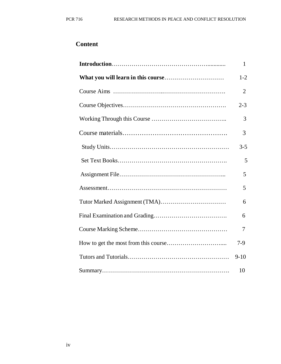## **Content**

| $\mathbf{1}$   |
|----------------|
| $1 - 2$        |
| $\overline{2}$ |
| $2 - 3$        |
| 3              |
| 3              |
| $3 - 5$        |
| 5              |
| 5              |
| 5              |
| 6              |
| 6              |
| 7              |
| $7-9$          |
| $9-10$         |
| 10             |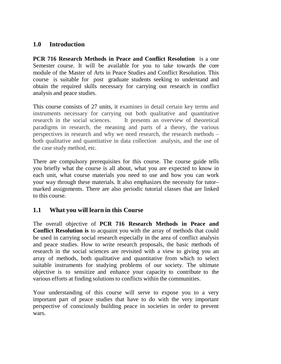#### **1.0 Introduction**

**PCR 716 Research Methods in Peace and Conflict Resolution** is a one Semester course. It will be available for you to take towards the core module of the Master of Arts in Peace Studies and Conflict Resolution. This course is suitable for post graduate students seeking to understand and obtain the required skills necessary for carrying out research in conflict analysis and peace studies.

This course consists of 27 units, it examines in detail certain key terms and instruments necessary for carrying out both qualitative and quantitative research in the social sciences. It presents an overview of theoretical paradigms in research, the meaning and parts of a theory, the various perspectives in research and why we need research, the research methods – both qualitative and quantitative in data collection analysis, and the use of the case study method, etc.

There are compulsory prerequisites for this course. The course guide tells you briefly what the course is all about, what you are expected to know in each unit, what course materials you need to use and how you can work your way through these materials. It also emphasizes the necessity for tutor– marked assignments. There are also periodic tutorial classes that are linked to this course.

#### **1.1 What you will learn in this Course**

The overall objective of **PCR 716 Research Methods in Peace and Conflict Resolution is** to acquaint you with the array of methods that could be used in carrying social research especially in the area of conflict analysis and peace studies. How to write research proposals, the basic methods of research in the social sciences are revisited with a view to giving you an array of methods, both qualitative and quantitative from which to select suitable instruments for studying problems of our society. The ultimate objective is to sensitize and enhance your capacity to contribute to the various efforts at finding solutions to conflicts within the communities.

Your understanding of this course will serve to expose you to a very important part of peace studies that have to do with the very important perspective of consciously building peace in societies in order to prevent wars.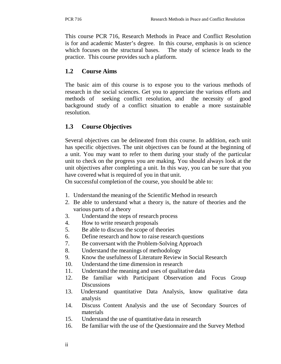This course PCR 716, Research Methods in Peace and Conflict Resolution is for and academic Master's degree. In this course, emphasis is on science which focuses on the structural bases. The study of science leads to the practice. This course provides such a platform.

# **1.2 Course Aims**

The basic aim of this course is to expose you to the various methods of research in the social sciences. Get you to appreciate the various efforts and methods of seeking conflict resolution, and the necessity of good background study of a conflict situation to enable a more sustainable resolution.

## **1.3 Course Objectives**

Several objectives can be delineated from this course. In addition, each unit has specific objectives. The unit objectives can be found at the beginning of a unit. You may want to refer to them during your study of the particular unit to check on the progress you are making. You should always look at the unit objectives after completing a unit. In this way, you can be sure that you have covered what is required of you in that unit.

On successful completion of the course, you should be able to:

- 1. Understand the meaning of the Scientific Method in research
- 2. Be able to understand what a theory is, the nature of theories and the various parts of a theory
- 3. Understand the steps of research process
- 4. How to write research proposals
- 5. Be able to discuss the scope of theories
- 6. Define research and how to raise research questions
- 7. Be conversant with the Problem-Solving Approach
- 8. Understand the meanings of methodology
- 9. Know the usefulness of Literature Review in Social Research
- 10. Understand the time dimension in research
- 11. Understand the meaning and uses of qualitative data
- 12. Be familiar with Participant Observation and Focus Group Discussions
- 13. Understand quantitative Data Analysis, know qualitative data analysis
- 14. Discuss Content Analysis and the use of Secondary Sources of materials
- 15. Understand the use of quantitative data in research
- 16. Be familiar with the use of the Questionnaire and the Survey Method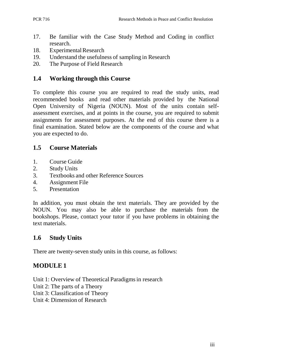- 17. Be familiar with the Case Study Method and Coding in conflict research.
- 18. Experimental Research
- 19. Understand the usefulness of sampling in Research
- 20. The Purpose of Field Research

#### **1.4 Working through this Course**

To complete this course you are required to read the study units, read recommended books and read other materials provided by the National Open University of Nigeria (NOUN). Most of the units contain selfassessment exercises, and at points in the course, you are required to submit assignments for assessment purposes. At the end of this course there is a final examination. Stated below are the components of the course and what you are expected to do.

### **1.5 Course Materials**

- 1. Course Guide
- 2. Study Units
- 3. Textbooks and other Reference Sources
- 4. Assignment File
- 5. Presentation

In addition, you must obtain the text materials. They are provided by the NOUN. You may also be able to purchase the materials from the bookshops. Please, contact your tutor if you have problems in obtaining the text materials.

### **1.6 Study Units**

There are twenty-seven study units in this course, as follows:

# **MODULE 1**

Unit 1: Overview of Theoretical Paradigms in research

- Unit 2: The parts of a Theory
- Unit 3: Classification of Theory
- Unit 4: Dimension of Research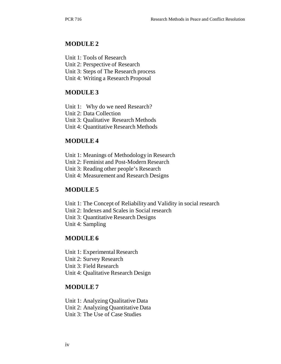### **MODULE 2**

Unit 1: Tools of Research

Unit 2: Perspective of Research

- Unit 3: Steps of The Research process
- Unit 4: Writing a Research Proposal

#### **MODULE 3**

- Unit 1: Why do we need Research?
- Unit 2: Data Collection
- Unit 3: Qualitative Research Methods
- Unit 4: Quantitative Research Methods

## **MODULE 4**

- Unit 1: Meanings of Methodology in Research
- Unit 2: Feminist and Post-Modern Research
- Unit 3: Reading other people's Research
- Unit 4: Measurement and Research Designs

#### **MODULE 5**

- Unit 1: The Concept of Reliability and Validity in social research
- Unit 2: Indexes and Scales in Social research
- Unit 3: Quantitative Research Designs
- Unit 4: Sampling

### **MODULE 6**

- Unit 1: Experimental Research
- Unit 2: Survey Research
- Unit 3: Field Research
- Unit 4: Qualitative Research Design

### **MODULE 7**

- Unit 1: Analyzing Qualitative Data
- Unit 2: Analyzing Quantitative Data
- Unit 3: The Use of Case Studies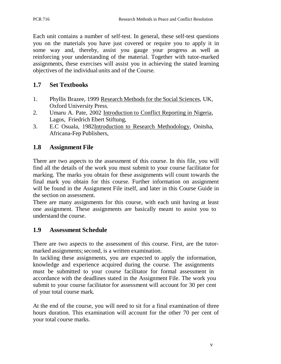Each unit contains a number of self-test. In general, these self-test questions you on the materials you have just covered or require you to apply it in some way and, thereby, assist you gauge your progress as well as reinforcing your understanding of the material. Together with tutor-marked assignments, these exercises will assist you in achieving the stated learning objectives of the individual units and of the Course.

#### **1.7 Set Textbooks**

- 1. Phyllis Brazee, 1999 Research Methods for the Social Sciences, UK, Oxford University Press.
- 2. Umaru A. Pate, 2002 Introduction to Conflict Reporting in Nigeria, Lagos, Friedrich Ebert Stiftung,
- 3. E.C Osuala, 1982Introduction to Research Methodology, Onitsha, Africana-Fep Publishers,

### **1.8 Assignment File**

There are two aspects to the assessment of this course. In this file, you will find all the details of the work you must submit to your course facilitator for marking. The marks you obtain for these assignments will count towards the final mark you obtain for this course. Further information on assignment will be found in the Assignment File itself, and later in this Course Guide in the section on assessment.

There are many assignments for this course, with each unit having at least one assignment. These assignments are basically meant to assist you to understand the course.

### **1.9 Assessment Schedule**

There are two aspects to the assessment of this course. First, are the tutormarked assignments; second, is a written examination.

In tackling these assignments, you are expected to apply the information, knowledge and experience acquired during the course. The assignments must be submitted to your course facilitator for formal assessment in accordance with the deadlines stated in the Assignment File. The work you submit to your course facilitator for assessment will account for 30 per cent of your total course mark.

At the end of the course, you will need to sit for a final examination of three hours duration. This examination will account for the other 70 per cent of your total course marks.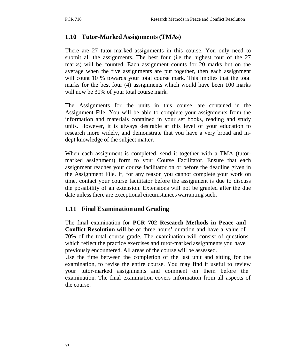#### **1.10 Tutor-Marked Assignments (TMAs)**

There are 27 tutor-marked assignments in this course. You only need to submit all the assignments. The best four (i.e the highest four of the 27 marks) will be counted. Each assignment counts for 20 marks but on the average when the five assignments are put together, then each assignment will count 10 % towards your total course mark. This implies that the total marks for the best four (4) assignments which would have been 100 marks will now be 30% of your total course mark.

The Assignments for the units in this course are contained in the Assignment File. You will be able to complete your assignments from the information and materials contained in your set books, reading and study units. However, it is always desirable at this level of your education to research more widely, and demonstrate that you have a very broad and indept knowledge of the subject matter.

When each assignment is completed, send it together with a TMA (tutormarked assignment) form to your Course Facilitator. Ensure that each assignment reaches your course facilitator on or before the deadline given in the Assignment File. If, for any reason you cannot complete your work on time, contact your course facilitator before the assignment is due to discuss the possibility of an extension. Extensions will not be granted after the due date unless there are exceptional circumstances warranting such.

#### **1.11 Final Examination and Grading**

The final examination for **PCR 702 Research Methods in Peace and Conflict Resolution will** be of three hours' duration and have a value of 70% of the total course grade. The examination will consist of questions which reflect the practice exercises and tutor-marked assignments you have previously encountered. All areas of the course will be assessed.

Use the time between the completion of the last unit and sitting for the examination, to revise the entire course. You may find it useful to review your tutor-marked assignments and comment on them before the examination. The final examination covers information from all aspects of the course.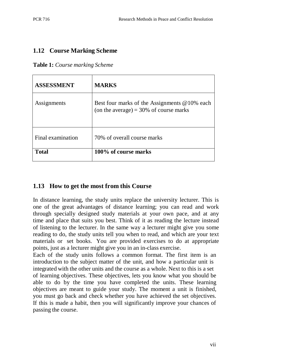#### **1.12 Course Marking Scheme**

**Table 1:** *Course marking Scheme*

| <b>ASSESSMENT</b> | <b>MARKS</b>                                                                              |
|-------------------|-------------------------------------------------------------------------------------------|
| Assignments       | Best four marks of the Assignments @10% each<br>(on the average) = $30\%$ of course marks |
| Final examination | 70% of overall course marks                                                               |
| <b>Total</b>      | 100% of course marks                                                                      |

#### **1.13 How to get the most from this Course**

In distance learning, the study units replace the university lecturer. This is one of the great advantages of distance learning; you can read and work through specially designed study materials at your own pace, and at any time and place that suits you best. Think of it as reading the lecture instead of listening to the lecturer. In the same way a lecturer might give you some reading to do, the study units tell you when to read, and which are your text materials or set books. You are provided exercises to do at appropriate points, just as a lecturer might give you in an in-class exercise.

Each of the study units follows a common format. The first item is an introduction to the subject matter of the unit, and how a particular unit is integrated with the other units and the course as a whole. Next to this is a set of learning objectives. These objectives, lets you know what you should be able to do by the time you have completed the units. These learning objectives are meant to guide your study. The moment a unit is finished, you must go back and check whether you have achieved the set objectives. If this is made a habit, then you will significantly improve your chances of passing the course.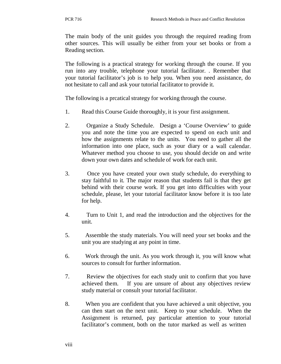The main body of the unit guides you through the required reading from other sources. This will usually be either from your set books or from a Reading section.

The following is a practical strategy for working through the course. If you run into any trouble, telephone your tutorial facilitator. . Remember that your tutorial facilitator's job is to help you. When you need assistance, do not hesitate to call and ask your tutorial facilitator to provide it.

The following is a preatical strategy for working through the course.

- 1. Read this Course Guide thoroughly, it is your first assignment.
- 2. Organize a Study Schedule. Design a 'Course Overview' to guide you and note the time you are expected to spend on each unit and how the assignments relate to the units. You need to gather all the information into one place, such as your diary or a wall calendar. Whatever method you choose to use, you should decide on and write down your own dates and schedule of work for each unit.
- 3. Once you have created your own study schedule, do everything to stay faithful to it. The major reason that students fail is that they get behind with their course work. If you get into difficulties with your schedule, please, let your tutorial facilitator know before it is too late for help.
- 4. Turn to Unit 1, and read the introduction and the objectives for the unit.
- 5. Assemble the study materials. You will need your set books and the unit you are studying at any point in time.
- 6. Work through the unit. As you work through it, you will know what sources to consult for further information.
- 7. Review the objectives for each study unit to confirm that you have achieved them. If you are unsure of about any objectives review study material or consult your tutorial facilitator.
- 8. When you are confident that you have achieved a unit objective, you can then start on the next unit. Keep to your schedule. When the Assignment is returned, pay particular attention to your tutorial facilitator's comment, both on the tutor marked as well as written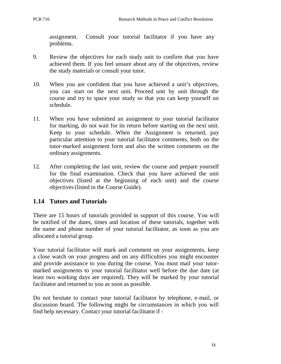assignment. Consult your tutorial facilitator if you have any problems.

- 9. Review the objectives for each study unit to confirm that you have achieved them. If you feel unsure about any of the objectives, review the study materials or consult your tutor.
- 10. When you are confident that you have achieved a unit's objectives, you can start on the next unit. Proceed unit by unit through the course and try to space your study so that you can keep yourself on schedule.
- 11. When you have submitted an assignment to your tutorial facilitator for marking, do not wait for its return before starting on the next unit. Keep to your schedule. When the Assignment is returned, pay particular attention to your tutorial facilitator comments, both on the tutor-marked assignment form and also the written comments on the ordinary assignments.
- 12. After completing the last unit, review the course and prepare yourself for the final examination. Check that you have achieved the unit objectives (listed at the beginning of each unit) and the course objectives(listed in the Course Guide).

#### **1.14 Tutors and Tutorials**

There are 15 hours of tutorials provided in support of this course. You will be notified of the dates, times and location of these tutorials, together with the name and phone number of your tutorial facilitator, as soon as you are allocated a tutorial group.

Your tutorial facilitator will mark and comment on your assignments, keep a close watch on your progress and on any difficulties you might encounter and provide assistance to you during the course. You must mail your tutormarked assignments to your tutorial facilitator well before the due date (at least two working days are required). They will be marked by your tutorial facilitator and returned to you as soon as possible.

Do not hesitate to contact your tutorial facilitator by telephone, e-mail, or discussion board. The following might be circumstances in which you will find help necessary. Contact your tutorial facilitator if -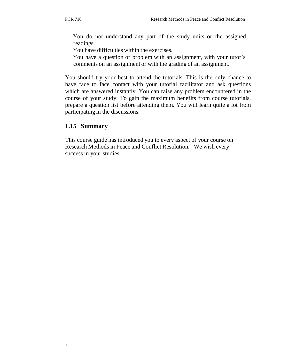You do not understand any part of the study units or the assigned readings.

You have difficulties within the exercises.

You have a question or problem with an assignment, with your tutor's comments on an assignment or with the grading of an assignment.

You should try your best to attend the tutorials. This is the only chance to have face to face contact with your tutorial facilitator and ask questions which are answered instantly. You can raise any problem encountered in the course of your study. To gain the maximum benefits from course tutorials, prepare a question list before attending them. You will learn quite a lot from participating in the discussions.

#### **1.15 Summary**

This course guide has introduced you to every aspect of your course on Research Methods in Peace and Conflict Resolution. We wish every success in your studies.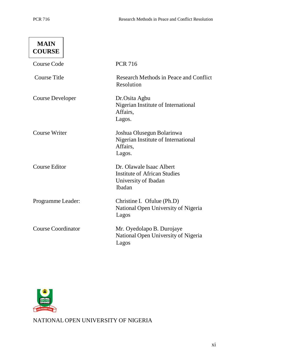| <b>MAIN</b><br><b>COURSE</b> |                                                                                                   |
|------------------------------|---------------------------------------------------------------------------------------------------|
| <b>Course Code</b>           | <b>PCR 716</b>                                                                                    |
| <b>Course Title</b>          | Research Methods in Peace and Conflict<br>Resolution                                              |
| <b>Course Developer</b>      | Dr.Osita Agbu<br>Nigerian Institute of International<br>Affairs,<br>Lagos.                        |
| <b>Course Writer</b>         | Joshua Olusegun Bolarinwa<br>Nigerian Institute of International<br>Affairs.<br>Lagos.            |
| <b>Course Editor</b>         | Dr. Olawale Isaac Albert<br><b>Institute of African Studies</b><br>University of Ibadan<br>Ibadan |
| Programme Leader:            | Christine I. Ofulue (Ph.D)<br>National Open University of Nigeria<br>Lagos                        |
| <b>Course Coordinator</b>    | Mr. Oyedolapo B. Durojaye<br>National Open University of Nigeria<br>Lagos                         |



NATIONAL OPEN UNIVERSITY OF NIGERIA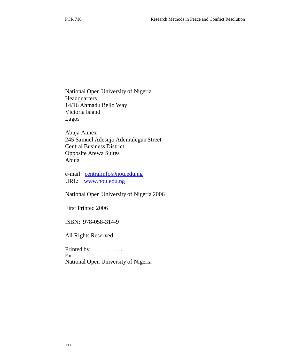National Open University of Nigeria Headquarters 14/16 Ahmadu Bello Way Victoria Island Lagos

Abuja Annex 245 Samuel Adesujo Ademulegun Street Central Business District Opposite Arewa Suites Abuja

e-mail: [centralinfo@nou.edu.ng](mailto:centralinfo@nou.edu.ng) URL: [www.nou.edu.ng](http://www.nou.edu.ng/)

National Open University of Nigeria 2006

First Printed 2006

ISBN: 978-058-314-9

All Rights Reserved

Printed by …………….. For National Open University of Nigeria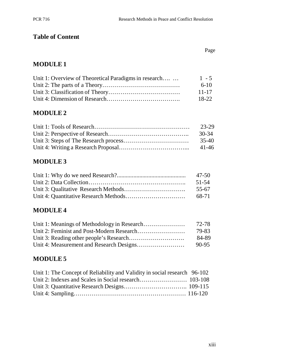# **Table of Content**

Page

## **MODULE 1**

| Unit 1: Overview of Theoretical Paradigms in research | $1 - 5$   |
|-------------------------------------------------------|-----------|
|                                                       | $6-10$    |
|                                                       | $11 - 17$ |
|                                                       | 18-22     |

# **MODULE 2**

| 23-29 |
|-------|
| 30-34 |
| 35-40 |
| 41-46 |
|       |

## **MODULE 3**

| 47-50 |
|-------|
| 51-54 |
| 55-67 |
| 68-71 |

## **MODULE 4**

| 72-78 |
|-------|
| 79-83 |
| 84-89 |
| 90-95 |

## **MODULE 5**

| Unit 1: The Concept of Reliability and Validity in social research 96-102 |  |
|---------------------------------------------------------------------------|--|
|                                                                           |  |
|                                                                           |  |
|                                                                           |  |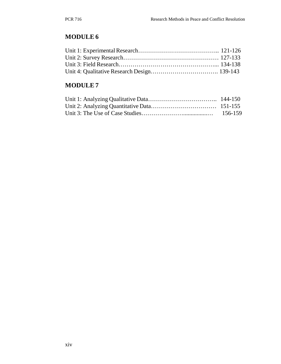# **MODULE 6**

## **MODULE 7**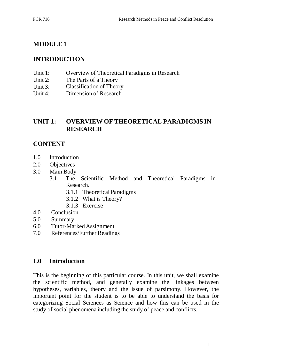## **MODULE 1**

#### **INTRODUCTION**

- Unit 1: Overview of Theoretical Paradigms in Research
- Unit 2: The Parts of a Theory
- Unit 3: Classification of Theory
- Unit 4: Dimension of Research

#### **UNIT 1: OVERVIEW OF THEORETICAL PARADIGMS IN RESEARCH**

### **CONTENT**

- 1.0 Introduction
- 2.0 Objectives
- 3.0 Main Body
	- 3.1 The Scientific Method and Theoretical Paradigms in Research.
		- 3.1.1 Theoretical Paradigms
		- 3.1.2 What is Theory?
		- 3.1.3 Exercise
- 4.0 Conclusion
- 5.0 Summary
- 6.0 Tutor-Marked Assignment
- 7.0 References/Further Readings

#### **1.0 Introduction**

This is the beginning of this particular course. In this unit, we shall examine the scientific method, and generally examine the linkages between hypotheses, variables, theory and the issue of parsimony. However, the important point for the student is to be able to understand the basis for categorizing Social Sciences as Science and how this can be used in the study of social phenomena including the study of peace and conflicts.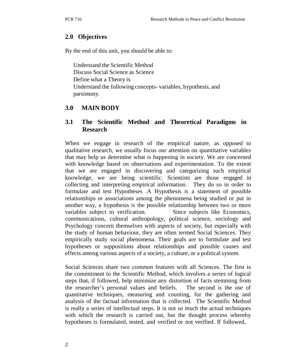#### **2.0 Objectives**

By the end of this unit, you should be able to:

Understand the Scientific Method Discuss Social Science as Science Define what a Theory is Understand the following concepts- variables, hypothesis, and parsimony.

## **3.0 MAIN BODY**

#### **3.1 The Scientific Method and Theoretical Paradigms in Research**

When we engage in research of the empirical nature, as opposed to qualitative research, we usually focus our attention on quantitative variables that may help us determine what is happening in society. We are concerned with knowledge based on observations and experimentation. To the extent that we are engaged in discovering and categorizing such empirical knowledge, we are being scientific. Scientists are those engaged in collecting and interpreting empirical information. They do so in order to formulate and test Hypotheses .A Hypothesis is a statement of possible relationships or associations among the phenomena being studied or put in another way, a hypothesis is the possible relationship between two or more variables subject to verification. Since subjects like Economics, communications, cultural anthropology, political science, sociology and Psychology concern themselves with aspects of society, but especially with the study of human behaviour, they are often termed Social Sciences. They empirically study social phenomena. Their goals are to formulate and test hypotheses or suppositions about relationships and possible causes and effects among various aspects of a society, a culture, or a political system.

Social Sciences share two common features with all Sciences. The first is the commitment to the Scientific Method, which involves a series of logical steps that, if followed, help minimize any distortion of facts stemming from the researcher's personal values and beliefs. The second is the use of quantitative techniques, measuring and counting, for the gathering and analysis of the factual information that is collected. The Scientific Method is really a series of intellectual steps. It is not so much the actual techniques with which the research is carried out, but the thought process whereby hypotheses is formulated, tested, and verified or not verified. If followed,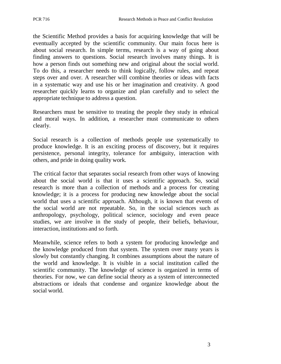the Scientific Method provides a basis for acquiring knowledge that will be eventually accepted by the scientific community. Our main focus here is about social research. In simple terms, research is a way of going about finding answers to questions. Social research involves many things. It is how a person finds out something new and original about the social world. To do this, a researcher needs to think logically, follow rules, and repeat steps over and over. A researcher will combine theories or ideas with facts in a systematic way and use his or her imagination and creativity. A good researcher quickly learns to organize and plan carefully and to select the appropriate technique to address a question.

Researchers must be sensitive to treating the people they study in ethnical and moral ways. In addition, a researcher must communicate to others clearly.

Social research is a collection of methods people use systematically to produce knowledge. It is an exciting process of discovery, but it requires persistence, personal integrity, tolerance for ambiguity, interaction with others, and pride in doing quality work.

The critical factor that separates social research from other ways of knowing about the social world is that it uses a scientific approach. So, social research is more than a collection of methods and a process for creating knowledge; it is a process for producing new knowledge about the social world that uses a scientific approach. Although, it is known that events of the social world are not repeatable. So, in the social sciences such as anthropology, psychology, political science, sociology and even peace studies, we are involve in the study of people, their beliefs, behaviour, interaction, institutions and so forth.

Meanwhile, science refers to both a system for producing knowledge and the knowledge produced from that system. The system over many years is slowly but constantly changing. It combines assumptions about the nature of the world and knowledge. It is visible in a social institution called the scientific community. The knowledge of science is organized in terms of theories. For now, we can define social theory as a system of interconnected abstractions or ideals that condense and organize knowledge about the social world.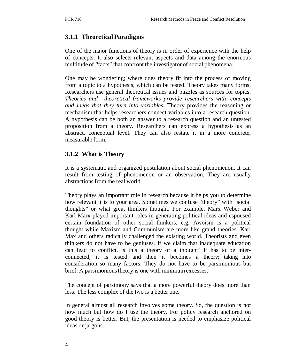## **3.1.1 Theoretical Paradigms**

One of the major functions of theory is in order of experience with the help of concepts. It also selects relevant aspects and data among the enormous multitude of "facts" that confront the investigator of social phenomena.

One may be wondering; where does theory fit into the process of moving from a topic to a hypothesis, which can be tested. Theory takes many forms. Researchers use general theoretical issues and puzzles as sources for topics. *Theories and theoretical frameworks provide researchers with concepts and ideas that they turn into variables.* Theory provides the reasoning or mechanism that helps researchers connect variables into a research question. A hypothesis can be both an answer to a research question and an untested proposition from a theory. Researchers can express a hypothesis as an abstract, conceptual level. They can also restate it in a more concrete, measurable form.

### **3.1.2 What is Theory**

It is a systematic and organized postulation about social phenomenon. It can result from testing of phenomenon or an observation. They are usually abstractions from the real world.

Theory plays an important role in research because it helps you to determine how relevant it is to your area. Sometimes we confuse "theory" with "social thoughts" or what great thinkers thought. For example, Marx Weber and Karl Marx played important roles in generating political ideas and espoused certain foundation of other social thinkers, e.g. Awoism is a political thought while Maxism and Communism are more like grand theories. Karl Max and others radically challenged the existing world. Theorists and even thinkers do not have to be geniuses. If we claim that inadequate education can lead to conflict. Is this a theory or a thought? It has to be interconnected, it is tested and then it becomes a theory; taking into consideration so many factors. They do not have to be parsimonious but brief. A parsimonious theory is one with minimum excesses.

The concept of parsimony says that a more powerful theory does more than less. The less complex of the two is a better one.

In general almost all research involves some theory. So, the question is not how much but how do I use the theory. For policy research anchored on good theory is better. But, the presentation is needed to emphasize political ideas or jargons.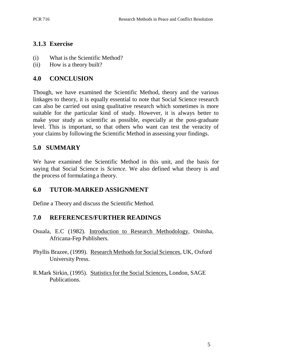## **3.1.3 Exercise**

- (i) What is the Scientific Method?
- (ii) How is a theory built?

## **4.0 CONCLUSION**

Though, we have examined the Scientific Method, theory and the various linkages to theory, it is equally essential to note that Social Science research can also be carried out using qualitative research which sometimes is more suitable for the particular kind of study. However, it is always better to make your study as scientific as possible, especially at the post-graduate level. This is important, so that others who want can test the veracity of your claims by following the Scientific Method in assessing your findings.

## **5.0 SUMMARY**

We have examined the Scientific Method in this unit, and the basis for saying that Social Science is *Science.* We also defined what theory is and the process of formulating a theory.

### **6.0 TUTOR-MARKED ASSIGNMENT**

Define a Theory and discuss the Scientific Method.

# **7.0 REFERENCES/FURTHER READINGS**

- Osuala, E.C (1982). Introduction to Research Methodology, Onitsha, Africana-Fep Publishers.
- Phyllis Brazee, (1999). Research Methods for Social Sciences, UK, Oxford University Press.
- R.Mark Sirkin, (1995). Statistics for the Social Sciences, London, SAGE Publications.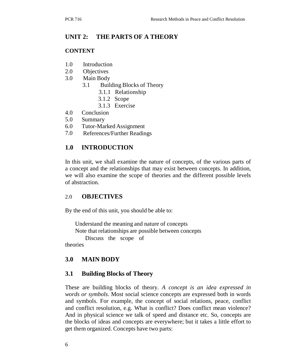## **UNIT 2: THE PARTS OF A THEORY**

#### **CONTENT**

- 1.0 Introduction
- 2.0 Objectives
- 3.0 Main Body
	- 3.1 Building Blocks of Theory
		- 3.1.1 Relationship
		- 3.1.2 Scope
		- 3.1.3 Exercise
- 4.0 Conclusion
- 5.0 Summary
- 6.0 Tutor-Marked Assignment
- 7.0 References/Further Readings

### **1.0 INTRODUCTION**

In this unit, we shall examine the nature of concepts, of the various parts of a concept and the relationships that may exist between concepts. In addition, we will also examine the scope of theories and the different possible levels of abstraction.

#### 2.0 **OBJECTIVES**

By the end of this unit, you should be able to:

Understand the meaning and nature of concepts

Note that relationships are possible between concepts

Discuss the scope of

theories

### **3.0 MAIN BODY**

### **3.1 Building Blocks of Theory**

These are building blocks of theory. *A concept is an idea expressed in words or symbols*. Most social science concepts are expressed both in words and symbols. For example, the concept of social relations, peace, conflict and conflict resolution, e.g. What is conflict? Does conflict mean violence? And in physical science we talk of speed and distance etc. So, concepts are the blocks of ideas and concepts are everywhere; but it takes a little effort to get them organized. Concepts have two parts: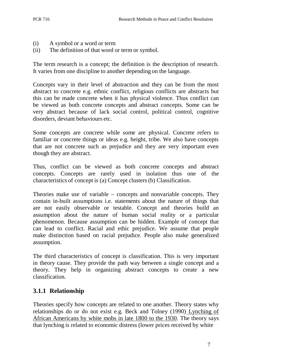- (i) A symbol or a word or term
- (ii) The definition of that word or term or symbol.

The term research is a concept; the definition is the description of research. It varies from one discipline to another depending on the language.

Concepts vary in their level of abstraction and they can be from the most abstract to concrete e.g. ethnic conflict, religious conflicts are abstracts but this can be made concrete when it has physical violence. Thus conflict can be viewed as both concrete concepts and abstract concepts. Some can be very abstract because of lack social control, political control, cognitive disorders, deviant behaviours etc.

Some concepts are concrete while some are physical. Concrete refers to familiar or concrete things or ideas e.g. height, tribe. We also have concepts that are not concrete such as prejudice and they are very important even though they are abstract.

Thus, conflict can be viewed as both concrete concepts and abstract concepts. Concepts are rarely used in isolation thus one of the characteristics of concept is (a) Concept clusters (b) Classification.

Theories make use of variable – concepts and nonvariable concepts. They contain in-built assumptions i.e. statements about the nature of things that are not easily observable or testable. Concept and theories build an assumption about the nature of human social reality or a particular phenomenon. Because assumption can be hidden. Example of concept that can lead to conflict. Racial and ethic prejudice. We assume that people make distinction based on racial prejudice. People also make generalized assumption.

The third characteristics of concept is classification. This is very important in theory cause. They provide the path way between a single concept and a theory. They help in organizing abstract concepts to create a new classification.

# **3.1.1 Relationship**

Theories specify how concepts are related to one another. Theory states why relationships do or do not exist e.g. Beck and Tolney (1990) Lynching of African Americans by white mobs in late 1800 to the 1930. The theory says that lynching is related to economic distress (lower prices received by white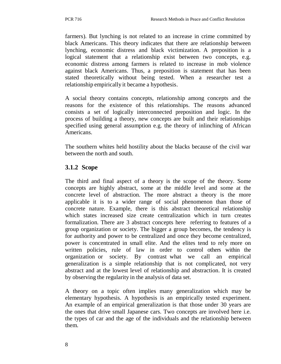farmers). But lynching is not related to an increase in crime committed by black Americans. This theory indicates that there are relationship between lynching, economic distress and black victimization. A preposition is a logical statement that a relationship exist between two concepts, e.g. economic distress among farmers is related to increase in mob violence against black Americans. Thus, a preposition is statement that has been stated theoretically without being tested. When a researcher test a relationship empirically it became a hypothesis.

A social theory contains concepts, relationship among concepts and the reasons for the existence of this relationships. The reasons advanced consists a set of logically interconnected preposition and logic. In the process of building a theory, new concepts are built and their relationships specified using general assumption e.g. the theory of inlinching of African Americans.

The southern whites held hostility about the blacks because of the civil war between the north and south.

### **3.1.2 Scope**

The third and final aspect of a theory is the scope of the theory. Some concepts are highly abstract, some at the middle level and some at the concrete level of abstraction. The more abstract a theory is the more applicable it is to a wider range of social phenomenon than those of concrete nature. Example, there is this abstract theoretical relationship which states increased size create centralization which in turn creates formalization. There are 3 abstract concepts here referring to features of a group organization or society. The bigger a group becomes, the tendency is for authority and power to be centralized and once they become centralized, power is concentrated in small elite. And the elites tend to rely more on written policies, rule of law in order to control others within the organization or society. By contrast what we call an empirical generalization is a simple relationship that is not complicated, not very abstract and at the lowest level of relationship and abstraction. It is created by observing the regularity in the analysis of data set.

A theory on a topic often implies many generalization which may be elementary hypothesis. A hypothesis is an empirically tested experiment. An example of an empirical generalization is that those under 30 years are the ones that drive small Japanese cars. Two concepts are involved here i.e. the types of car and the age of the individuals and the relationship between them.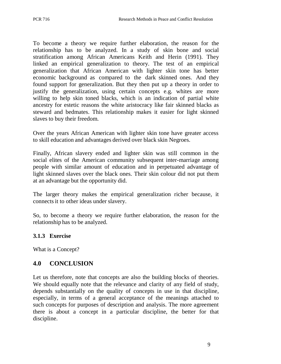To become a theory we require further elaboration, the reason for the relationship has to be analyzed. In a study of skin bone and social stratification among African Americans Keith and Herin (1991). They linked an empirical generalization to theory. The test of an empirical generalization that African American with lighter skin tone has better economic background as compared to the dark skinned ones. And they found support for generalization. But they then put up a theory in order to justify the generalization, using certain concepts e.g. whites are more willing to help skin toned blacks, which is an indication of partial white ancestry for estetic reasons the white aristocracy like fair skinned blacks as steward and bedmates. This relationship makes it easier for light skinned slaves to buy their freedom.

Over the years African American with lighter skin tone have greater access to skill education and advantages derived over black skin Negroes.

Finally, African slavery ended and lighter skin was still common in the social elites of the American community subsequent inter-marriage among people with similar amount of education and in perpetuated advantage of light skinned slaves over the black ones. Their skin colour did not put them at an advantage but the opportunity did.

The larger theory makes the empirical generalization richer because, it connects it to other ideas under slavery.

So, to become a theory we require further elaboration, the reason for the relationship has to be analyzed.

#### **3.1.3 Exercise**

What is a Concept?

#### **4.0 CONCLUSION**

Let us therefore, note that concepts are also the building blocks of theories. We should equally note that the relevance and clarity of any field of study, depends substantially on the quality of concepts in use in that discipline, especially, in terms of a general acceptance of the meanings attached to such concepts for purposes of description and analysis. The more agreement there is about a concept in a particular discipline, the better for that discipline.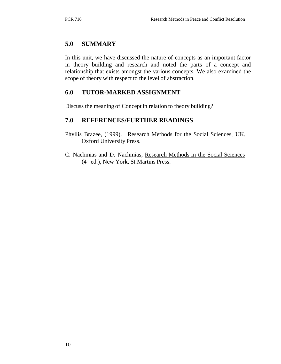## **5.0 SUMMARY**

In this unit, we have discussed the nature of concepts as an important factor in theory building and research and noted the parts of a concept and relationship that exists amongst the various concepts. We also examined the scope of theory with respect to the level of abstraction.

#### **6.0 TUTOR-MARKED ASSIGNMENT**

Discuss the meaning of Concept in relation to theory building?

## **7.0 REFERENCES/FURTHER READINGS**

- Phyllis Brazee, (1999). Research Methods for the Social Sciences, UK, Oxford University Press.
- C. Nachmias and D. Nachmias, Research Methods in the Social Sciences (4th ed.), New York, St.Martins Press.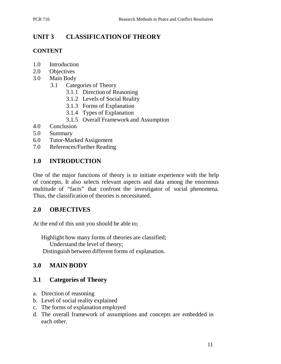# **UNIT 3 CLASSIFICATIONOF THEORY**

#### **CONTENT**

- 1.0 Introduction
- 2.0 Objectives
- 3.0 Main Body
	- 3.1 Categories of Theory
		- 3.1.1 Direction of Reasoning
		- 3.1.2 Levels of Social Reality
		- 3.1.3 Forms of Explanation
		- 3.1.4 Types of Explanation
		- 3.1.5 Overall Framework and Assumption
- 4.0 **Conclusion**
- 5.0 Summary
- 6.0 Tutor-Marked Assignment
- 7.0 References/Further Reading

### **1.0 INTRODUCTION**

One of the major functions of theory is to initiate experience with the help of concepts. It also selects relevant aspects and data among the enormous multitude of "facts" that confront the investigator of social phenomena. Thus, the classification of theories is necessitated.

### **2.0 OBJECTIVES**

At the end of this unit you should be able to;

Highlight how many forms of theories are classified; Understand the level of theory; Distinguish between different forms of explanation.

### **3.0 MAIN BODY**

### **3.1 Categories of Theory**

- a. Direction of reasoning
- b. Level of social reality explained
- c. The forms of explanation employed
- d. The overall framework of assumptions and concepts are embedded in each other.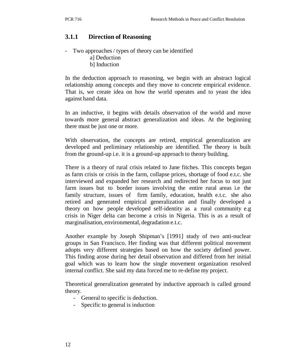## **3.1.1 Direction of Reasoning**

- Two approaches / types of theory can be identified a] Deduction b] Induction

In the deduction approach to reasoning, we begin with an abstract logical relationship among concepts and they move to concrete empirical evidence. That is, we create idea on how the world operates and to yeast the idea against hand data.

In an inductive, it begins with details observation of the world and move towards more general abstract generalization and ideas. At the beginning there must be just one or more.

With observation, the concepts are retired, empirical generalization are developed and preliminary relationship are identified. The theory is built from the ground-up i.e. it is a ground-up approach to theory building.

There is a theory of rural crisis related to Jane fitches. This concepts began as farm crisis or crisis in the farm, collapse prices, shortage of food e.t.c. she interviewed and expanded her research and redirected her focus to not just farm issues but to border issues involving the entire rural areas i.e the family structure, issues of firm family, education, health e.t.c. she also retired and generated empirical generalization and finally developed a theory on how people developed self-identity as a rural community e.g crisis in Niger delta can become a crisis in Nigeria. This is as a result of marginalisation, environmental, degradation e.t.c.

Another example by Joseph Shipman's [1991] study of two anti-nuclear groups in San Francisco. Her finding was that different political movement adopts very different strategies based on how the society defined power. This finding arose during her detail observation and differed from her initial goal which was to learn how the single movement organization resolved internal conflict. She said my data forced me to re-define my project.

Theoretical generalization generated by inductive approach is called ground theory.

- General to specific is deduction.
- Specific to general is induction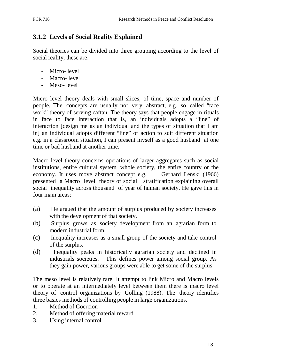#### **3.1.2 Levels of Social Reality Explained**

Social theories can be divided into three grouping according to the level of social reality, these are:

- Micro- level
- Macro- level
- Meso- level

Micro level theory deals with small slices, of time, space and number of people. The concepts are usually not very abstract, e.g. so called "face work" theory of serving caftan. The theory says that people engage in rituals in face to face interaction that is, an individuals adopts a "line" of interaction [design me as an individual and the types of situation that I am in] an individual adopts different "line" of action to suit different situation e.g. in a classroom situation, I can present myself as a good husband at one time or bad husband at another time.

Macro level theory concerns operations of larger aggregates such as social institutions, entire cultural system, whole society, the entire country or the economy. It uses move abstract concept e.g. Gerhard Lenski (1966) presented a Macro level theory of social stratification explaining overall social inequality across thousand of year of human society. He gave this in four main areas:

- (a) He argued that the amount of surplus produced by society increases with the development of that society.
- (b) Surplus grows as society development from an agrarian form to modern industrial form.
- (c) Inequality increases as a small group of the society and take control of the surplus.
- (d) Inequality peaks in historically agrarian society and declined in industrials societies. This defines power among social group. As they gain power, various groups were able to get some of the surplus.

The meso level is relatively rare. It attempt to link Micro and Macro levels or to operate at an intermediately level between them there is macro level theory of control organizations by Colling (1988). The theory identifies three basics methods of controlling people in large organizations.

- 1. Method of Coercion
- 2. Method of offering material reward
- 3. Using internal control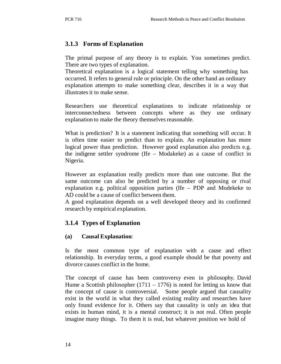## **3.1.3 Forms of Explanation**

The primal purpose of any theory is to explain. You sometimes predict. There are two types of explanation.

Theoretical explanation is a logical statement telling why something has occurred. It refers to general rule or principle. On the other hand an ordinary explanation attempts to make something clear, describes it in a way that illustrates it to make sense.

Researchers use theoretical explanations to indicate relationship or interconnectedness between concepts where as they use ordinary explanation to make the theory themselves reasonable.

What is prediction? It is a statement indicating that something will occur. It is often time easier to predict than to explain. An explanation has more logical power than prediction. However good explanation also predicts e.g. the indigene settler syndrome (Ife – Modakeke) as a cause of conflict in Nigeria.

However an explanation really predicts more than one outcome. But the same outcome can also be predicted by a number of opposing or rival explanation e.g. political opposition parties (Ife – PDP and Modekeke to AD could be a cause of conflict between them.

A good explanation depends on a well developed theory and its confirmed research by empirical explanation.

### **3.1.4 Types of Explanation**

#### **(a) Causal Explanation**:

Is the most common type of explanation with a cause and effect relationship. In everyday terms, a good example should be that poverty and divorce causes conflict in the home.

The concept of cause has been controversy even in philosophy. David Hume a Scottish philosopher  $(1711 - 1776)$  is noted for letting us know that the concept of cause is controversial. Some people argued that causality exist in the world in what they called existing reality and researches have only found evidence for it. Others say that causality is only an idea that exists in human mind, it is a mental construct; it is not real. Often people imagine many things. To them it is real, but whatever position we hold of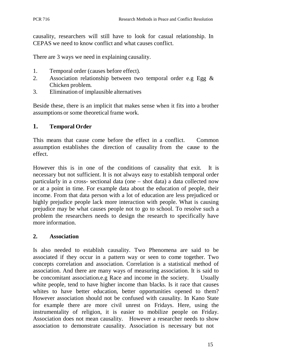causality, researchers will still have to look for casual relationship. In CEPAS we need to know conflict and what causes conflict.

There are 3 ways we need in explaining causality.

- 1. Temporal order (causes before effect).
- 2. Association relationship between two temporal order e.g Egg & Chicken problem.
- 3. Elimination of implausible alternatives

Beside these, there is an implicit that makes sense when it fits into a brother assumptions or some theoretical frame work.

#### **1. Temporal Order**

This means that cause come before the effect in a conflict. Common assumption establishes the direction of causality from the cause to the effect.

However this is in one of the conditions of causality that exit. It is necessary but not sufficient. It is not always easy to establish temporal order particularly in a cross- sectional data (one – shot data) a data collected now or at a point in time. For example data about the education of people, their income. From that data person with a lot of education are less prejudiced or highly prejudice people lack more interaction with people. What is causing prejudice may be what causes people not to go to school. To resolve such a problem the researchers needs to design the research to specifically have more information.

#### **2. Association**

Is also needed to establish causality. Two Phenomena are said to be associated if they occur in a pattern way or seen to come together. Two concepts correlation and association. Correlation is a statistical method of association. And there are many ways of measuring association. It is said to be concomitant association.e.g Race and income in the society. Usually white people, tend to have higher income than blacks. Is it race that causes whites to have better education, better opportunities opened to them? However association should not be confused with causality. In Kano State for example there are more civil unrest on Fridays. Here, using the instrumentality of religion, it is easier to mobilize people on Friday. Association does not mean causality. However a researcher needs to show association to demonstrate causality. Association is necessary but not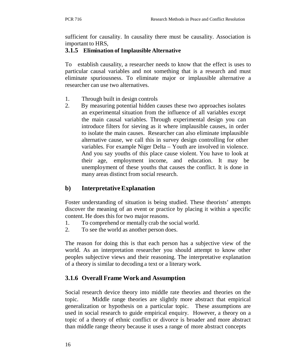sufficient for causality. In causality there must be causality. Association is important to HRS,

#### **3.1.5 Elimination of Implausible Alternative**

To establish causality, a researcher needs to know that the effect is uses to particular causal variables and not something that is a research and must eliminate spuriousness. To eliminate major or implausible alternative a researcher can use two alternatives.

- 1. Through built in design controls
- 2. By measuring potential hidden causes these two approaches isolates an experimental situation from the influence of all variables except the main causal variables. Through experimental design you can introduce filters for sieving as it where implausible causes, in order to isolate the main causes. Researcher can also eliminate implausible alternative cause, we call this in survey design controlling for other variables. For example Niger Delta – Youth are involved in violence. And you say youths of this place cause violent. You have to look at their age, employment income, and education. It may be unemployment of these youths that causes the conflict. It is done in many areas distinct from social research.

### **b) InterpretativeExplanation**

Foster understanding of situation is being studied. These theorists' attempts discover the meaning of an event or practice by placing it within a specific content. He does this for two major reasons.

- 1. To comprehend or mentally crab the social world.
- 2. To see the world as another person does.

The reason for doing this is that each person has a subjective view of the world. As an interpretation researcher you should attempt to know other peoples subjective views and their reasoning. The interpretative explanation of a theory is similar to decoding a text or a literary work.

### **3.1.6 Overall Frame Work and Assumption**

Social research device theory into middle rate theories and theories on the topic. Middle range theories are slightly more abstract that empirical generalization or hypothesis on a particular topic. These assumptions are used in social research to guide empirical enquiry. However, a theory on a topic of a theory of ethnic conflict or divorce is broader and more abstract than middle range theory because it uses a range of more abstract concepts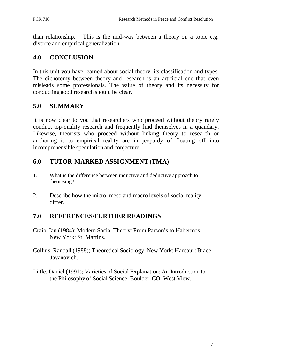than relationship. This is the mid-way between a theory on a topic e.g. divorce and empirical generalization.

## **4.0 CONCLUSION**

In this unit you have learned about social theory, its classification and types. The dichotomy between theory and research is an artificial one that even misleads some professionals. The value of theory and its necessity for conducting good research should be clear.

# **5.0 SUMMARY**

It is now clear to you that researchers who proceed without theory rarely conduct top-quality research and frequently find themselves in a quandary. Likewise, theorists who proceed without linking theory to research or anchoring it to empirical reality are in jeopardy of floating off into incomprehensible speculation and conjecture.

# **6.0 TUTOR-MARKED ASSIGNMENT (TMA)**

- 1. What is the difference between inductive and deductive approach to theorizing?
- 2. Describe how the micro, meso and macro levels of social reality differ.

# **7.0 REFERENCES/FURTHER READINGS**

- Craib, Ian (1984); Modern Social Theory: From Parson's to Habermos; New York: St. Martins.
- Collins, Randall (1988); Theoretical Sociology; New York: Harcourt Brace Javanovich.
- Little, Daniel (1991); Varieties of Social Explanation: An Introduction to the Philosophy of Social Science. Boulder, CO: West View.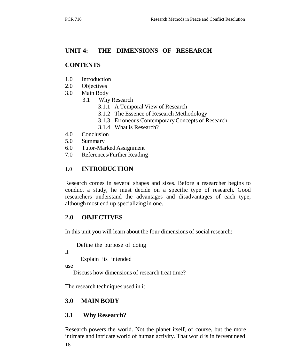## **UNIT 4: THE DIMENSIONS OF RESEARCH**

#### **CONTENTS**

- 1.0 Introduction
- 2.0 Objectives
- 3.0 Main Body
	- 3.1 Why Research
		- 3.1.1 A Temporal View of Research
		- 3.1.2 The Essence of Research Methodology
		- 3.1.3 Erroneous ContemporaryConcepts of Research
		- 3.1.4 What is Research?
- 4.0 Conclusion
- 5.0 Summary
- 6.0 Tutor-Marked Assignment
- 7.0 References/Further Reading

### 1.0 **INTRODUCTION**

Research comes in several shapes and sizes. Before a researcher begins to conduct a study, he must decide on a specific type of research. Good researchers understand the advantages and disadvantages of each type, although most end up specializing in one.

### **2.0 OBJECTIVES**

In this unit you will learn about the four dimensions of social research:

Define the purpose of doing

it

Explain its intended

use

Discuss how dimensions of research treat time?

The research techniques used in it

### **3.0 MAIN BODY**

### **3.1 Why Research?**

Research powers the world. Not the planet itself, of course, but the more intimate and intricate world of human activity. That world is in fervent need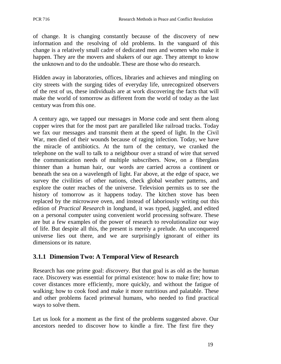of change. It is changing constantly because of the discovery of new information and the resolving of old problems. In the vanguard of this change is a relatively small cadre of dedicated men and women who make it happen. They are the movers and shakers of our age. They attempt to know the unknown and to do the undoable. These are those who do research.

Hidden away in laboratories, offices, libraries and achieves and mingling on city streets with the surging tides of everyday life, unrecognized observers of the rest of us, these individuals are at work discovering the facts that will make the world of tomorrow as different from the world of today as the last century was from this one.

A century ago, we tapped our messages in Morse code and sent them along copper wires that for the most part are paralleled like railroad tracks. Today we fax our messages and transmit them at the speed of light. In the Civil War, men died of their wounds because of raging infection. Today, we have the miracle of antibiotics. At the turn of the century, we cranked the telephone on the wall to talk to a neighbour over a strand of wire that served the communication needs of multiple subscribers. Now, on a fiberglass thinner than a human hair, our words are carried across a continent or beneath the sea on a wavelength of light. Far above, at the edge of space, we survey the civilities of other nations, check global weather patterns, and explore the outer reaches of the universe. Television permits us to see the history of tomorrow as it happens today. The kitchen stove has been replaced by the microwave oven, and instead of laboriously writing out this edition of *Practical Research* in longhand, it was typed, juggled, and edited on a personal computer using convenient world processing software. These are but a few examples of the power of research to revolutionalize our way of life. But despite all this, the present is merely a prelude. An unconquered universe lies out there, and we are surprisingly ignorant of either its dimensions or its nature.

#### **3.1.1 Dimension Two: A Temporal View of Research**

Research has one prime goal: *discovery*. But that goal is as old as the human race. Discovery was essential for primal existence: how to make fire; how to cover distances more efficiently, more quickly, and without the fatigue of walking; how to cook food and make it more nutritious and palatable. These and other problems faced primeval humans, who needed to find practical ways to solve them.

Let us look for a moment as the first of the problems suggested above. Our ancestors needed to discover how to kindle a fire. The first fire they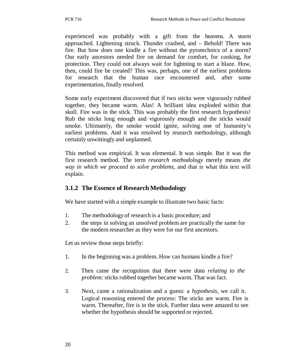experienced was probably with a gift from the heavens. A storm approached. Lightening struck. Thunder crashed, and – Behold! There was fire. But how does one kindle a fire without the pyrotechnics of a storm? Our early ancestors needed fire on demand for comfort, for cooking, for protection. They could not always wait for lightning to start a blaze. How, then, could fire be created? This was, perhaps, one of the earliest problems for research that the human race encountered and, after some experimentation, finally resolved.

Some early experiment discovered that if two sticks were vigorously rubbed together, they became warm. Alas! A brilliant idea exploded within that skull. Fire was in the stick. This was probably the first research hypothesis! Rub the sticks long enough and vigorously enough and the sticks would smoke. Ultimately, the smoke would ignite, solving one of humanity's earliest problems. And it was resolved by research methodology, although certainly unwittingly and unplanned.

This method was empirical. It was elemental. It was simple. But it was the first research method. The term *research methodology* merely means *the way in which we proceed to solve problems,* and that is what this text will explain.

### **3.1.2 The Essence of Research Methodology**

We have started with a simple example to illustrate two basic facts:

- 1. The methodology of research is a basic procedure; and
- 2. the steps in solving an unsolved problem are practically the same for the modern researcher as they were for our first ancestors.

Let us review those steps briefly:

- 1. In the beginning was a problem. How can humans kindle a fire?
- 2. Then came the recognition that there were *data relating to the problem:* sticks rubbed together became warm. That was fact.
- 3. Next, came a rationalization and a guess: a *hypothesis,* we call it. Logical reasoning entered the process: The sticks are warm. Fire is warm. Thereafter, fire is in the stick. Further data were amazed to see whether the hypothesis should be supported or rejected.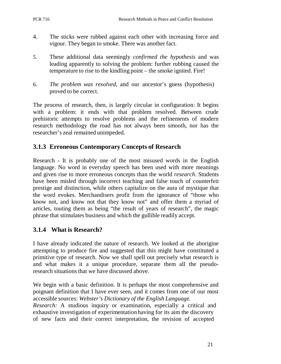- 4. The sticks were rubbed against each other with increasing force and vigour. They began to smoke. There was another fact.
- 5. These additional data seemingly *confirmed the hypothesis* and was leading apparently to solving the problem: further rubbing caused the temperature to rise to the kindling point – the smoke ignited. Fire!
- 6. *The problem was resolved*, and our ancestor's guess (hypothesis) proved to be correct.

The process of research, then, is largely circular in configuration: It begins with a problem: it ends with that problem resolved. Between crude prehistoric attempts to resolve problems and the refinements of modern research methodology the road has not always been smooth, nor has the researcher's zeal remained unimpeded.

### **3.1.3 Erroneous Contemporary Concepts of Research**

Research *-* It is probably one of the most misused words in the English language. No word in everyday speech has been used with more meanings and given rise to more erroneous concepts than the world *research*. Students have been misled through incorrect teaching and false touch of counterfeit prestige and distinction, while others capitalize on the aura of mystique that the word evokes. Merchandisers profit from the ignorance of "those who know not, and know not that they know not" and offer them a myriad of articles, touting them as being "the result of years of research", the magic phrase that stimulates business and which the gullible readily accept.

# **3.1.4 What is Research?**

I have already indicated the nature of research. We looked at the aborigine attempting to produce fire and suggested that this might have constituted a primitive type of research. Now we shall spell out precisely what research is and what makes it a unique procedure, separate them all the pseudoresearch situations that we have discussed above.

We begin with a basic definition. It is perhaps the most comprehensive and poignant definition that I have ever seen, and it comes from one of our most accessible sources: *Webster's Dictionary of the English Language. Research:* A studious inquiry or examination, especially a critical and

exhaustive investigation of experimentation having for its aim the discovery of new facts and their correct interpretation, the revision of accepted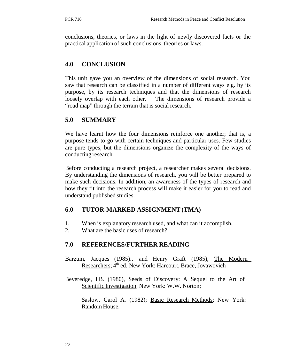conclusions, theories, or laws in the light of newly discovered facts or the practical application of such conclusions, theories or laws.

### **4.0 CONCLUSION**

This unit gave you an overview of the dimensions of social research. You saw that research can be classified in a number of different ways e.g. by its purpose, by its research techniques and that the dimensions of research loosely overlap with each other. The dimensions of research provide a "road map" through the terrain that is social research.

#### **5.0 SUMMARY**

We have learnt how the four dimensions reinforce one another; that is, a purpose tends to go with certain techniques and particular uses. Few studies are pure types, but the dimensions organize the complexity of the ways of conducting research.

Before conducting a research project, a researcher makes several decisions. By understanding the dimensions of research, you will be better prepared to make such decisions. In addition, an awareness of the types of research and how they fit into the research process will make it easier for you to read and understand published studies.

#### **6.0 TUTOR-MARKED ASSIGNMENT(TMA)**

- 1. When is explanatory research used, and what can it accomplish.
- 2. What are the basic uses of research?

#### **7.0 REFERENCES/FURTHER READING**

- Barzum, Jacques (1985)., and Henry Graft (1985), The Modern Researchers; 4<sup>th</sup> ed. New York: Harcourt, Brace, Jovawovich
- Beveredge, I.B. (1980), Seeds of Discovery: A Sequel to the Art of Scientific Investigation; New York: W.W. Norton;

Saslow, Carol A. (1982); Basic Research Methods; New York: Random House.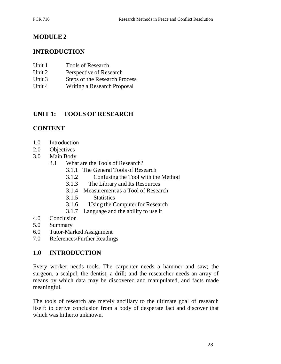### **MODULE 2**

#### **INTRODUCTION**

- Unit 1 Tools of Research
- Unit 2 Perspective of Research
- Unit 3 Steps of the Research Process
- Unit 4 Writing a Research Proposal

### **UNIT 1: TOOLS OF RESEARCH**

### **CONTENT**

- 1.0 Introduction
- 2.0 Objectives
- 3.0 Main Body
	- 3.1 What are the Tools of Research?
		- 3.1.1 The General Tools of Research
		- 3.1.2 Confusing the Tool with the Method
		- 3.1.3 The Library and Its Resources
		- 3.1.4 Measurement as a Tool of Research
		- 3.1.5 Statistics
		- 3.1.6 Using the Computer for Research
		- 3.1.7 Language and the ability to use it
- 4.0 Conclusion
- 5.0 Summary
- 6.0 Tutor-Marked Assignment
- 7.0 References/Further Readings

# **1.0 INTRODUCTION**

Every worker needs tools. The carpenter needs a hammer and saw; the surgeon, a scalpel; the dentist, a drill; and the researcher needs an array of means by which data may be discovered and manipulated, and facts made meaningful.

The tools of research are merely ancillary to the ultimate goal of research itself: to derive conclusion from a body of desperate fact and discover that which was hitherto unknown.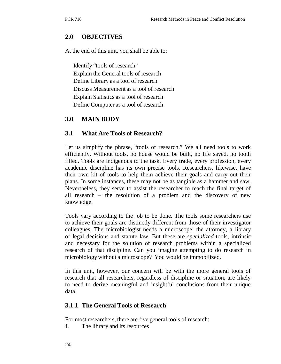### **2.0 OBJECTIVES**

At the end of this unit, you shall be able to:

Identify "tools of research" Explain the General tools of research Define Library as a tool of research Discuss Measurement as a tool of research Explain Statistics as a tool of research Define Computer as a tool of research

### **3.0 MAIN BODY**

### **3.1 What Are Tools of Research?**

Let us simplify the phrase, "tools of research." We all need tools to work efficiently. Without tools, no house would be built, no life saved, no tooth filled. Tools are indigenous to the task. Every trade, every profession, every academic discipline has its own precise tools. Researchers, likewise, have their own kit of tools to help them achieve their goals and carry out their plans. In some instances, these may not be as tangible as a hammer and saw. Nevertheless, they serve to assist the researcher to reach the final target of all research – the resolution of a problem and the discovery of new knowledge.

Tools vary according to the job to be done. The tools some researchers use to achieve their goals are distinctly different from those of their investigator colleagues. The microbiologist needs a microscope; the attorney, a library of legal decisions and statute law. But these are *specialized* tools, intrinsic and necessary for the solution of research problems within a specialized research of that discipline. Can you imagine attempting to do research in microbiology without a microscope? You would be immobilized.

In this unit, however, our concern will be with the more general tools of research that all researchers, regardless of discipline or situation, are likely to need to derive meaningful and insightful conclusions from their unique data.

### **3.1.1 The General Tools of Research**

For most researchers, there are five general tools of research:

1. The library and its resources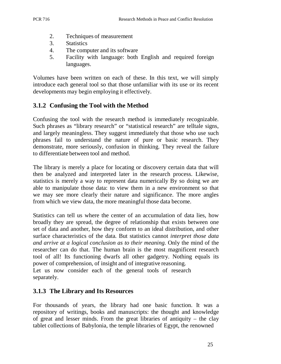- 2. Techniques of measurement
- 3. Statistics
- 4. The computer and its software
- 5. Facility with language: both English and required foreign languages.

Volumes have been written on each of these. In this text, we will simply introduce each general tool so that those unfamiliar with its use or its recent developments may begin employing it effectively.

# **3.1.2 Confusing the Tool with the Method**

Confusing the tool with the research method is immediately recognizable. Such phrases as "library research" or "statistical research" are telltale signs, and largely meaningless. They suggest immediately that those who use such phrases fail to understand the nature of pure or basic research. They demonstrate, more seriously, confusion in thinking. They reveal the failure to differentiate between tool and method.

The library is merely a place for locating or discovery certain data that will then be analyzed and interpreted later in the research process. Likewise, statistics is merely a way to represent data numerically By so doing we are able to manipulate those data: to view them in a new environment so that we may see more clearly their nature and significance. The more angles from which we view data, the more meaningful those data become.

Statistics can tell us where the center of an accumulation of data lies, how broadly they are spread, the degree of relationship that exists between one set of data and another, how they conform to an ideal distribution, and other surface characteristics of the data. But statistics cannot *interpret those data and arrive at a logical conclusion as to their meaning.* Only the mind of the researcher can do that. The human brain is the most magnificent research tool of all! Its functioning dwarfs all other gadgetry. Nothing equals its power of comprehension, of insight and of integrative reasoning. Let us now consider each of the general tools of research separately.

# **3.1.3 The Library and Its Resources**

For thousands of years, the library had one basic function. It was a repository of writings, books and manuscripts: the thought and knowledge of great and lesser minds. From the great libraries of antiquity – the clay tablet collections of Babylonia, the temple libraries of Egypt, the renowned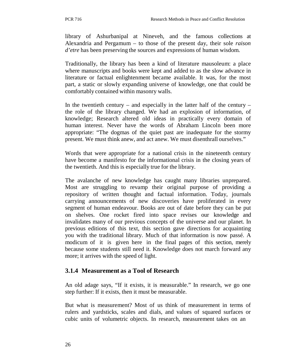library of Ashurbanipal at Nineveh, and the famous collections at Alexandria and Pergamum – to those of the present day, their sole *raison d'etre* has been preserving the sources and expressions of human wisdom.

Traditionally, the library has been a kind of literature mausoleum: a place where manuscripts and books were kept and added to as the slow advance in literature or factual enlightenment became available. It was, for the most part, a static or slowly expanding universe of knowledge, one that could be comfortably contained within masonry walls.

In the twentieth century – and especially in the latter half of the century – the role of the library changed. We had an explosion of information, of knowledge; Research altered old ideas in practically every domain of human interest. Never have the words of Abraham Lincoln been more appropriate: "The dogmas of the quiet past are inadequate for the stormy present. We must think anew, and act anew. We must disenthrall ourselves."

Words that were appropriate for a national crisis in the nineteenth century have become a manifesto for the informational crisis in the closing years of the twentieth. And this is especially true for the library.

The avalanche of new knowledge has caught many libraries unprepared. Most are struggling to revamp their original purpose of providing a repository of written thought and factual information. Today, journals carrying announcements of new discoveries have proliferated in every segment of human endeavour. Books are out of date before they can be put on shelves. One rocket fired into space revises our knowledge and invalidates many of our previous concepts of the universe and our planet. In previous editions of this text, this section gave directions for acquainting you with the traditional library. Much of that information is now passé. A modicum of it is given here in the final pages of this section, merely because some students still need it. Knowledge does not march forward any more; it arrives with the speed of light.

#### **3.1.4 Measurement as a Tool of Research**

An old adage says, "If it exists, it is measurable." In research, we go one step further: If it exists, then it must be measurable.

But what is measurement? Most of us think of measurement in terms of rulers and yardsticks, scales and dials, and values of squared surfaces or cubic units of volumetric objects. In research, measurement takes on an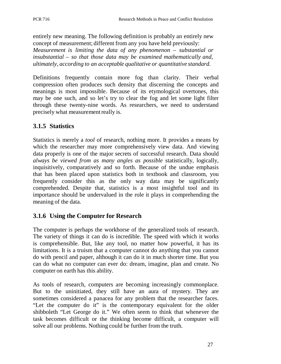entirely new meaning. The following definition is probably an entirely new concept of measurement; different from any you have held previously:

*Measurement is limiting the data of any phenomenon – substantial or insubstantial – so that those data may be examined mathematically and, ultimately, according to an acceptable qualitative or quantitative standard.*

Definitions frequently contain more fog than clarity. Their verbal compression often produces such density that discerning the concepts and meanings is most impossible. Because of its etymological overtones, this may be one such, and so let's try to clear the fog and let some light filter through these twenty-nine words. As researchers, we need to understand precisely what measurement really is.

### **3.1.5 Statistics**

Statistics is merely a *tool* of research, nothing more. It provides a means by which the researcher may more comprehensively view data. And viewing data properly is one of the major secrets of successful research. Data should *always be viewed from as many angles as possible* statistically, logically, inquisitively, comparatively and so forth. Because of the undue emphasis that has been placed upon statistics both in textbook and classroom, you frequently consider this as the only way data may be significantly comprehended. Despite that, statistics is a most insightful tool and its importance should be undervalued in the role it plays in comprehending the meaning of the data.

### **3.1.6 Using the Computer for Research**

The computer is perhaps the workhorse of the generalized tools of research. The variety of things it can do is incredible. The speed with which it works is comprehensible. But, like any tool, no matter how powerful, it has its limitations. It is a truism that a computer cannot do anything that you cannot do with pencil and paper, although it can do it in much shorter time. But you can do what no computer can ever do: dream, imagine, plan and create. No computer on earth has this ability.

As tools of research, computers are becoming increasingly commonplace. But to the uninitiated, they still have an aura of mystery. They are sometimes considered a panacea for any problem that the researcher faces. "Let the computer do it" is the contemporary equivalent for the older shibboleth "Let George do it." We often seem to think that whenever the task becomes difficult or the thinking become difficult, a computer will solve all our problems. Nothing could be further from the truth.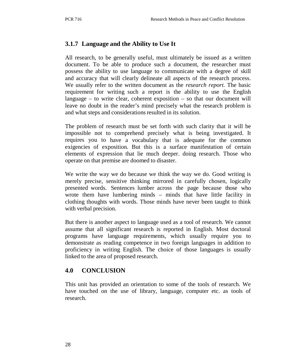# **3.1.7 Language and the Ability to Use It**

All research, to be generally useful, must ultimately be issued as a written document. To be able to produce such a document, the researcher must possess the ability to use language to communicate with a degree of skill and accuracy that will clearly delineate all aspects of the research process. We usually refer to the written document as the *research report.* The basic requirement for writing such a report is the ability to use the English language – to write clear, coherent exposition – so that our document will leave no doubt in the reader's mind precisely what the research problem is and what steps and considerations resulted in its solution.

The problem of research must be set forth with such clarity that it will be impossible not to comprehend precisely what is being investigated. It requires you to have a vocabulary that is adequate for the common exigencies of exposition. But this is a surface manifestation of certain elements of expression that lie much deeper. doing research. Those who operate on that premise are doomed to disaster.

We write the way we do because we think the way we do. Good writing is merely precise, sensitive thinking mirrored in carefully chosen, logically presented words. Sentences lumber across the page because those who wrote them have lumbering minds – minds that have little facility in clothing thoughts with words. Those minds have never been taught to think with verbal precision.

But there is another aspect to language used as a tool of research. We cannot assume that all significant research is reported in English. Most doctoral programs have language requirements, which usually require you to demonstrate as reading competence in two foreign languages in addition to proficiency in writing English. The choice of those languages is usually linked to the area of proposed research.

### **4.0 CONCLUSION**

This unit has provided an orientation to some of the tools of research. We have touched on the use of library, language, computer etc. as tools of research.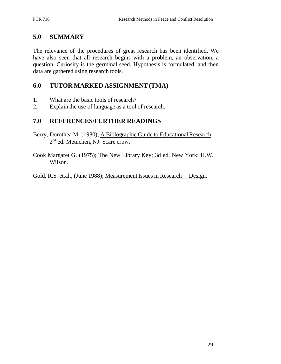#### **5.0 SUMMARY**

The relevance of the procedures of great research has been identified. We have also seen that all research begins with a problem, an observation, a question. Curiosity is the germinal seed. Hypothesis is formulated, and then data are gathered using research tools.

#### **6.0 TUTOR MARKED ASSIGNMENT(TMA)**

- 1. What are the basic tools of research?
- 2. Explain the use of language as a tool of research.

#### **7.0 REFERENCES/FURTHER READINGS**

- Berry, Dorothea M. (1980); A Biblographic Guide to Educational Research; 2<sup>nd</sup> ed. Metuchen, NJ: Scare crow.
- Cook Margaret G. (1975); The New Library Key; 3d ed. New York: H.W. Wilson.

Gold, R.S. et.al., (June 1988); Measurement Issues in Research Design.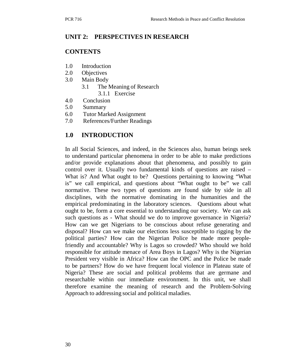# **UNIT 2: PERSPECTIVES IN RESEARCH**

### **CONTENTS**

- 1.0 Introduction
- 2.0 Objectives
- 3.0 Main Body
	- 3.1 The Meaning of Research 3.1.1 Exercise
- 4.0 Conclusion
- 5.0 Summary
- 6.0 Tutor Marked Assignment
- 7.0 References/Further Readings

# **1.0 INTRODUCTION**

In all Social Sciences, and indeed, in the Sciences also, human beings seek to understand particular phenomena in order to be able to make predictions and/or provide explanations about that phenomena, and possibly to gain control over it. Usually two fundamental kinds of questions are raised – What is? And What ought to be? Questions pertaining to knowing "What is" we call empirical, and questions about "What ought to be" we call normative. These two types of questions are found side by side in all disciplines, with the normative dominating in the humanities and the empirical predominating in the laboratory sciences. Questions about what ought to be, form a core essential to understanding our society. We can ask such questions as - What should we do to improve governance in Nigeria? How can we get Nigerians to be conscious about refuse generating and disposal? How can we make our elections less susceptible to rigging by the political parties? How can the Nigerian Police be made more peoplefriendly and accountable? Why is Lagos so crowded? Who should we hold responsible for attitude menace of Area Boys in Lagos? Why is the Nigerian President very visible in Africa? How can the OPC and the Police be made to be partners? How do we have frequent local violence in Plateau state of Nigeria? These are social and political problems that are germane and researchable within our immediate environment. In this unit, we shall therefore examine the meaning of research and the Problem-Solving Approach to addressing social and political maladies.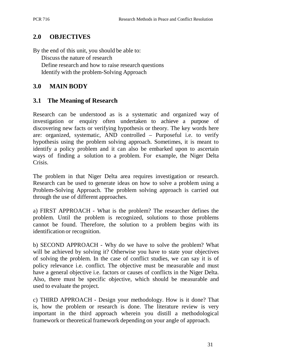#### **2.0 OBJECTIVES**

By the end of this unit, you should be able to: Discuss the nature of research Define research and how to raise research questions Identify with the problem-Solving Approach

#### **3.0 MAIN BODY**

#### **3.1 The Meaning of Research**

Research can be understood as is a systematic and organized way of investigation or enquiry often undertaken to achieve a purpose of discovering new facts or verifying hypothesis or theory. The key words here are: organized, systematic, AND controlled – Purposeful i.e. to verify hypothesis using the problem solving approach. Sometimes, it is meant to identify a policy problem and it can also be embarked upon to ascertain ways of finding a solution to a problem. For example, the Niger Delta Crisis.

The problem in that Niger Delta area requires investigation or research. Research can be used to generate ideas on how to solve a problem using a Problem-Solving Approach. The problem solving approach is carried out through the use of different approaches.

a) FIRST APPROACH - What is the problem? The researcher defines the problem. Until the problem is recognized, solutions to those problems cannot be found. Therefore, the solution to a problem begins with its identification or recognition.

b) SECOND APPROACH - Why do we have to solve the problem? What will be achieved by solving it? Otherwise you have to state your objectives of solving the problem. In the case of conflict studies, we can say it is of policy relevance i.e. conflict. The objective must be measurable and must have a general objective i.e. factors or causes of conflicts in the Niger Delta. Also, there must be specific objective, which should be measurable and used to evaluate the project.

c) THIRD APPROACH - Design your methodology. How is it done? That is, how the problem or research is done. The literature review is very important in the third approach wherein you distill a methodological framework or theoretical framework depending on your angle of approach.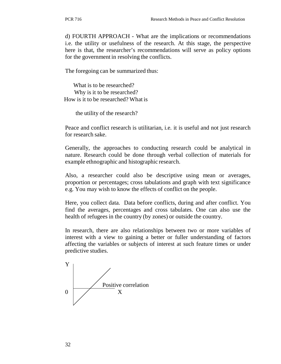d) FOURTH APPROACH - What are the implications or recommendations i.e. the utility or usefulness of the research. At this stage, the perspective here is that, the researcher's recommendations will serve as policy options for the government in resolving the conflicts.

The foregoing can be summarized thus:

What is to be researched? Why is it to be researched? How is it to be researched? What is

the utility of the research?

Peace and conflict research is utilitarian, i.e. it is useful and not just research for research sake.

Generally, the approaches to conducting research could be analytical in nature. Research could be done through verbal collection of materials for example ethnographic and histographic research.

Also, a researcher could also be descriptive using mean or averages, proportion or percentages; cross tabulations and graph with text significance e.g. You may wish to know the effects of conflict on the people.

Here, you collect data. Data before conflicts, during and after conflict. You find the averages, percentages and cross tabulates. One can also use the health of refugees in the country (by zones) or outside the country.

In research, there are also relationships between two or more variables of interest with a view to gaining a better or fuller understanding of factors affecting the variables or subjects of interest at such feature times or under predictive studies.

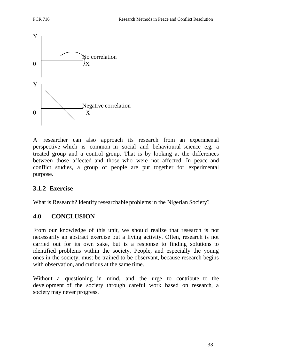

A researcher can also approach its research from an experimental perspective which is common in social and behavioural science e.g. a treated group and a control group. That is by looking at the differences between those affected and those who were not affected. In peace and conflict studies, a group of people are put together for experimental purpose.

#### **3.1.2 Exercise**

What is Research? Identify researchable problems in the Nigerian Society?

#### **4.0 CONCLUSION**

From our knowledge of this unit, we should realize that research is not necessarily an abstract exercise but a living activity. Often, research is not carried out for its own sake, but is a response to finding solutions to identified problems within the society. People, and especially the young ones in the society, must be trained to be observant, because research begins with observation, and curious at the same time.

Without a questioning in mind, and the urge to contribute to the development of the society through careful work based on research, a society may never progress.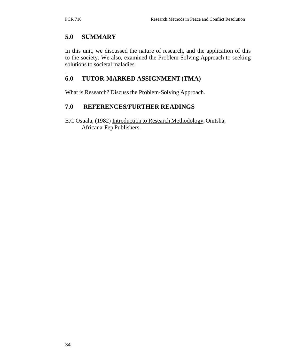### **5.0 SUMMARY**

In this unit, we discussed the nature of research, and the application of this to the society. We also, examined the Problem-Solving Approach to seeking solutions to societal maladies.

#### . **6.0 TUTOR-MARKED ASSIGNMENT(TMA)**

What is Research? Discuss the Problem-Solving Approach.

# **7.0 REFERENCES/FURTHER READINGS**

E.C Osuala, (1982) Introduction to Research Methodology, Onitsha, Africana-Fep Publishers.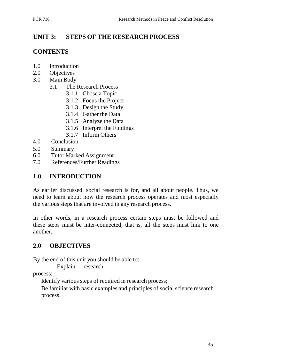### **UNIT 3: STEPS OF THE RESEARCH PROCESS**

### **CONTENTS**

- 1.0 Introduction
- 2.0 Objectives
- 3.0 Main Body
	- 3.1 The Research Process
		- 3.1.1 Chose a Topic
		- 3.1.2 Focus the Project
		- 3.1.3 Design the Study
		- 3.1.4 Gather the Data
		- 3.1.5 Analyze the Data
		- 3.1.6 Interpret the Findings
		- 3.1.7 Inform Others
- 4.0 Conclusion
- 5.0 Summary
- 6.0 Tutor Marked Assignment
- 7.0 References/Further Readings

# **1.0 INTRODUCTION**

As earlier discussed, social research is for, and all about people. Thus, we need to learn about how the research process operates and most especially the various steps that are involved in any research process.

In other words, in a research process certain steps must be followed and these steps must be inter-connected; that is, all the steps must link to one another.

# **2.0 OBJECTIVES**

By the end of this unit you should be able to:

Explain research

process;

Identify various steps of required in research process;

Be familiar with basic examples and principles of social science research process.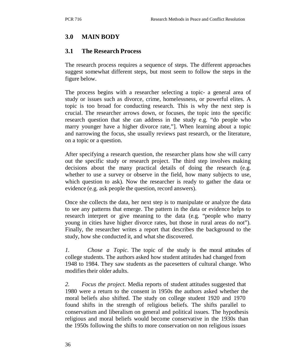### **3.0 MAIN BODY**

### **3.1 The Research Process**

The research process requires a sequence of steps. The different approaches suggest somewhat different steps, but most seem to follow the steps in the figure below.

The process begins with a researcher selecting a topic- a general area of study or issues such as divorce, crime, homelessness, or powerful elites. A topic is too broad for conducting research. This is why the next step is crucial. The researcher arrows down, or focuses, the topic into the specific research question that she can address in the study e.g. "do people who marry younger have a higher divorce rate,"]. When learning about a topic and narrowing the focus, she usually reviews past research, or the literature, on a topic or a question.

After specifying a research question, the researcher plans how she will carry out the specific study or research project. The third step involves making decisions about the many practical details of doing the research (e.g. whether to use a survey or observe in the field, how many subjects to use, which question to ask). Now the researcher is ready to gather the data or evidence (e.g. ask people the question, record answers).

Once she collects the data, her next step is to manipulate or analyze the data to see any patterns that emerge. The pattern in the data or evidence helps to research interpret or give meaning to the data (e.g. "people who marry young in cities have higher divorce rates, but those in rural areas do not"). Finally, the researcher writes a report that describes the background to the study, how she conducted it, and what she discovered.

*1. Chose a Topic*. The topic of the study is the moral attitudes of college students. The authors asked how student attitudes had changed from 1948 to 1984. They saw students as the pacesetters of cultural change. Who modifies their older adults.

*2. Focus the project*. Media reports of student attitudes suggested that 1980 were a return to the consent in 1950s the authors asked whether the moral beliefs also shifted. The study on college student 1920 and 1970 found shifts in the strength of religious beliefs. The shifts parallel to conservatism and liberalism on general and political issues. The hypothesis religious and moral beliefs would become conservative in the 1930s than the 1950s following the shifts to more conservation on non religious issues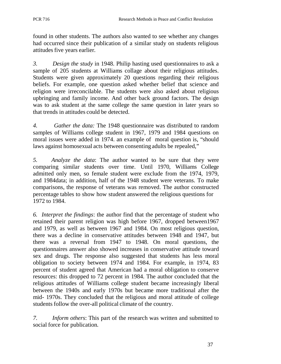found in other students. The authors also wanted to see whether any changes had occurred since their publication of a similar study on students religious attitudes five years earlier.

*3. Design the study* in 1948. Philip hasting used questionnaires to ask a sample of 205 students at Williams collage about their religious attitudes. Students were given approximately 20 questions regarding their religious beliefs. For example, one question asked whether belief that science and religion were irreconcilable. The students were also asked about religious upbringing and family income. And other back ground factors. The design was to ask student at the same college the same question in later years so that trends in attitudes could be detected.

*4. Gather the data:* The 1948 questionnaire was distributed to random samples of Williams college student in 1967, 1979 and 1984 questions on moral issues were added in 1974. an example of moral question is, "should laws against homosexual acts between consenting adults be repealed,"

*5. Analyze the data*: The author wanted to be sure that they were comparing similar students over time. Until 1970, Williams College admitted only men, so female student were exclude from the 1974, 1979, and 1984data; in addition, half of the 1948 student were veterans. To make comparisons, the response of veterans was removed. The author constructed percentage tables to show how student answered the religious questions for 1972 to 1984.

*6. Interpret the findings*: the author find that the percentage of student who retained their parent religion was high before 1967, dropped between1967 and 1979, as well as between 1967 and 1984. On most religious question, there was a decline in conservative attitudes between 1948 and 1947, but there was a reversal from 1947 to 1948. On moral questions, the questionnaires answer also showed increases in conservative attitude toward sex and drugs. The response also suggested that students has less moral obligation to society between 1974 and 1984. For example, in 1974, 83 percent of student agreed that American had a moral obligation to conserve resources: this dropped to 72 percent in 1984. The author concluded that the religious attitudes of Williams college student became increasingly liberal between the 1940s and early 1970s but became more traditional after the mid- 1970s. They concluded that the religious and moral attitude of college students follow the over-all political climate of the country.

*7. Inform others*: This part of the research was written and submitted to social force for publication.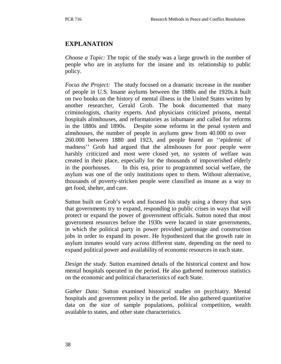### **EXPLANATION**

*Choose a Topic:* The topic of the study was a large growth in the number of people who are in asylums for the insane and its relationship to public policy.

*Focus the Project:* The study focused on a dramatic increase in the number of people in U.S. Insane asylums between the 1880s and the 1920s.it built on two books on the history of mental illness in the United States written by another researcher, Gerald Grob. The book documented that many criminologists, charity experts. And physicians criticized prisons, mental hospitals almshouses, and reformatories as inhumane and called for reforms in the 1880s and 1890s. Despite some reforms in the penal system and almshouses, the number of people in asylums grew from 40.000 to over 260.000 between 1880 and 1923, and people feared an ''epidemic of madness'' Grob had argued that the almshouses for poor people were harshly criticized and most were closed yet, no system of welfare was created in their place, especially for the thousands of impoverished elderly in the poorhouses. In this era, prior to programmed social welfare, the asylum was one of the only institutions open to them. Without alternative, thousands of poverty-stricken people were classified as insane as a way to get food, shelter, and care.

Sutton built on Grob's work and focused his study using a theory that says that governments try to expand, responding to public crises in ways that will protect or expand the power of government officials. Sutton noted that most government resources before the 1930s were located in state governments, in which the political party in power provided patronage and construction jobs in order to expand its power. He hypothesized that the growth rate in asylum inmates would vary across different state, depending on the need to expand political power and availability of economic resources in each state.

*Design the study*. Sutton examined details of the historical context and how mental hospitals operated in the period. He also gathered numerous statistics on the economic and political characteristics of each State.

*Gather Data:* Sutton examined historical studies on psychiatry. Mental hospitals and government policy in the period. He also gathered quantitative data on the size of sample populations, political competition, wealth available to states, and other state characteristics.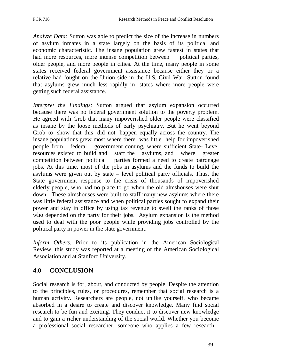*Analyze Data:* Sutton was able to predict the size of the increase in numbers of asylum inmates in a state largely on the basis of its political and economic characteristic. The insane population grew fastest in states that had more resources, more intense competition between political parties, older people, and more people in cities. At the time, many people in some states received federal government assistance because either they or a relative had fought on the Union side in the U.S. Civil War. Sutton found that asylums grew much less rapidly in states where more people were getting such federal assistance.

*Interpret the Findings:* Sutton argued that asylum expansion occurred because there was no federal government solution to the poverty problem. He agreed with Grob that many impoverished older people were classified as insane by the loose methods of early psychiatry. But he went beyond Grob to show that this did not happen equally across the country. The insane populations grew most where there was little help for impoverished people from federal government coming, where sufficient State- Level resources existed to build and staff the asylums, and where greater competition between political parties formed a need to create patronage jobs. At this time, most of the jobs in asylums and the funds to build the asylums were given out by state – level political party officials. Thus, the State government response to the crisis of thousands of impoverished elderly people, who had no place to go when the old almshouses were shut down. These almshouses were built to staff many new asylums where there was little federal assistance and when political parties sought to expand their power and stay in office by using tax revenue to swell the ranks of those who depended on the party for their jobs. Asylum expansion is the method used to deal with the poor people while providing jobs controlled by the political party in power in the state government.

*Inform Others.* Prior to its publication in the American Sociological Review, this study was reported at a meeting of the American Sociological Association and at Stanford University.

### **4.0 CONCLUSION**

Social research is for, about, and conducted by people. Despite the attention to the principles, rules, or procedures, remember that social research is a human activity. Researchers are people, not unlike yourself, who became absorbed in a desire to create and discover knowledge. Many find social research to be fun and exciting. They conduct it to discover new knowledge and to gain a richer understanding of the social world. Whether you become a professional social researcher, someone who applies a few research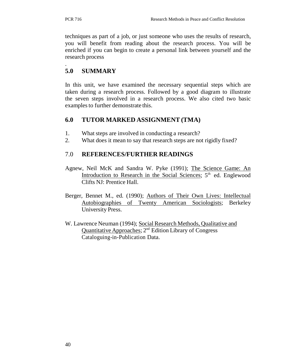techniques as part of a job, or just someone who uses the results of research, you will benefit from reading about the research process. You will be enriched if you can begin to create a personal link between yourself and the research process

#### . **5.0 SUMMARY**

In this unit, we have examined the necessary sequential steps which are taken during a research process. Followed by a good diagram to illustrate the seven steps involved in a research process. We also cited two basic examples to further demonstrate this.

# **6.0 TUTOR MARKED ASSIGNMENT (TMA)**

- 1. What steps are involved in conducting a research?
- 2. What does it mean to say that research steps are not rigidly fixed?

# 7.0 **REFERENCES/FURTHER READINGS**

- Agnew, Neil McK and Sandra W. Pyke (1991); The Science Game: An Introduction to Research in the Social Sciences;  $5<sup>th</sup>$  ed. Englewood Clifts NJ: Prentice Hall.
- Berger, Bennet M., ed. (1990); Authors of Their Own Lives: Intellectual Autobiographies of Twenty American Sociologists; Berkeley University Press.
- W. Lawrence Neuman (1994); Social Research Methods, Qualitative and Quantitative Approaches;  $2<sup>nd</sup>$  Edition Library of Congress Cataloguing-in-Publication Data.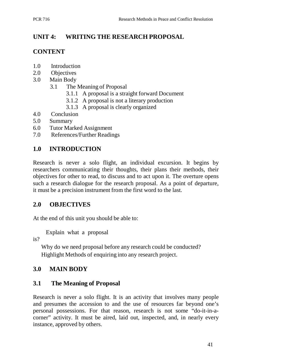# **UNIT 4: WRITING THE RESEARCH PROPOSAL**

### **CONTENT**

- 1.0 Introduction
- 2.0 Objectives
- 3.0 Main Body
	- 3.1 The Meaning of Proposal
		- 3.1.1 A proposal is a straight forward Document
		- 3.1.2 A proposal is not a literary production
		- 3.1.3 A proposal is clearly organized
- 4.0 Conclusion
- 5.0 Summary
- 6.0 Tutor Marked Assignment
- 7.0 References/Further Readings

# **1.0 INTRODUCTION**

Research is never a solo flight, an individual excursion. It begins by researchers communicating their thoughts, their plans their methods, their objectives for other to read, to discuss and to act upon it. The overture opens such a research dialogue for the research proposal. As a point of departure, it must be a precision instrument from the first word to the last.

# **2.0 OBJECTIVES**

At the end of this unit you should be able to:

Explain what a proposal

is?

Why do we need proposal before any research could be conducted? Highlight Methods of enquiring into any research project.

### **3.0 MAIN BODY**

### **3.1 The Meaning of Proposal**

Research is never a solo flight. It is an activity that involves many people and presumes the accession to and the use of resources far beyond one's personal possessions. For that reason, research is not some "do-it-in-acorner" activity. It must be aired, laid out, inspected, and, in nearly every instance, approved by others.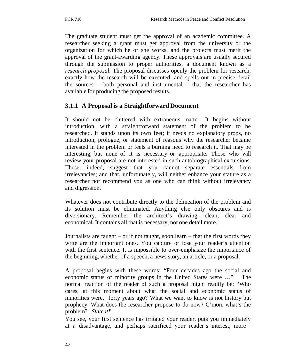The graduate student must get the approval of an academic committee. A researcher seeking a grant must get approval from the university or the organization for which he or she works, and the projects must merit the approval of the grant-awarding agency. These approvals are usually secured through the submission to proper authorities, a document known as a *research proposal.* The proposal discusses openly the problem for research, exactly how the research will be executed, and spells out in precise detail the sources – both personal and instrumental – that the researcher has available for producing the proposed results.

### **3.1.1 A Proposal is a Straightforward Document**

It should not be cluttered with extraneous matter. It begins without introduction, with a straightforward statement of the problem to be researched. It stands upon its own feet; it needs no explanatory props, no introduction, prologue, or statement of reasons why the researcher became interested in the problem or feels a burning need to research it. That may be interesting, but none of it is necessary or appropriate. Those who will review your proposal are not interested in such autobiographical excursions. These, indeed, suggest that you cannot separate essentials from irrelevancies; and that, unfortunately, will neither enhance your stature as a researcher nor recommend you as one who can think without irrelevancy and digression.

Whatever does not contribute directly to the delineation of the problem and its solution must be eliminated. Anything else only obscures and is diversionary. Remember the architect's drawing: clean, clear and economical. It contains all that is necessary; not one detail more.

Journalists are taught – or if not taught, soon learn – that the first words they write are the important ones. You capture or lose your reader's attention with the first sentence. It is impossible to over-emphasize the importance of the beginning, whether of a speech, a news story, an article, or a proposal.

A proposal begins with these words: "Four decades ago the social and economic status of minority groups in the United States were …" The normal reaction of the reader of such a proposal might readily be: "Who cares, at this moment about what the social and economic status of minorities were, forty years ago? What we want to know is not history but prophecy. What does the researcher propose to do now? C'mon, what's the problem? *State it!*"

You see, your first sentence has irritated your reader, puts you immediately at a disadvantage, and perhaps sacrificed your reader's interest; more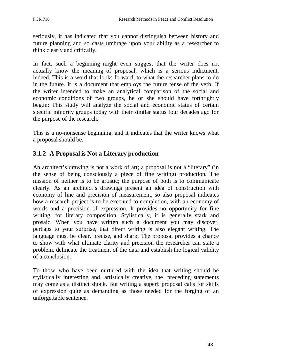seriously, it has indicated that you cannot distinguish between history and future planning and so casts umbrage upon your ability as a researcher to think clearly and critically.

In fact, such a beginning might even suggest that the writer does not actually know the meaning of proposal, which is a serious indictment, indeed. This is a word that looks forward, to what the researcher plans to do in the future. It is a document that employs the future tense of the verb. If the writer intended to make an analytical comparison of the social and economic conditions of two groups, he or she should have forthrightly begun: This study will analyze the social and economic status of certain specific minority groups today with their similar status four decades ago for the purpose of the research.

This is a no-nonsense beginning, and it indicates that the writer knows what a proposal should be.

### **3.1.2 A Proposal is Not a Literary production**

An architect's drawing is not a work of art; a proposal is not a "literary" (in the sense of being consciously a piece of fine writing) production. The mission of neither is to be artistic; the purpose of both is to communicate clearly. As an architect's drawings present an idea of construction with economy of line and precision of measurement, so also proposal indicates how a research project is to be executed to completion, with an economy of words and a precision of expression. It provides no opportunity for fine writing, for literary composition. Stylistically, it is generally stark and prosaic. When you have written such a document you may discover, perhaps to your surprise, that direct writing is also elegant writing. The language must be clear, precise, and sharp. The proposal provides a chance to show with what ultimate clarity and precision the researcher can state a problem, delineate the treatment of the data and establish the logical validity of a conclusion.

To those who have been nurtured with the idea that writing should be stylistically interesting and artistically creative, the preceding statements may come as a distinct shock. But writing a superb proposal calls for skills of expression quite as demanding as those needed for the forging of an unforgettable sentence.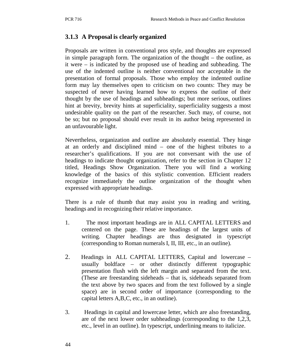### **3.1.3 A Proposal is clearly organized**

Proposals are written in conventional pros style, and thoughts are expressed in simple paragraph form. The organization of the thought – the outline, as it were – is indicated by the proposed use of heading and subheading. The use of the indented outline is neither conventional nor acceptable in the presentation of formal proposals. Those who employ the indented outline form may lay themselves open to criticism on two counts: They may be suspected of never having learned how to express the outline of their thought by the use of headings and subheadings; but more serious, outlines hint at brevity, brevity hints at superficiality, superficiality suggests a most undesirable quality on the part of the researcher. Such may, of course, not be so; but no proposal should ever result in its author being represented in an unfavourable light.

Nevertheless, organization and outline are absolutely essential. They hinge at an orderly and disciplined mind – one of the highest tributes to a researcher's qualifications. If you are not conversant with the use of headings to indicate thought organization, refer to the section in Chapter 12 titled, Headings Show Organization. There you will find a working knowledge of the basics of this stylistic convention. Efficient readers recognize immediately the outline organization of the thought when expressed with appropriate headings.

There is a rule of thumb that may assist you in reading and writing, headings and in recognizing their relative importance.

- 1. The most important headings are in ALL CAPITAL LETTERS and centered on the page. These are headings of the largest units of writing. Chapter headings are thus designated in typescript (corresponding to Roman numerals I, II, III, etc., in an outline).
- 2. Headings in ALL CAPITAL LETTERS, Capital and lowercase usually boldface – or other distinctly different typographic presentation flush with the left margin and separated from the text. (These are freestanding sideheads – that is, sideheads separated from the text above by two spaces and from the text followed by a single space) are in second order of importance (corresponding to the capital letters A,B,C, etc., in an outline).
- 3. Headings in capital and lowercase letter, which are also freestanding, are of the next lower order subheadings (corresponding to the 1,2,3, etc., level in an outline). In typescript, underlining means to italicize.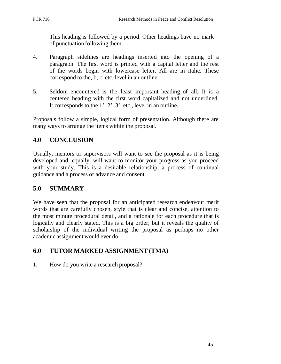This heading is followed by a period. Other headings have no mark of punctuation following them.

- 4. Paragraph sidelines are headings inserted into the opening of a paragraph. The first word is printed with a capital letter and the rest of the words begin with lowercase letter. All are in italic. These correspond to the, b, c, etc, level in an outline.
- 5. Seldom encountered is the least important heading of all. It is a centered heading with the first word capitalized and not underlined. It corresponds to the 1', 2', 3', etc., level in an outline.

Proposals follow a simple, logical form of presentation. Although there are many ways to arrange the items within the proposal.

# **4.0 CONCLUSION**

Usually, mentors or supervisors will want to see the proposal as it is being developed and, equally, will want to monitor your progress as you proceed with your study. This is a desirable relationship; a process of continual guidance and a process of advance and consent.

### **5.0 SUMMARY**

We have seen that the proposal for an anticipated research endeavour merit words that are carefully chosen, style that is clear and concise, attention to the most minute procedural detail, and a rationale for each procedure that is logically and clearly stated. This is a big order; but it reveals the quality of scholarship of the individual writing the proposal as perhaps no other academic assignment would ever do.

# **6.0 TUTOR MARKED ASSIGNMENT(TMA)**

1. How do you write a research proposal?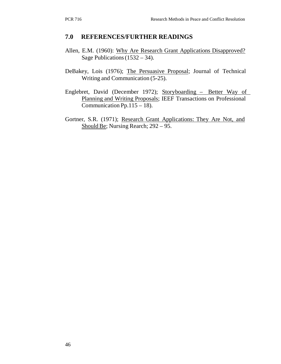#### **7.0 REFERENCES/FURTHER READINGS**

- Allen, E.M. (1960): Why Are Research Grant Applications Disapproved? Sage Publications(1532 – 34).
- DeBakey, Lois (1976); The Persuasive Proposal; Journal of Technical Writing and Communication (5-25).
- Englebret, David (December 1972); Storyboarding Better Way of Planning and Writing Proposals; IEEF Transactions on Professional Communication Pp.115 – 18).
- Gortner, S.R. (1971); Research Grant Applications: They Are Not, and Should Be; Nursing Rearch; 292 – 95.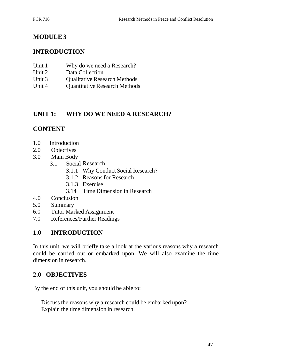#### **MODULE 3**

#### **INTRODUCTION**

- Unit 1 Why do we need a Research?
- Unit 2 Data Collection
- Unit 3 Oualitative Research Methods
- Unit 4 Quantitative Research Methods

#### **UNIT 1: WHY DO WE NEED A RESEARCH?**

#### **CONTENT**

- 1.0 Introduction
- 2.0 Objectives
- 3.0 Main Body
	- 3.1 Social Research
		- 3.1.1 Why Conduct Social Research?
		- 3.1.2 Reasons for Research
		- 3.1.3 Exercise
		- 3.14 Time Dimension in Research
- 4.0 Conclusion
- 5.0 Summary
- 6.0 Tutor Marked Assignment
- 7.0 References/Further Readings

#### **1.0 INTRODUCTION**

In this unit, we will briefly take a look at the various reasons why a research could be carried out or embarked upon. We will also examine the time dimension in research.

#### **2.0 OBJECTIVES**

By the end of this unit, you should be able to:

Discuss the reasons why a research could be embarked upon? Explain the time dimension in research.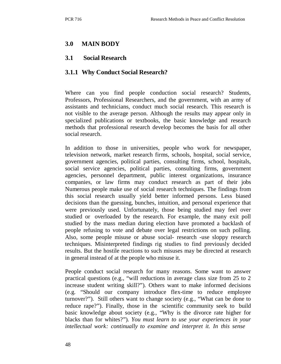### **3.0 MAIN BODY**

#### **3.1 Social Research**

#### **3.1.1 Why Conduct Social Research?**

Where can you find people conduction social research? Students, Professors, Professional Researchers, and the government, with an army of assistants and technicians, conduct much social research. This research is not visible to the average person. Although the results may appear only in specialized publications or textbooks, the basic knowledge and research methods that professional research develop becomes the basis for all other social research.

In addition to those in universities, people who work for newspaper, television network, market research firms, schools, hospital, social service, government agencies, political parties, consulting firms, school, hospitals, social service agencies, political parties, consulting firms, government agencies, personnel department, public interest organizations, insurance companies, or law firms may conduct research as part of their jobs Numerous people make use of social research techniques. The findings from this social research usually yield better informed persons. Less biased decisions than the guessing, bunches, intuition, and personal experience that were previously used. Unfortunately, those being studied may feel over studied or overloaded by the research. For example, the many exit poll studied by the mass median during election have promoted a backlash of people refusing to vote and debate over legal restrictions on such polling. Also, some people misuse or abuse social- research -use sloppy research techniques. Misinterpreted findings rig studies to find previously decided results. But the hostile reactions to such misuses may be directed at research in general instead of at the people who misuse it.

People conduct social research for many reasons. Some want to answer practical questions (e.g., "will reductions in average class size from 25 to 2 increase student writing skill?"). Others want to make informed decisions (e.g. "Should our company introduce flex-time to reduce employee turnover?"). Still others want to change society (e.g., "What can be done to reduce rape?"). Finally, those in the scientific community seek to build basic knowledge about society (e.g., "Why is the divorce rate higher for blacks than for whites?"). *You must learn to use your experiences in your intellectual work: continually to examine and interpret it. In this sense*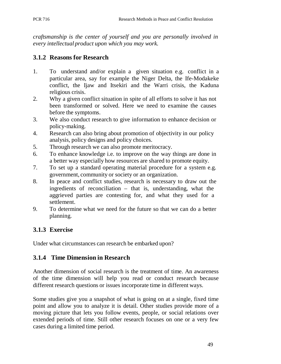*craftsmanship is the center of yourself and you are personally involved in every intellectual product upon which you may work.*

### **3.1.2 Reasons for Research**

- 1. To understand and/or explain a given situation e.g. conflict in a particular area, say for example the Niger Delta, the Ife-Modakeke conflict, the Ijaw and Itsekiri and the Warri crisis, the Kaduna religious crisis.
- 2. Why a given conflict situation in spite of all efforts to solve it has not been transformed or solved. Here we need to examine the causes before the symptoms.
- 3. We also conduct research to give information to enhance decision or policy-making.
- 4. Research can also bring about promotion of objectivity in our policy analysis, policy designs and policy choices.
- 5. Through research we can also promote meritocracy.
- 6. To enhance knowledge i.e. to improve on the way things are done in a better way especially how resources are shared to promote equity.
- 7. To set up a standard operating material procedure for a system e.g. government, community or society or an organization.
- 8. In peace and conflict studies, research is necessary to draw out the ingredients of reconciliation – that is, understanding, what the aggrieved parties are contesting for, and what they used for a settlement.
- 9. To determine what we need for the future so that we can do a better planning.

# **3.1.3 Exercise**

Under what circumstances can research be embarked upon?

### **3.1.4 Time Dimension in Research**

Another dimension of social research is the treatment of time. An awareness of the time dimension will help you read or conduct research because different research questions or issues incorporate time in different ways.

Some studies give you a snapshot of what is going on at a single, fixed time point and allow you to analyze it is detail. Other studies provide more of a moving picture that lets you follow events, people, or social relations over extended periods of time. Still other research focuses on one or a very few cases during a limited time period.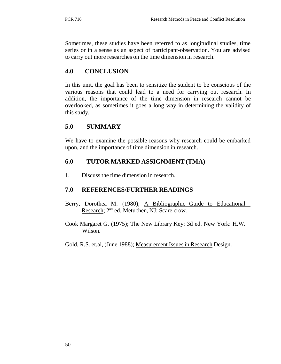Sometimes, these studies have been referred to as longitudinal studies, time series or in a sense as an aspect of participant-observation. You are advised to carry out more researches on the time dimension in research.

### **4.0 CONCLUSION**

In this unit, the goal has been to sensitize the student to be conscious of the various reasons that could lead to a need for carrying out research. In addition, the importance of the time dimension in research cannot be overlooked, as sometimes it goes a long way in determining the validity of this study.

### **5.0 SUMMARY**

We have to examine the possible reasons why research could be embarked upon, and the importance of time dimension in research.

#### **6.0 TUTOR MARKED ASSIGNMENT (TMA)**

1. Discuss the time dimension in research.

#### **7.0 REFERENCES/FURTHER READINGS**

- Berry, Dorothea M. (1980); A Bibliographic Guide to Educational Research; 2<sup>nd</sup> ed. Metuchen, NJ: Scare crow.
- Cook Margaret G. (1975); The New Library Key; 3d ed. New York: H.W. Wilson.

Gold, R.S. et.al, (June 1988); Measurement Issues in Research Design.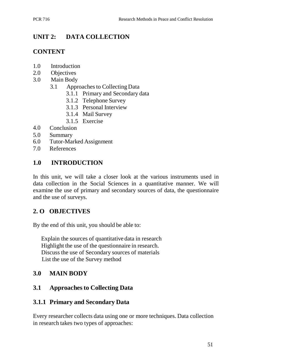# **UNIT 2: DATA COLLECTION**

# **CONTENT**

- 1.0 Introduction
- 2.0 Objectives
- 3.0 Main Body
	- 3.1 Approaches to Collecting Data
		- 3.1.1 Primary and Secondary data
		- 3.1.2 Telephone Survey
		- 3.1.3 Personal Interview
		- 3.1.4 Mail Survey
		- 3.1.5 Exercise
- 4.0 **Conclusion**
- 5.0 Summary
- 6.0 Tutor-Marked Assignment
- 7.0 References

# **1.0 INTRODUCTION**

In this unit, we will take a closer look at the various instruments used in data collection in the Social Sciences in a quantitative manner. We will examine the use of primary and secondary sources of data, the questionnaire and the use of surveys.

# **2. O OBJECTIVES**

By the end of this unit, you should be able to:

Explain the sources of quantitative data in research Highlight the use of the questionnaire in research. Discuss the use of Secondary sources of materials List the use of the Survey method

# **3.0 MAIN BODY**

# **3.1 Approaches to Collecting Data**

# **3.1.1 Primary and Secondary Data**

Every researcher collects data using one or more techniques. Data collection in research takes two types of approaches: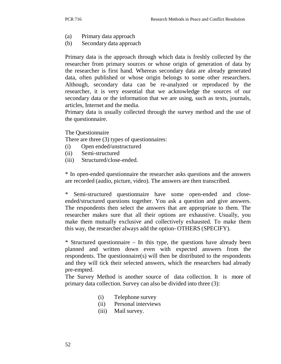- (a) Primary data approach
- (b) Secondary data approach

Primary data is the approach through which data is freshly collected by the researcher from primary sources or whose origin of generation of data by the researcher is first hand. Whereas secondary data are already generated data, often published or whose origin belongs to some other researchers. Although, secondary data can be re-analyzed or reproduced by the researcher, it is very essential that we acknowledge the sources of our secondary data or the information that we are using, such as texts, journals, articles, Internet and the media.

Primary data is usually collected through the survey method and the use of the questionnaire.

The Questionnaire

There are three (3) types of questionnaires:

- (i) Open ended/unstructured
- (ii) Semi-structured
- (iii) Structured/close-ended.

\* In open-ended questionnaire the researcher asks questions and the answers are recorded (audio, picture, video). The answers are then transcribed.

Semi-structured questionnaire have some open-ended and closeended/structured questions together. You ask a question and give answers. The respondents then select the answers that are appropriate to them. The researcher makes sure that all their options are exhaustive. Usually, you make them mutually exclusive and collectively exhausted. To make them this way, the researcher always add the option- OTHERS (SPECIFY).

\* Structured questionnaire – In this type, the questions have already been planned and written down even with expected answers from the respondents. The questionnaire(s) will then be distributed to the respondents and they will tick their selected answers, which the researchers had already pre-empted.

The Survey Method is another source of data collection. It is more of primary data collection. Survey can also be divided into three (3):

- (i) Telephone survey
- (ii) Personal interviews
- (iii) Mail survey.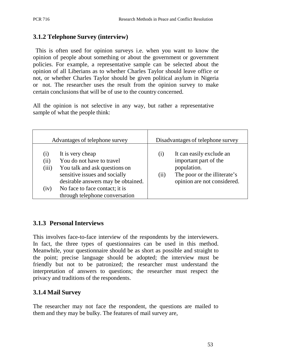# **3.1.2 Telephone Survey (interview)**

This is often used for opinion surveys i.e. when you want to know the opinion of people about something or about the government or government policies. For example, a representative sample can be selected about the opinion of all Liberians as to whether Charles Taylor should leave office or not, or whether Charles Taylor should be given political asylum in Nigeria or not. The researcher uses the result from the opinion survey to make certain conclusionsthat will be of use to the country concerned.

All the opinion is not selective in any way, but rather a representative sample of what the people think:

| Advantages of telephone survey                                                                                                                                                                                                                            | Disadvantages of telephone survey                                                                                                              |
|-----------------------------------------------------------------------------------------------------------------------------------------------------------------------------------------------------------------------------------------------------------|------------------------------------------------------------------------------------------------------------------------------------------------|
| It is very cheap<br>(i)<br>You do not have to travel<br>(ii)<br>(iii)<br>You talk and ask questions on<br>sensitive issues and socially<br>desirable answers may be obtained.<br>No face to face contact; it is<br>(iv)<br>through telephone conversation | It can easily exclude an<br>(i)<br>important part of the<br>population.<br>The poor or the illiterate's<br>(11)<br>opinion are not considered. |

# **3.1.3 Personal Interviews**

This involves face-to-face interview of the respondents by the interviewers. In fact, the three types of questionnaires can be used in this method. Meanwhile, your questionnaire should be as short as possible and straight to the point; precise language should be adopted; the interview must be friendly but not to be patronized; the researcher must understand the interpretation of answers to questions; the researcher must respect the privacy and traditions of the respondents.

# **3.1.4 Mail Survey**

The researcher may not face the respondent, the questions are mailed to them and they may be bulky. The features of mail survey are,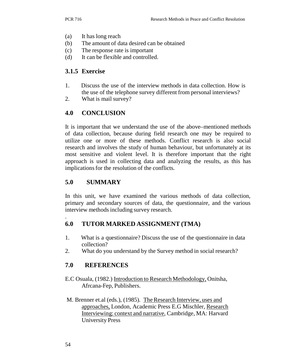- (a) It has long reach
- (b) The amount of data desired can be obtained
- (c) The response rate is important
- (d) It can be flexible and controlled.

# **3.1.5 Exercise**

- 1. Discuss the use of the interview methods in data collection. How is the use of the telephone survey different from personal interviews?
- 2. What is mail survey?

# **4.0 CONCLUSION**

It is important that we understand the use of the above–mentioned methods of data collection, because during field research one may be required to utilize one or more of these methods. Conflict research is also social research and involves the study of human behaviour, but unfortunately at its most sensitive and violent level. It is therefore important that the right approach is used in collecting data and analyzing the results, as this has implications for the resolution of the conflicts.

# **5.0 SUMMARY**

In this unit, we have examined the various methods of data collection, primary and secondary sources of data, the questionnaire, and the various interview methods including survey research.

#### . **6.0 TUTOR MARKED ASSIGNMENT (TMA)**

- 1. What is a questionnaire? Discuss the use of the questionnaire in data collection?
- 2. What do you understand by the Survey method in social research?

# **7.0 REFERENCES**

- E.C Osuala, (1982.) Introduction to Research Methodology, Onitsha, Afrcana-Fep, Publishers.
- M. Brenner et.al (eds.), (1985). The Research Interview, uses and approaches, London, Academic Press E.G Mischler, Research Interviewing: context and narrative, Cambridge, MA: Harvard University Press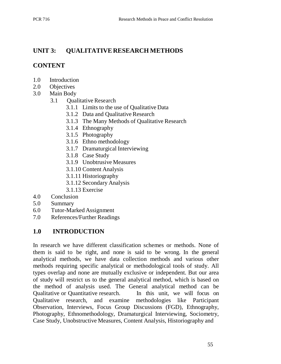# **UNIT 3: QUALITATIVE RESEARCH METHODS**

#### **CONTENT**

- 1.0 Introduction
- 2.0 Objectives
- 3.0 Main Body
	- 3.1 Qualitative Research
		- 3.1.1 Limits to the use of Qualitative Data
		- 3.1.2 Data and Qualitative Research
		- 3.1.3 The Many Methods of Qualitative Research
		- 3.1.4 Ethnography
		- 3.1.5 Photography
		- 3.1.6 Ethno methodology
		- 3.1.7 Dramaturgical Interviewing
		- 3.1.8 Case Study
		- 3.1.9 Unobtrusive Measures
		- 3.1.10 Content Analysis
		- 3.1.11 Historiography
		- 3.1.12 Secondary Analysis
		- 3.1.13 Exercise
- 4.0 Conclusion
- 5.0 Summary
- 6.0 Tutor-Marked Assignment
- 7.0 References/Further Readings

## **1.0 INTRODUCTION**

In research we have different classification schemes or methods. None of them is said to be right, and none is said to be wrong. In the general analytical methods, we have data collection methods and various other methods requiring specific analytical or methodological tools of study. All types overlap and none are mutually exclusive or independent. But our area of study will restrict us to the general analytical method, which is based on the method of analysis used. The General analytical method can be Qualitative or Quantitative research. In this unit, we will focus on Qualitative research, and examine methodologies like Participant Observation, Interviews, Focus Group Discussions (FGD), Ethnography, Photography, Ethnomethodology, Dramaturgical Interviewing, Sociometry, Case Study, Unobstructive Measures, Content Analysis, Historiography and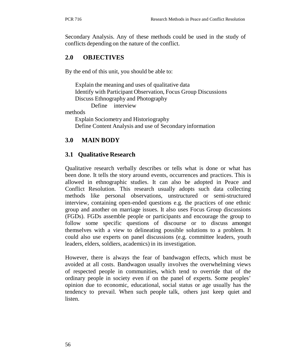Secondary Analysis. Any of these methods could be used in the study of conflicts depending on the nature of the conflict.

# **2.0 OBJECTIVES**

By the end of this unit, you should be able to:

Explain the meaning and uses of qualitative data Identify with Participant Observation, Focus Group Discussions Discuss Ethnography and Photography

Define interview

methods

Explain Sociometry and Historiography Define Content Analysis and use of Secondary information

# **3.0 MAIN BODY**

# **3.1 Qualitative Research**

Qualitative research verbally describes or tells what is done or what has been done. It tells the story around events, occurrences and practices. This is allowed in ethnographic studies. It can also be adopted in Peace and Conflict Resolution. This research usually adopts such data collecting methods like personal observations, unstructured or semi-structured interview, containing open-ended questions e.g. the practices of one ethnic group and another on marriage issues. It also uses Focus Group discussions (FGDs). FGDs assemble people or participants and encourage the group to follow some specific questions of discourse or to discuss amongst themselves with a view to delineating possible solutions to a problem. It could also use experts on panel discussions (e.g. committee leaders, youth leaders, elders, soldiers, academics) in its investigation.

However, there is always the fear of bandwagon effects, which must be avoided at all costs. Bandwagon usually involves the overwhelming views of respected people in communities, which tend to override that of the ordinary people in society even if on the panel of experts. Some peoples' opinion due to economic, educational, social status or age usually has the tendency to prevail. When such people talk, others just keep quiet and listen.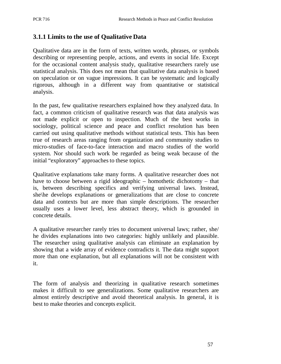#### **3.1.1 Limits to the use of Qualitative Data**

Qualitative data are in the form of texts, written words, phrases, or symbols describing or representing people, actions, and events in social life. Except for the occasional content analysis study, qualitative researchers rarely use statistical analysis. This does not mean that qualitative data analysis is based on speculation or on vague impressions. It can be systematic and logically rigorous, although in a different way from quantitative or statistical analysis.

In the past, few qualitative researchers explained how they analyzed data. In fact, a common criticism of qualitative research was that data analysis was not made explicit or open to inspection. Much of the best works in sociology, political science and peace and conflict resolution has been carried out using qualitative methods without statistical tests. This has been true of research areas ranging from organization and community studies to micro-studies of face-to-face interaction and macro studies of the world system. Nor should such work be regarded as being weak because of the initial "exploratory" approaches to these topics.

Qualitative explanations take many forms. A qualitative researcher does not have to choose between a rigid ideographic – homothetic dichotomy – that is, between describing specifics and verifying universal laws. Instead, she\he develops explanations or generalizations that are close to concrete data and contexts but are more than simple descriptions. The researcher usually uses a lower level, less abstract theory, which is grounded in concrete details.

A qualitative researcher rarely tries to document universal laws; rather, she/ he divides explanations into two categories: highly unlikely and plausible. The researcher using qualitative analysis can eliminate an explanation by showing that a wide array of evidence contradicts it. The data might support more than one explanation, but all explanations will not be consistent with it.

The form of analysis and theorizing in qualitative research sometimes makes it difficult to see generalizations. Some qualitative researchers are almost entirely descriptive and avoid theoretical analysis. In general, it is best to make theories and concepts explicit.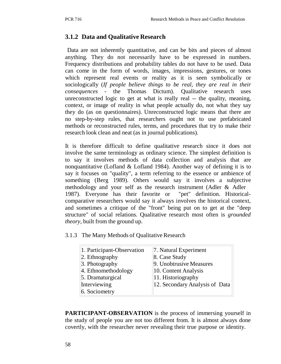# **3.1.2 Data and Qualitative Research**

Data are not inherently quantitative, and can be bits and pieces of almost anything. They do not necessarily have to be expressed in numbers. Frequency distributions and probability tables do not have to be used. Data can come in the form of words, images, impressions, gestures, or tones which represent real events or reality as it is seen symbolically or sociologically (*If people believe things to be real, they are real in their consequences* - the Thomas Dictum). Qualitative research uses unreconstructed logic to get at what is really real -- the quality, meaning, context, or image of reality in what people actually do, not what they say they do (as on questionnaires). Unreconstructed logic means that there are no step-by-step rules, that researchers ought not to use prefabricated methods or reconstructed rules, terms, and procedures that try to make their research look clean and neat (as in journal publications).

It is therefore difficult to define qualitative research since it does not involve the same terminology as ordinary science. The simplest definition is to say it involves methods of data collection and analysis that are nonquantitative (Lofland & Lofland 1984). Another way of defining it is to say it focuses on "quality", a term referring to the essence or ambience of something (Berg 1989). Others would say it involves a subjective methodology and your self as the research instrument (Adler & Adler 1987). Everyone has their favorite or "pet" definition. Historicalcomparative researchers would say it always involves the historical context, and sometimes a critique of the "front" being put on to get at the "deep structure" of social relations. Qualitative research most often is *grounded theory*, built from the ground up.

#### 3.1.3 The Many Methods of Qualitative Research

| 1. Participant-Observation | 7. Natural Experiment          |
|----------------------------|--------------------------------|
| 2. Ethnography             | 8. Case Study                  |
| 3. Photography             | 9. Unobtrusive Measures        |
| 4. Ethnomethodology        | 10. Content Analysis           |
| 5. Dramaturgical           | 11. Historiography             |
| Interviewing               | 12. Secondary Analysis of Data |
| 6. Sociometry              |                                |

**PARTICIPANT-OBSERVATION** is the process of immersing yourself in the study of people you are not too different from. It is almost always done covertly, with the researcher never revealing their true purpose or identity.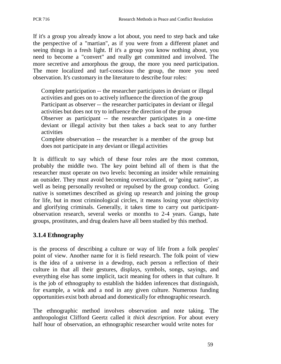If it's a group you already know a lot about, you need to step back and take the perspective of a "martian", as if you were from a different planet and seeing things in a fresh light. If it's a group you know nothing about, you need to become a "convert" and really get committed and involved. The more secretive and amorphous the group, the more you need participation. The more localized and turf-conscious the group, the more you need observation. It's customary in the literature to describe four roles:

Complete participation -- the researcher participates in deviant or illegal activities and goes on to actively influence the direction of the group Participant as observer -- the researcher participates in deviant or illegal activities but does not try to influence the direction of the group Observer as participant -- the researcher participates in a one-time deviant or illegal activity but then takes a back seat to any further activities Complete observation -- the researcher is a member of the group but does not participate in any deviant or illegal activities

It is difficult to say which of these four roles are the most common, probably the middle two. The key point behind all of them is that the researcher must operate on two levels: becoming an insider while remaining an outsider. They must avoid becoming oversocialized, or "going native", as well as being personally revolted or repulsed by the group conduct. Going native is sometimes described as giving up research and joining the group for life, but in most criminological circles, it means losing your objectivity and glorifying criminals. Generally, it takes time to carry out participantobservation research, several weeks or months to 2-4 years. Gangs, hate groups, prostitutes, and drug dealers have all been studied by this method.

# **3.1.4 Ethnography**

is the process of describing a culture or way of life from a folk peoples' point of view. Another name for it is field research. The folk point of view is the idea of a universe in a dewdrop, each person a reflection of their culture in that all their gestures, displays, symbols, songs, sayings, and everything else has some implicit, tacit meaning for others in that culture. It is the job of ethnography to establish the hidden inferences that distinguish, for example, a wink and a nod in any given culture. Numerous funding opportunities exist both abroad and domestically for ethnographic research.

The ethnographic method involves observation and note taking. The anthropologist Clifford Geertz called it *thick description*. For about every half hour of observation, an ethnographic researcher would write notes for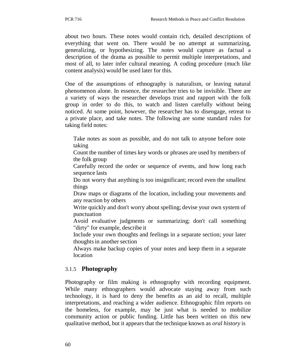about two hours. These notes would contain rich, detailed descriptions of everything that went on. There would be no attempt at summarizing, generalizing, or hypothesizing. The notes would capture as factual a description of the drama as possible to permit multiple interpretations, and most of all, to later infer cultural meaning. A coding procedure (much like content analysis) would be used later for this.

One of the assumptions of ethnography is naturalism, or leaving natural phenomenon alone. In essence, the researcher tries to be invisible. There are a variety of ways the researcher develops trust and rapport with the folk group in order to do this, to watch and listen carefully without being noticed. At some point, however, the researcher has to disengage, retreat to a private place, and take notes. The following are some standard rules for taking field notes:

- Take notes as soon as possible, and do not talk to anyone before note taking
- Count the number of times key words or phrases are used by members of the folk group
- Carefully record the order or sequence of events, and how long each sequence lasts
- Do not worry that anything is too insignificant; record even the smallest things
- Draw maps or diagrams of the location, including your movements and any reaction by others
- Write quickly and don't worry about spelling; devise your own system of punctuation
- Avoid evaluative judgments or summarizing; don't call something "dirty" for example, describe it
- Include your own thoughts and feelings in a separate section; your later thoughts in another section
- Always make backup copies of your notes and keep them in a separate location

## 3.1.5 **Photography**

Photography or film making is ethnography with recording equipment. While many ethnographers would advocate staying away from such technology, it is hard to deny the benefits as an aid to recall, multiple interpretations, and reaching a wider audience. Ethnographic film reports on the homeless, for example, may be just what is needed to mobilize community action or public funding. Little has been written on this new qualitative method, but it appears that the technique known as *oral history* is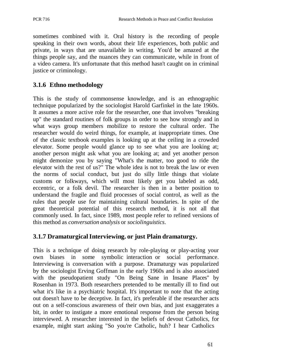sometimes combined with it. Oral history is the recording of people speaking in their own words, about their life experiences, both public and private, in ways that are unavailable in writing. You'd be amazed at the things people say, and the nuances they can communicate, while in front of a video camera. It's unfortunate that this method hasn't caught on in criminal justice or criminology.

#### **3.1.6 Ethno methodology**

This is the study of commonsense knowledge, and is an ethnographic technique popularized by the sociologist Harold Garfinkel in the late 1960s. It assumes a more active role for the researcher, one that involves "breaking up" the standard routines of folk groups in order to see how strongly and in what ways group members mobilize to restore the cultural order. The researcher would do weird things, for example, at inappropriate times. One of the classic textbook examples is looking up at the ceiling in a crowded elevator. Some people would glance up to see what you are looking at; another person might ask what you are looking at; and yet another person might demonize you by saying "What's the matter, too good to ride the elevator with the rest of us?" The whole idea is not to break the law or even the norms of social conduct, but just do silly little things that violate customs or folkways, which will most likely get you labeled as odd, eccentric, or a folk devil. The researcher is then in a better position to understand the fragile and fluid processes of social control, as well as the rules that people use for maintaining cultural boundaries. In spite of the great theoretical potential of this research method, it is not all that commonly used. In fact, since 1989, most people refer to refined versions of this method as *conversation analysis* or *sociolinguistics*.

#### **3.1.7 DramaturgicalInterviewing. or just Plain dramaturgy.**

This is a technique of doing research by role-playing or play-acting your own biases in some symbolic interaction or social performance. Interviewing is conversation with a purpose. Dramaturgy was popularized by the sociologist Erving Goffman in the early 1960s and is also associated with the pseudopatient study "On Being Sane in Insane Places" by Rosenhan in 1973. Both researchers pretended to be mentally ill to find out what it's like in a psychiatric hospital. It's important to note that the acting out doesn't have to be deceptive. In fact, it's preferable if the researcher acts out on a self-conscious awareness of their own bias, and just exaggerates a bit, in order to instigate a more emotional response from the person being interviewed. A researcher interested in the beliefs of devout Catholics, for example, might start asking "So you're Catholic, huh? I hear Catholics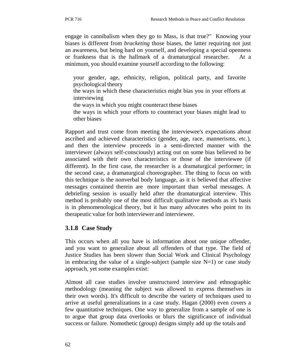engage in cannibalism when they go to Mass, is that true?" Knowing your biases is different from *bracketing* those biases, the latter requiring not just an awareness, but being hard on yourself, and developing a special openness or frankness that is the hallmark of a dramaturgical researcher. At a minimum, you should examine yourself according to the following:

- your gender, age, ethnicity, religion, political party, and favorite psychological theory
- the ways in which these characteristics might bias you in your efforts at interviewing
- the ways in which you might counteract these biases
- the ways in which your efforts to counteract your biases might lead to other biases

Rapport and trust come from meeting the interviewee's expectations about ascribed and achieved characteristics (gender, age, race, mannerisms, etc.), and then the interview proceeds in a semi-directed manner with the interviewer (always self-consciously) acting out on some bias believed to be associated with their own characteristics or those of the interviewee (if different). In the first case, the researcher is a dramaturgical performer; in the second case, a dramaturgical choreographer. The thing to focus on with this technique is the nonverbal body language, as it is believed that affective messages contained therein are more important than verbal messages. A debriefing session is usually held after the dramaturgical interview. This method is probably one of the most difficult qualitative methods as it's basis is in phenomenological theory, but it has many advocates who point to its therapeutic value for both interviewer and interviewee.

## **3.1.8 Case Study**

This occurs when all you have is information about one unique offender, and you want to generalize about all offenders of that type. The field of Justice Studies has been slower than Social Work and Clinical Psychology in embracing the value of a single-subject (sample size  $N=1$ ) or case study approach, yet some examples exist:

Almost all case studies involve unstructured interview and ethnographic methodology (meaning the subject was allowed to express themselves in their own words). It's difficult to describe the variety of techniques used to arrive at useful generalizations in a case study. Hagan (2000) even covers a few quantitative techniques. One way to generalize from a sample of one is to argue that group data overlooks or blurs the significance of individual success or failure. Nomothetic (group) designs simply add up the totals and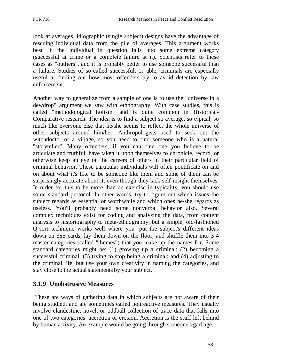look at averages. Idiographic (single subject) designs have the advantage of rescuing individual data from the pile of averages. This argument works best if the individual in question falls into some extreme category (successful at crime or a complete failure at it). Scientists refer to these cases as "outliers", and it is probably better to use someone successful than a failure. Studies of so-called successful, or able, criminals are especially useful at finding out how most offenders try to avoid detection by law enforcement.

Another way to generalize from a sample of one is to use the "universe in a dewdrop" argument we saw with ethnography. With case studies, this is called "methodological holism" and is quite common in Historical-Comparative research. The idea is to find a subject so average, so typical, so much like everyone else that he/she seems to reflect the whole universe of other subjects around him/her. Anthropologists used to seek out the witchdoctor of a village, so you need to find someone who is a natural "storyteller". Many offenders, if you can find one you believe to be articulate and truthful, have taken it upon themselves to chronicle, record, or otherwise keep an eye on the careers of others in their particular field of criminal behavior. These particular individuals will often pontificate on and on about what it's like to be someone like them and some of them can be surprisingly accurate about it, even though they lack self-insight themselves. In order for this to be more than an exercise in typicality, you should use some standard protocol. In other words, try to figure out which issues the subject regards as essential or worthwhile and which ones he/she regards as useless. You'll probably need some nonverbal behavior also. Several complex techniques exist for coding and analyzing the data, from content analysis to historiography to meta-ethnography, but a simple, old-fashioned Q-sort technique works well where you put the subject's different ideas down on 3x5 cards, lay them down on the floor, and shuffle them into 3-4 master categories (called "themes") that you make up the names for. Some standard categories might be: (1) growing up a criminal; (2) becoming a successful criminal; (3) trying to stop being a criminal; and (4) adjusting to the criminal life, but use your own creativity in naming the categories, and stay close to the actual statements by your subject.

#### **3.1.9 Unobstrusive Measures**

These are ways of gathering data in which subjects are not aware of their being studied, and are sometimes called nonreactive measures. They usually involve clandestine, novel, or oddball collection of trace data that falls into one of two categories: accretion or erosion. Accretion is the stuff left behind by human activity. An example would be going through someone's garbage.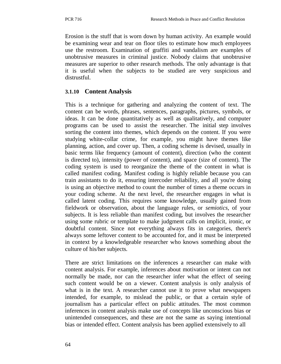Erosion is the stuff that is worn down by human activity. An example would be examining wear and tear on floor tiles to estimate how much employees use the restroom. Examination of graffiti and vandalism are examples of unobtrusive measures in criminal justice. Nobody claims that unobtrusive measures are superior to other research methods. The only advantage is that it is useful when the subjects to be studied are very suspicious and distrustful.

#### **3.1.10 Content Analysis**

This is a technique for gathering and analyzing the content of text. The content can be words, phrases, sentences, paragraphs, pictures, symbols, or ideas. It can be done quantitatively as well as qualitatively, and computer programs can be used to assist the researcher. The initial step involves sorting the content into themes, which depends on the content. If you were studying white-collar crime, for example, you might have themes like planning, action, and cover up. Then, a coding scheme is devised, usually in basic terms like frequency (amount of content), direction (who the content is directed to), intensity (power of content), and space (size of content). The coding system is used to reorganize the theme of the content in what is called manifest coding. Manifest coding is highly reliable because you can train assistants to do it, ensuring intercoder reliability, and all you're doing is using an objective method to count the number of times a theme occurs in your coding scheme. At the next level, the researcher engages in what is called latent coding. This requires some knowledge, usually gained from fieldwork or observation, about the language rules, or *semiotics*, of your subjects. It is less reliable than manifest coding, but involves the researcher using some rubric or template to make judgment calls on implicit, ironic, or doubtful content. Since not everything always fits in categories, there's always some leftover content to be accounted for, and it must be interpreted in context by a knowledgeable researcher who knows something about the culture of his/her subjects.

There are strict limitations on the inferences a researcher can make with content analysis. For example, inferences about motivation or intent can not normally be made, nor can the researcher infer what the effect of seeing such content would be on a viewer. Content analysis is only analysis of what is in the text. A researcher cannot use it to prove what newspapers intended, for example, to mislead the public, or that a certain style of journalism has a particular effect on public attitudes. The most common inferences in content analysis make use of concepts like unconscious bias or unintended consequences, and these are not the same as saying intentional bias or intended effect. Content analysis has been applied extensively to all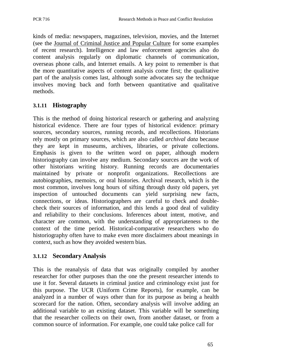kinds of media: newspapers, magazines, television, movies, and the Internet (see the Journal of [Criminal](http://www.albany.edu/scj/jcjpc/) Justice and Popular Culture for some examples of recent research). Intelligence and law enforcement agencies also do content analysis regularly on diplomatic channels of communication, overseas phone calls, and Internet emails. A key point to remember is that the more quantitative aspects of content analysis come first; the qualitative part of the analysis comes last, although some advocates say the technique involves moving back and forth between quantitative and qualitative methods.

# **3.1.11 Histography**

This is the method of doing historical research or gathering and analyzing historical evidence. There are four types of historical evidence: primary sources, secondary sources, running records, and recollections. Historians rely mostly on primary sources, which are also called *archival data* because they are kept in museums, archives, libraries, or private collections. Emphasis is given to the written word on paper, although modern historiography can involve any medium. Secondary sources are the work of other historians writing history. Running records are documentaries maintained by private or nonprofit organizations. Recollections are autobiographies, memoirs, or oral histories. Archival research, which is the most common, involves long hours of sifting through dusty old papers, yet inspection of untouched documents can yield surprising new facts, connections, or ideas. Historiographers are careful to check and doublecheck their sources of information, and this lends a good deal of validity and reliability to their conclusions. Inferences about intent, motive, and character are common, with the understanding of appropriateness to the context of the time period. Historical-comparative researchers who do historiography often have to make even more disclaimers about meanings in context, such as how they avoided western bias.

# **3.1.12 Secondary Analysis**

This is the reanalysis of data that was originally compiled by another researcher for other purposes than the one the present researcher intends to use it for. Several datasets in criminal justice and criminology exist just for this purpose. The UCR (Uniform Crime Reports), for example, can be analyzed in a number of ways other than for its purpose as being a health scorecard for the nation. Often, secondary analysis will involve adding an additional variable to an existing dataset. This variable will be something that the researcher collects on their own, from another dataset, or from a common source of information. For example, one could take police call for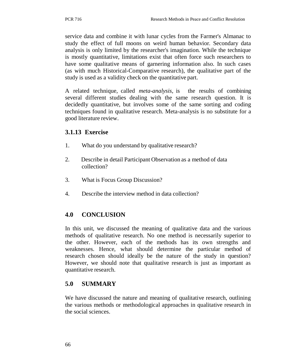service data and combine it with lunar cycles from the Farmer's Almanac to study the effect of full moons on weird human behavior. Secondary data analysis is only limited by the researcher's imagination. While the technique is mostly quantitative, limitations exist that often force such researchers to have some qualitative means of garnering information also. In such cases (as with much Historical-Comparative research), the qualitative part of the study is used as a validity check on the quantitative part.

A related technique, called *meta-analysis*, is the results of combining several different studies dealing with the same research question. It is decidedly quantitative, but involves some of the same sorting and coding techniques found in qualitative research. Meta-analysis is no substitute for a good literature review.

# **3.1.13 Exercise**

- 1. What do you understand by qualitative research?
- 2. Describe in detail Participant Observation as a method of data collection?
- 3. What is Focus Group Discussion?
- 4. Describe the interview method in data collection?

# **4.0 CONCLUSION**

In this unit, we discussed the meaning of qualitative data and the various methods of qualitative research. No one method is necessarily superior to the other. However, each of the methods has its own strengths and weaknesses. Hence, what should determine the particular method of research chosen should ideally be the nature of the study in question? However, we should note that qualitative research is just as important as quantitative research.

# **5.0 SUMMARY**

We have discussed the nature and meaning of qualitative research, outlining the various methods or methodological approaches in qualitative research in the social sciences.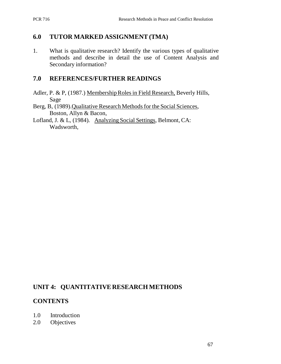#### **6.0 TUTOR MARKED ASSIGNMENT(TMA)**

1. What is qualitative research? Identify the various types of qualitative methods and describe in detail the use of Content Analysis and Secondary information?

#### **7.0 REFERENCES/FURTHER READINGS**

Adler, P. & P, (1987.) Membership Roles in Field Research, Beverly Hills, Sage

Berg, B, (1989).Qualitative Research Methods for the Social Sciences, Boston, Allyn & Bacon,

Lofland, J. & L, (1984). Analyzing Social Settings, Belmont, CA: Wadsworth,

## **UNIT 4: QUANTITATIVE RESEARCH METHODS**

#### **CONTENTS**

- 1.0 Introduction
- 2.0 Objectives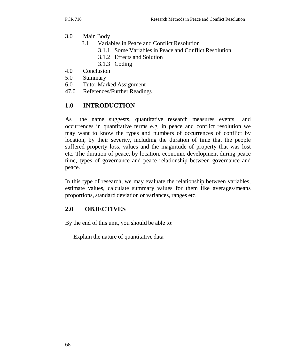- 3.0 Main Body
	- 3.1 Variables in Peace and Conflict Resolution
		- 3.1.1 Some Variables in Peace and Conflict Resolution
		- 3.1.2 Effects and Solution
		- 3.1.3 Coding
- 4.0 Conclusion
- 5.0 Summary
- 6.0 Tutor Marked Assignment
- 47.0 References/Further Readings

# **1.0 INTRODUCTION**

As the name suggests, quantitative research measures events and occurrences in quantitative terms e.g. in peace and conflict resolution we may want to know the types and numbers of occurrences of conflict by location, by their severity, including the duration of time that the people suffered property loss, values and the magnitude of property that was lost etc. The duration of peace, by location, economic development during peace time, types of governance and peace relationship between governance and peace.

In this type of research, we may evaluate the relationship between variables, estimate values, calculate summary values for them like averages/means proportions, standard deviation or variances, ranges etc.

# **2.0 OBJECTIVES**

By the end of this unit, you should be able to:

Explain the nature of quantitative data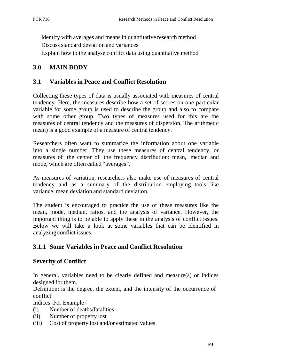Identify with averages and means in quantitative research method Discuss standard deviation and variances Explain how to the analyse conflict data using quantitative method

### **3.0 MAIN BODY**

#### **3.1 Variables in Peace and Conflict Resolution**

Collecting these types of data is usually associated with measures of central tendency. Here, the measures describe how a set of scores on one particular variable for some group is used to describe the group and also to compare with some other group. Two types of measures used for this are the measures of central tendency and the measures of dispersion. The arithmetic mean) is a good example of a measure of central tendency.

Researchers often want to summarize the information about one variable into a single number. They use these measures of central tendency, or measures of the center of the frequency distribution: mean, median and mode, which are often called "averages".

As measures of variation, researchers also make use of measures of central tendency and as a summary of the distribution employing tools like variance, mean deviation and standard deviation.

The student is encouraged to practice the use of these measures like the mean, mode, median, ratios, and the analysis of variance. However, the important thing is to be able to apply these in the analysis of conflict issues. Below we will take a look at some variables that can be identified in analyzing conflict issues.

#### **3.1.1 Some Variables in Peace and Conflict Resolution**

#### **Severity of Conflict**

In general, variables need to be clearly defined and measure(s) or indices designed for them.

Definition: is the degree, the extent, and the intensity of the occurrence of conflict.

Indices: For Example -

- (i) Number of deaths/fatalities
- (ii) Number of property lost
- (iii) Cost of property lost and/or estimated values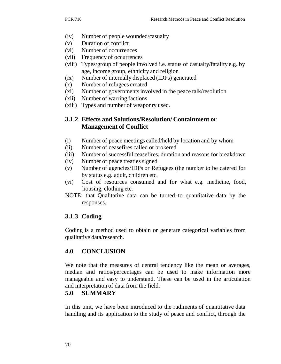- (iv) Number of people wounded/casualty
- (v) Duration of conflict
- (vi) Number of occurrences
- (vii) Frequency of occurrences
- (viii) Types/group of people involved i.e. status of casualty/fatality e.g. by age, income group, ethnicity and religion
- (ix) Number of internally displaced (IDPs) generated
- (x) Number of refugees created
- (xi) Number of governmentsinvolved in the peace talk/resolution
- (xii) Number of warring factions
- (xiii) Types and number of weaponry used.

### **3.1.2 Effects and Solutions/Resolution/ Containment or Management of Conflict**

- (i) Number of peace meetings called/held by location and by whom
- (ii) Number of ceasefires called or brokered
- (iii) Number of successful ceasefires, duration and reasons for breakdown
- (iv) Number of peace treaties signed
- (v) Number of agencies/IDPs or Refugees (the number to be catered for by status e.g. adult, children etc.
- (vi) Cost of resources consumed and for what e.g. medicine, food, housing, clothing etc.
- NOTE: that Qualitative data can be turned to quantitative data by the responses.

# **3.1.3 Coding**

Coding is a method used to obtain or generate categorical variables from qualitative data/research.

# **4.0 CONCLUSION**

We note that the measures of central tendency like the mean or averages, median and ratios/percentages can be used to make information more manageable and easy to understand. These can be used in the articulation and interpretation of data from the field.

## **5.0 SUMMARY**

In this unit, we have been introduced to the rudiments of quantitative data handling and its application to the study of peace and conflict, through the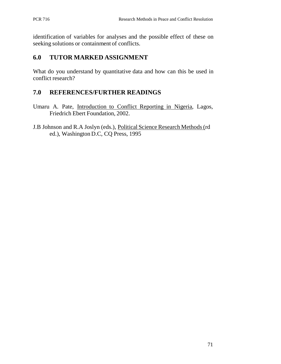identification of variables for analyses and the possible effect of these on seeking solutions or containment of conflicts.

# **6.0 TUTOR MARKED ASSIGNMENT**

What do you understand by quantitative data and how can this be used in conflict research?

# **7.0 REFERENCES/FURTHER READINGS**

- Umaru A. Pate, Introduction to Conflict Reporting in Nigeria, Lagos, Friedrich Ebert Foundation, 2002.
- J.B Johnson and R.A Joslyn (eds.), Political Science Research Methods(rd ed.), Washington D.C, CQ Press, 1995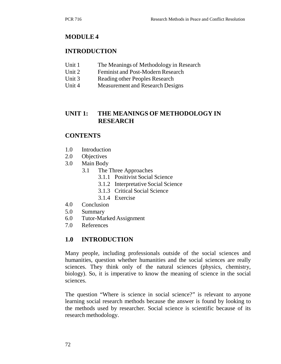## **MODULE 4**

# **INTRODUCTION**

- Unit 1 The Meanings of Methodology in Research
- Unit 2 Feminist and Post-Modern Research
- Unit 3 Reading other Peoples Research
- Unit 4 Measurement and Research Designs

### **UNIT 1: THE MEANINGS OF METHODOLOGY IN RESEARCH**

# **CONTENTS**

- 1.0 Introduction
- 2.0 Objectives
- 3.0 Main Body
	- 3.1 The Three Approaches
		- 3.1.1 Positivist Social Science
		- 3.1.2 Interpretative Social Science
		- 3.1.3 Critical Social Science
		- 3.1.4 Exercise
- 4.0 Conclusion
- 5.0 Summary
- 6.0 Tutor-Marked Assignment
- 7.0 References

# **1.0 INTRODUCTION**

Many people, including professionals outside of the social sciences and humanities, question whether humanities and the social sciences are really sciences. They think only of the natural sciences (physics, chemistry, biology). So, it is imperative to know the meaning of science in the social sciences.

The question "Where is science in social science?" is relevant to anyone learning social research methods because the answer is found by looking to the methods used by researcher. Social science is scientific because of its research methodology.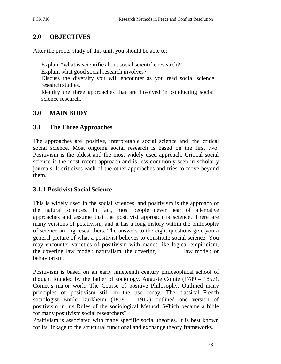## **2.0 OBJECTIVES**

After the proper study of this unit, you should be able to:

Explain "what is scientific about social scientific research?" Explain what good social research involves? Discuss the diversity you will encounter as you read social science research studies. Identify the three approaches that are involved in conducting social

## **3.0 MAIN BODY**

science research.

#### **3.1 The Three Approaches**

The approaches are positive, interpretable social science and the critical social science. Most ongoing social research is based on the first two. Positivism is the oldest and the most widely used approach. Critical social science is the most recent approach and is less commonly seen in scholarly journals. It criticizes each of the other approaches and tries to move beyond them.

#### **3.1.1 Positivist Social Science**

This is widely used in the social sciences, and positivism is the approach of the natural sciences. In fact, most people never hear of alternative approaches and assume that the positivist approach is science. There are many versions of positivism, and it has a long history within the philosophy of science among researchers. The answers to the eight questions give you a general picture of what a positivist believes to constitute social science. You may encounter varieties of positivism with manes like logical empiricism, the covering law model; naturalism, the covering law model; or behaviorism.

Positivism is based on an early nineteenth century philosophical school of thought founded by the father of sociology. Auguste Comte (1789 – 1857). Comet's major work. The Course of positive Philosophy. Outlined many principles of positivism still in the use today. The classical French sociologist Emile Durkheim (1858 – 1917) outlined one version of positivism in his Rules of the sociological Method. Which became a bible for many positivism social researchers?

Positivism is associated with many specific social theories. It is best known for its linkage to the structural functional and exchange theory frameworks.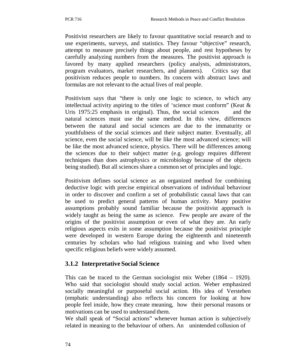Positivist researchers are likely to favour quantitative social research and to use experiments, surveys, and statistics. They favour "objective" research, attempt to measure precisely things about people, and rest hypotheses by carefully analyzing numbers from the measures. The positivist approach is favored by many applied researchers (policy analysts, administrators, program evaluators, market researchers, and planners). Critics say that positivism reduces people to numbers. Its concern with abstract laws and formulas are not relevant to the actual lives of real people.

Positivism says that "there is only one logic to science, to which any intellectual activity aspiring to the titles of 'science must conform" (Keat & Uris 1975:25 emphasis in original). Thus, the social sciences and the natural sciences must use the same method. In this view, differences between the natural and social sciences are due to the immaturity or youthfulness of the social sciences and their subject matter. Eventually, all science, even the social science, will be like the most advanced science; will be like the most advanced science, physics. There will be differences among the sciences due to their subject matter (e.g. geology requires different techniques than does astrophysics or microbiology because of the objects being studied). But all sciences share a common set of principles and logic.

Positivism defines social science as an organized method for combining deductive logic with precise empirical observations of individual behaviour in order to discover and confirm a set of probabilistic causal laws that can be used to predict general patterns of human activity. Many positive assumptions probably sound familiar because the positivist approach is widely taught as being the same as science. Few people are aware of the origins of the positivist assumption or even of what they are. An early religious aspects exits in some assumption because the positivist principle were developed in western Europe during the eighteenth and nineteenth centuries by scholars who had religious training and who lived when specific religious beliefs were widely assumed.

## **3.1.2 Interpretative Social Science**

This can be traced to the German sociologist mix Weber (1864 – 1920). Who said that sociologist should study social action. Weber emphasized socially meaningful or purposeful social action. His idea of Verstehen (emphatic understanding) also reflects his concern for looking at how people feel inside, how they create meaning, how their personal reasons or motivations can be used to understand them.

We shall speak of "Social actions" whenever human action is subjectively related in meaning to the behaviour of others. An unintended collusion of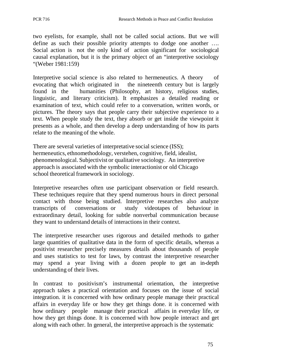two eyelists, for example, shall not be called social actions. But we will define as such their possible priority attempts to dodge one another …. Social action is not the only kind of action significant for sociological causal explanation, but it is the primary object of an "interpretive sociology "(Weber 1981:159)

Interpretive social science is also related to hermeneutics. A theory of evocating that which originated in the nineteenth century but is largely found in the humanities (Philosophy, art history, religious studies, linguistic, and literary criticism). It emphasizes a detailed reading or examination of text, which could refer to a conversation, written words, or pictures. The theory says that people carry their subjective experience to a text. When people study the text, they absorb or get inside the viewpoint it presents as a whole, and then develop a deep understanding of how its parts relate to the meaning of the whole.

There are several varieties of interpretative social science (ISS); hermeneutics, ethnomethodology, verstehen, cognitive, field, idealist, phenomenological. Subjectivist or qualitative sociology. An interpretive approach is associated with the symbolic interactionist or old Chicago school theoretical framework in sociology.

Interpretive researches often use participant observation or field research. These techniques require that they spend numerous hours in direct personal contact with those being studied. Interpretive researches also analyze transcripts of conversations or study videotapes of behaviour in extraordinary detail, looking for subtle nonverbal communication because they want to understand details of interactions in their context.

The interpretive researcher uses rigorous and detailed methods to gather large quantities of qualitative data in the form of specific details, whereas a positivist researcher precisely measures details about thousands of people and uses statistics to test for laws, by contrast the interpretive researcher may spend a year living with a dozen people to get an in-depth understanding of their lives.

In contrast to positivism's instrumental orientation, the interpretive approach takes a practical orientation and focuses on the issue of social integration. it is concerned with how ordinary people manage their practical affairs in everyday life or how they get things done. it is concerned with how ordinary people manage their practical affairs in everyday life, or how they get things done. It is concerned with how people interact and get along with each other. In general, the interpretive approach is the systematic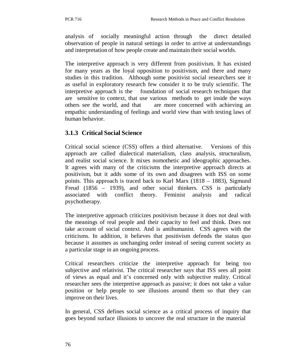analysis of socially meaningful action through the direct detailed observation of people in natural settings in order to arrive at understandings and interpretation of how people create and maintain their social worlds.

The interpretive approach is very different from positivism. It has existed for many years as the loyal opposition to positivism, and there and many studies in this tradition. Although some positivist social researchers see it as useful in exploratory research few consider it to be truly scientific. The interpretive approach is the foundation of social research techniques that are sensitive to context, that use various methods to get inside the ways others see the world, and that are more concerned with achieving an empathic understanding of feelings and world view than with testing laws of human behavior.

# **3.1.3 Critical Social Science**

Critical social science (CSS) offers a third alternative. Versions of this approach are called dialectical materialism, class analysis, structuralism, and realist social science. It mixes nomothetic and ideographic approaches. It agrees with many of the criticisms the interpretive approach directs at positivism, but it adds some of its own and disagrees with ISS on some points. This approach is traced back to Karl Marx (1818 – 1883), Sigmund Freud (1856 – 1939), and other social thinkers. CSS is particularly associated with conflict theory. Feminist analysis and radical psychotherapy.

The interpretive approach criticizes positivism because it does not deal with the meanings of real people and their capacity to feel and think. Does not take account of social context. And is antihumanist. CSS agrees with the criticisms. In addition, it believes that positivism defends the status quo because it assumes as unchanging order instead of seeing current society as a particular stage in an ongoing process.

Critical researchers criticize the interpretive approach for being too subjective and relativist. The critical researcher says that ISS sees all point of views as equal and it's concerned only with subjective reality. Critical researcher sees the interpretive approach as passive; it does not take a value position or help people to see illusions around them so that they can improve on their lives.

In general, CSS defines social science as a critical process of inquiry that goes beyond surface illusions to uncover the real structure in the material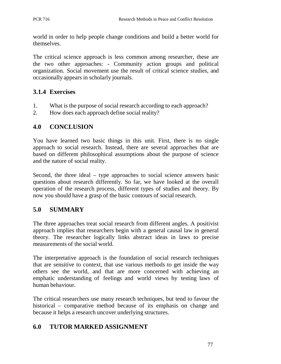world in order to help people change conditions and build a better world for themselves.

The critical science approach is less common among researcher, these are the two other approaches: - Community action groups and political organization. Social movement use the result of critical science studies, and occasionally appears in scholarly journals.

# **3.1.4 Exercises**

- 1. What is the purpose of social research according to each approach?
- 2. How does each approach define social reality?

# **4.0 CONCLUSION**

You have learned two basic things in this unit. First, there is no single approach to social research. Instead, there are several approaches that are based on different philosophical assumptions about the purpose of science and the nature of social reality.

Second, the three ideal – type approaches to social science answers basic questions about research differently. So far, we have looked at the overall operation of the research process, different types of studies and theory. By now you should have a grasp of the basic contours of social research.

# **5.0 SUMMARY**

The three approaches treat social research from different angles. A positivist approach implies that researchers begin with a general causal law in general theory. The researcher logically links abstract ideas in laws to precise measurements of the social world.

The interpretative approach is the foundation of social research techniques that are sensitive to context, that use various methods to get inside the way others see the world, and that are more concerned with achieving an emphatic understanding of feelings and world views by testing laws of human behaviour.

The critical researchers use many research techniques, but tend to favour the historical – comparative method because of its emphasis on change and because it helps a research uncover underlying structures.

# **6.0 TUTOR MARKED ASSIGNMENT**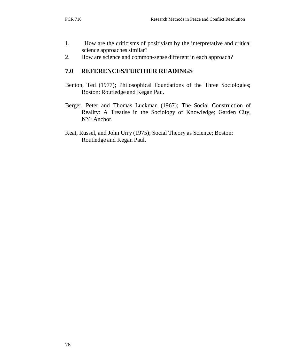- 1. How are the criticisms of positivism by the interpretative and critical science approaches similar?
- 2. How are science and common-sense different in each approach?

### **7.0 REFERENCES/FURTHER READINGS**

- Benton, Ted (1977); Philosophical Foundations of the Three Sociologies; Boston: Routledge and Kegan Pau.
- Berger, Peter and Thomas Luckman (1967); The Social Construction of Reality: A Treatise in the Sociology of Knowledge; Garden City, NY: Anchor.
- Keat, Russel, and John Urry (1975); Social Theory as Science; Boston: Routledge and Kegan Paul.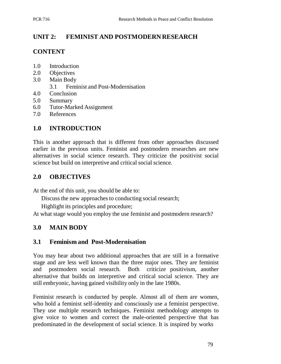### **UNIT 2: FEMINIST AND POSTMODERN RESEARCH**

### **CONTENT**

- 1.0 Introduction
- 2.0 Objectives
- 3.0 Main Body
	- 3.1 Feminist and Post-Modernisation
- 4.0 Conclusion
- 5.0 Summary
- 6.0 Tutor-Marked Assignment
- 7.0 References

## **1.0 INTRODUCTION**

This is another approach that is different from other approaches discussed earlier in the previous units. Feminist and postmodern researches are new alternatives in social science research. They criticize the positivist social science but build on interpretive and critical social science.

### **2.0 OBJECTIVES**

At the end of this unit, you should be able to:

Discuss the new approaches to conducting social research;

Highlight its principles and procedure;

At what stage would you employ the use feminist and postmodern research?

#### **3.0 MAIN BODY**

#### **3.1 Feminism and Post-Modernisation**

You may hear about two additional approaches that are still in a formative stage and are less well known than the three major ones. They are feminist and postmodern social research. Both criticize positivism, another alternative that builds on interpretive and critical social science. They are still embryonic, having gained visibility only in the late 1980s.

Feminist research is conducted by people. Almost all of them are women, who hold a feminist self-identity and consciously use a feminist perspective. They use multiple research techniques. Feminist methodology attempts to give voice to women and correct the male-oriented perspective that has predominated in the development of social science. It is inspired by works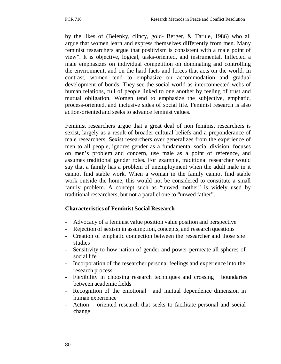by the likes of (Belenky, clincy, gold- Berger, & Tarule, 1986) who all argue that women learn and express themselves differently from men. Many feminist researchers argue that positivism is consistent with a male point of view". It is objective, logical, tasks-oriented, and instrumental. Inflected a male emphasizes on individual competition on dominating and controlling the environment, and on the hard facts and forces that acts on the world. In contrast, women tend to emphasize on accommodation and gradual development of bonds. They see the social world as interconnected webs of human relations, full of people linked to one another by feeling of trust and mutual obligation. Women tend to emphasize the subjective, emphatic, process-oriented, and inclusive sides of social life. Feminist research is also action-oriented and seeks to advance feminist values.

Feminist researchers argue that a great deal of non feminist researchers is sexist, largely as a result of broader cultural beliefs and a preponderance of male researchers. Sexist researchers over generalizes from the experience of men to all people, ignores gender as a fundamental social division, focuses on men's problem and concern, use male as a point of reference, and assumes traditional gender roles. For example, traditional researcher would say that a family has a problem of unemployment when the adult male in it cannot find stable work. When a woman in the family cannot find stable work outside the home, this would not be considered to constitute a small family problem. A concept such as "unwed mother" is widely used by traditional researchers, but not a parallel one to "unwed father".

#### **Characteristics of Feminist Social Research**

- Advocacy of a feminist value position value position and perspective
- Rejection of sexism in assumption, concepts, and research questions
- Creation of emphatic connection between the researcher and those she studies
- Sensitivity to how nation of gender and power permeate all spheres of social life
- Incorporation of the researcher personal feelings and experience into the research process
- Flexibility in choosing research techniques and crossing boundaries between academic fields
- Recognition of the emotional and mutual dependence dimension in human experience
- Action oriented research that seeks to facilitate personal and social change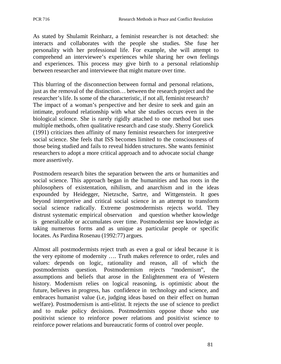As stated by Shulamit Reinharz, a feminist researcher is not detached: she interacts and collaborates with the people she studies. She fuse her personality with her professional life. For example, she will attempt to comprehend an interviewee's experiences while sharing her own feelings and experiences. This process may give birth to a personal relationship between researcher and interviewee that might mature over time.

This blurring of the disconnection between formal and personal relations, just as the removal of the distinction… between the research project and the researcher'slife. Is some of the characteristic, if not all, feminist research? The impact of a woman's perspective and her desire to seek and gain an intimate, profound relationship with what she studies occurs even in the biological science. She is rarely rigidly attached to one method but uses multiple methods, often qualitative research and case study. Sherry Gorelick (1991) criticizes then affinity of many feminist researchers for interpretive social science. She feels that ISS becomes limited to the consciousness of those being studied and fails to reveal hidden structures. She wants feminist researchers to adopt a more critical approach and to advocate social change more assertively.

Postmodern research bites the separation between the arts or humanities and social science. This approach began in the humanities and has roots in the philosophers of existentation, nihilism, and anarchism and in the ideas expounded by Heidegger, Nietzsche, Sartre, and Wittgenstein. It goes beyond interpretive and critical social science in an attempt to transform social science radically. Extreme postmodermists rejects world. They distrust systematic empirical observation and question whether knowledge is generalizable or accumulates over time. Postmodernist see knowledge as taking numerous forms and as unique as particular people or specific locates. As Pardina Rosenau (1992:77) argues.

Almost all postmodermists reject truth as even a goal or ideal because it is the very epitome of modernity …. Truth makes reference to order, rules and values: depends on logic, rationality and reason, all of which the postmodernists question. Postmodermism rejects "modernism", the assumptions and beliefs that arose in the Enlightenment era of Western history. Modernism relies on logical reasoning, is optimistic about the future, believes in progress, has confidence in technology and science, and embraces humanist value (i.e, judging ideas based on their effect on human welfare). Postmodernism is anti-elitist. It rejects the use of science to predict and to make policy decisions. Postmodernists oppose those who use positivist science to reinforce power relations and positivist science to reinforce power relations and bureaucratic forms of control over people.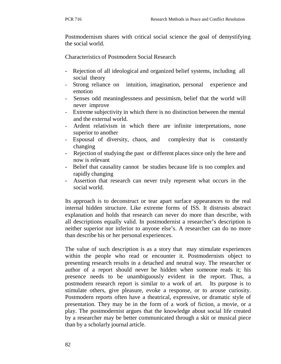Postmodernism shares with critical social science the goal of demystifying the social world.

Characteristics of Postmodern Social Research

- Rejection of all ideological and organized belief systems, including all social theory
- Strong reliance on intuition, imagination, personal experience and emotion
- Senses odd meaninglessness and pessimism, belief that the world will never improve
- Extreme subjectivity in which there is no distinction between the mental and the external world.
- Ardent relativism in which there are infinite interpretations, none superior to another
- Espousal of diversity, chaos, and complexity that is constantly changing
- Rejection of studying the past or different places since only the here and now is relevant
- Belief that causality cannot be studies because life is too complex and rapidly changing
- Assertion that research can never truly represent what occurs in the social world.

Its approach is to deconstruct or tear apart surface appearances to the real internal hidden structure. Like extreme forms of ISS. It distrusts abstract explanation and holds that research can never do more than describe, with all descriptions equally valid. In postmodernist a researcher's description is neither superior nor inferior to anyone else's. A researcher can do no more than describe his or her personal experiences.

The value of such description is as a story that may stimulate experiences within the people who read or encounter it. Postmodernists object to presenting research results in a detached and neutral way. The researcher or author of a report should never be hidden when someone reads it; his presence needs to be unambiguously evident in the report. Thus, a postmodern research report is similar to a work of art. Its purpose is to stimulate others, give pleasure, evoke a response, or to arouse curiosity. Postmodern reports often have a theatrical, expressive, or dramatic style of presentation. They may be in the form of a work of fiction, a movie, or a play. The postmodernist argues that the knowledge about social life created by a researcher may be better communicated through a skit or musical piece than by a scholarly journal article.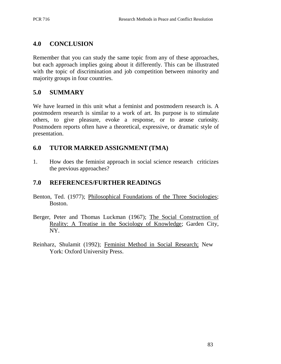### **4.0 CONCLUSION**

Remember that you can study the same topic from any of these approaches, but each approach implies going about it differently. This can be illustrated with the topic of discrimination and job competition between minority and majority groups in four countries.

#### **5.0 SUMMARY**

We have learned in this unit what a feminist and postmodern research is. A postmodern research is similar to a work of art. Its purpose is to stimulate others, to give pleasure, evoke a response, or to arouse curiosity. Postmodern reports often have a theoretical, expressive, or dramatic style of presentation.

## **6.0 TUTOR MARKED ASSIGNMENT(TMA)**

1. How does the feminist approach in social science research criticizes the previous approaches?

#### **7.0 REFERENCES/FURTHER READINGS**

- Benton, Ted. (1977); Philosophical Foundations of the Three Sociologies; Boston.
- Berger, Peter and Thomas Luckman (1967); The Social Construction of Reality: A Treatise in the Sociology of Knowledge; Garden City, NY.
- Reinharz, Shulamit (1992); Feminist Method in Social Research; New York: Oxford University Press.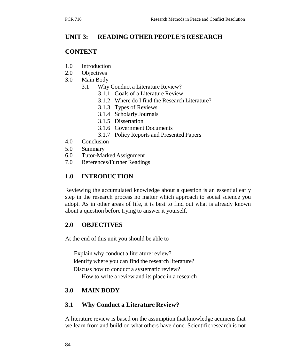# **UNIT 3: READING OTHER PEOPLE'S RESEARCH**

## **CONTENT**

- 1.0 Introduction
- 2.0 Objectives
- 3.0 Main Body
	- 3.1 Why Conduct a Literature Review?
		- 3.1.1 Goals of a Literature Review
		- 3.1.2 Where do I find the Research Literature?
		- 3.1.3 Types of Reviews
		- 3.1.4 Scholarly Journals
		- 3.1.5 Dissertation
		- 3.1.6 Government Documents
		- 3.1.7 Policy Reports and Presented Papers
- 4.0 Conclusion
- 5.0 Summary
- 6.0 Tutor-Marked Assignment
- 7.0 References/Further Readings

# **1.0 INTRODUCTION**

Reviewing the accumulated knowledge about a question is an essential early step in the research process no matter which approach to social science you adopt. As in other areas of life, it is best to find out what is already known about a question before trying to answer it yourself.

# **2.0 OBJECTIVES**

At the end of this unit you should be able to

Explain why conduct a literature review? Identify where you can find the research literature? Discuss how to conduct a systematic review?

How to write a review and its place in a research

# **3.0 MAIN BODY**

# **3.1 Why Conduct a Literature Review?**

A literature review is based on the assumption that knowledge acumens that we learn from and build on what others have done. Scientific research is not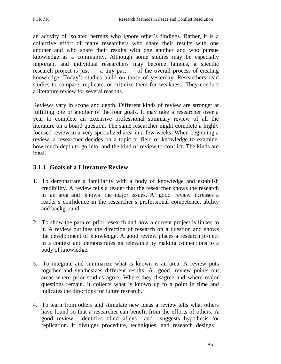an activity of isolated hermits who ignore other's findings. Rather, it is a collective effort of many researchers who share their results with one another and who share their results with one another and who pursue knowledge as a community. Although some studies may be especially important and individual researchers may become famous, a specific research project is just a tiny part of the overall process of creating knowledge. Today's studies build on those of yesterday. Researchers read studies to compare, replicate, or criticize them for weakness. They conduct a literature review for several reasons.

Reviews vary in scope and depth. Different kinds of review are stronger at fulfilling one or another of the four goals. It may take a researcher over a year to complete an extensive professional summary review of all the literature on a board question. The same researcher might complete a highly focused review in a very specialized area in a few weeks. When beginning a review, a researcher decides on a topic or field of knowledge to examine, how much depth to go into, and the kind of review to conflict. The kinds are ideal.

### **3.1.1 Goals of a Literature Review**

- 1. To demonstrate a familiarity with a body of knowledge and establish credibility. A review tells a reader that the researcher knows the research in an area and knows the major issues. A good review increases a reader's confidence in the researcher's professional competence, ability and background.
- 2. To show the path of prior research and how a current project is linked to it. A review outlines the direction of research on a question and shows the development of knowledge. A good review places a research project in a context and demonstrates its relevance by making connections to a body of knowledge.
- 3. To integrate and summarize what is known is an area. A review puts together and synthesizes different results. A good review points out areas where prior studies agree. Where they disagree and where major questions remain. It collects what is known up to a point in time and indicates the directions for future research.
- 4. To learn from others and stimulate new ideas a review tells what others have found so that a researcher can benefit from the efforts of others. A good review identifies blind alleys and suggests hypothesis for replication. It divulges procedure, techniques, and research designs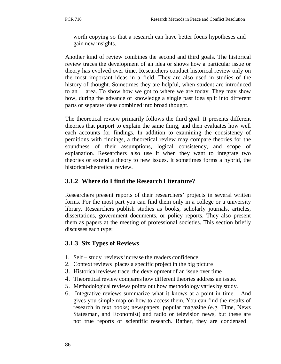worth copying so that a research can have better focus hypotheses and gain new insights.

Another kind of review combines the second and third goals. The historical review traces the development of an idea or shows how a particular issue or theory has evolved over time. Researchers conduct historical review only on the most important ideas in a field. They are also used in studies of the history of thought. Sometimes they are helpful, when student are introduced to an area. To show how we got to where we are today. They may show how, during the advance of knowledge a single past idea split into different parts or separate ideas combined into broad thought.

The theoretical review primarily follows the third goal. It presents different theories that purport to explain the same thing, and then evaluates how well each accounts for findings. In addition to examining the consistency of perditions with findings, a theoretical review may compare theories for the soundness of their assumptions, logical consistency, and scope of explanation. Researchers also use it when they want to integrate two theories or extend a theory to new issues. It sometimes forms a hybrid, the historical-theoretical review.

### **3.1.2 Where do I find the Research Literature?**

Researchers present reports of their researchers' projects in several written forms. For the most part you can find them only in a college or a university library. Researchers publish studies as books, scholarly journals, articles, dissertations, government documents, or policy reports. They also present them as papers at the meeting of professional societies. This section briefly discusses each type:

## **3.1.3 Six Types of Reviews**

- 1. Self study reviews increase the readers confidence
- 2. Context reviews places a specific project in the big picture
- 3. Historical reviews trace the development of an issue over time
- 4. Theoretical review compares how different theories address an issue.
- 5. Methodological reviews points out how methodology varies by study.
- 6. Integrative reviews summarize what it knows at a point in time. And gives you simple map on how to access them. You can find the results of research in text books; newspapers, popular magazine (e.g, Time, News Statesman, and Economist) and radio or television news, but these are not true reports of scientific research. Rather, they are condensed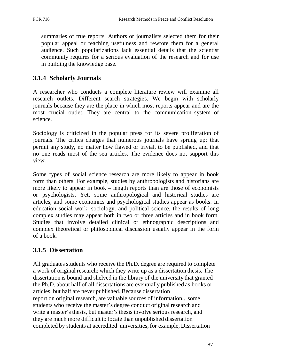summaries of true reports. Authors or journalists selected them for their popular appeal or teaching usefulness and rewrote them for a general audience. Such popularizations lack essential details that the scientist community requires for a serious evaluation of the research and for use in building the knowledge base.

# **3.1.4 Scholarly Journals**

A researcher who conducts a complete literature review will examine all research outlets. Different search strategies. We begin with scholarly journals because they are the place in which most reports appear and are the most crucial outlet. They are central to the communication system of science.

Sociology is criticized in the popular press for its severe proliferation of journals. The critics charges that numerous journals have sprung up; that permit any study, no matter how flawed or trivial, to be published, and that no one reads most of the sea articles. The evidence does not support this view.

Some types of social science research are more likely to appear in book form than others. For example, studies by anthropologists and historians are more likely to appear in book – length reports than are those of economists or psychologists. Yet, some anthropological and historical studies are articles, and some economics and psychological studies appear as books. In education social work, sociology, and political science, the results of long complex studies may appear both in two or three articles and in book form. Studies that involve detailed clinical or ethnographic descriptions and complex theoretical or philosophical discussion usually appear in the form of a book.

## **3.1.5 Dissertation**

All graduates students who receive the Ph.D. degree are required to complete a work of original research; which they write up as a dissertation thesis. The dissertation is bound and shelved in the library of the university that granted the Ph.D. about half of all dissertations are eventually published as books or articles, but half are never published. Because dissertation report on original research, are valuable sources of information,. some students who receive the master's degree conduct original research and write a master's thesis, but master's thesis involve serious research, and they are much more difficult to locate than unpublished dissertation completed by students at accredited universities, for example, Dissertation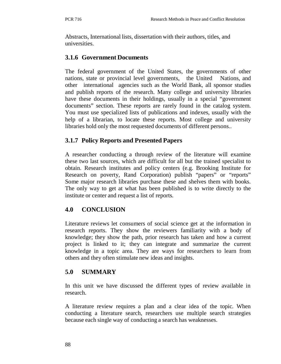Abstracts, International lists, dissertation with their authors, titles, and universities.

#### **3.1.6 Government Documents**

The federal government of the United States, the governments of other nations, state or provincial level governments, the United Nations, and other international agencies such as the World Bank, all sponsor studies and publish reports of the research. Many college and university libraries have these documents in their holdings, usually in a special "government documents" section. These reports are rarely found in the catalog system. You must use specialized lists of publications and indexes, usually with the help of a librarian, to locate these reports. Most college and university libraries hold only the most requested documents of different persons..

### **3.1.7 Policy Reports and Presented Papers**

A researcher conducting a through review of the literature will examine these two last sources, which are difficult for all but the trained specialist to obtain. Research institutes and policy centers (e.g. Brooking Institute for Research on poverty, Rand Corporation) publish "papers" or "reports" Some major research libraries purchase these and shelves them with books. The only way to get at what has been published is to write directly to the institute or center and request a list of reports.

## **4.0 CONCLUSION**

Literature reviews let consumers of social science get at the information in research reports. They show the reviewers familiarity with a body of knowledge; they show the path, prior research has taken and how a current project is linked to it; they can integrate and summarize the current knowledge in a topic area. They are ways for researchers to learn from others and they often stimulate new ideas and insights.

## **5.0 SUMMARY**

In this unit we have discussed the different types of review available in research.

A literature review requires a plan and a clear idea of the topic. When conducting a literature search, researchers use multiple search strategies because each single way of conducting a search has weaknesses.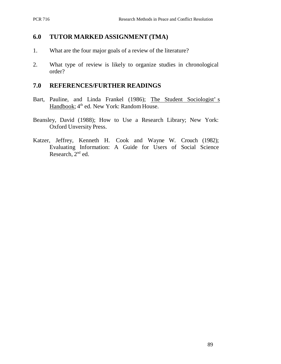#### **6.0 TUTOR MARKED ASSIGNMENT(TMA)**

- 1. What are the four major goals of a review of the literature?
- 2. What type of review is likely to organize studies in chronological order?

#### **7.0 REFERENCES/FURTHER READINGS**

- Bart, Pauline, and Linda Frankel (1986); The Student Sociologist' s Handbook; 4<sup>th</sup> ed. New York: Random House.
- Beansley, David (1988); How to Use a Research Library; New York: Oxford Unversity Press.
- Katzer, Jeffrey, Kenneth H. Cook and Wayne W. Crouch (1982); Evaluating Information: A Guide for Users of Social Science Research,  $2<sup>nd</sup>$  ed.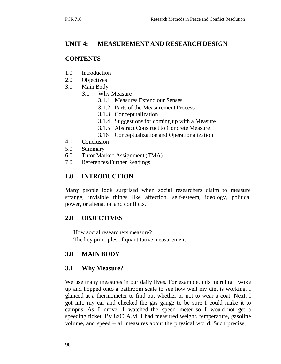# **UNIT 4: MEASUREMENT AND RESEARCH DESIGN**

#### **CONTENTS**

- 1.0 Introduction
- 2.0 Objectives
- 3.0 Main Body
	- 3.1 Why Measure
		- 3.1.1 Measures Extend our Senses
		- 3.1.2 Parts of the Measurement Process
		- 3.1.3 Conceptualization
		- 3.1.4 Suggestionsfor coming up with a Measure
		- 3.1.5 Abstract Construct to Concrete Measure
		- 3.16 Conceptualization and Operationalization
- 4.0 Conclusion
- 5.0 Summary
- 6.0 Tutor Marked Assignment (TMA)
- 7.0 References/Further Readings

## **1.0 INTRODUCTION**

Many people look surprised when social researchers claim to measure strange, invisible things like affection, self-esteem, ideology, political power, or alienation and conflicts.

## **2.0 OBJECTIVES**

How social researchers measure? The key principles of quantitative measurement

## **3.0 MAIN BODY**

#### **3.1 Why Measure?**

We use many measures in our daily lives. For example, this morning I woke up and hopped onto a bathroom scale to see how well my diet is working. I glanced at a thermometer to find out whether or not to wear a coat. Next, I got into my car and checked the gas gauge to be sure I could make it to campus. As I drove, I watched the speed meter so I would not get a speeding ticket. By 8:00 A.M. I had measured weight, temperature, gasoline volume, and speed – all measures about the physical world. Such precise,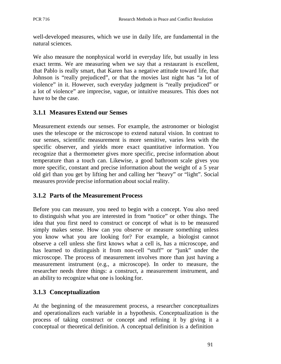well-developed measures, which we use in daily life, are fundamental in the natural sciences.

We also measure the nonphysical world in everyday life, but usually in less exact terms. We are measuring when we say that a restaurant is excellent, that Pablo is really smart, that Karen has a negative attitude toward life, that Johnson is "really prejudiced", or that the movies last night has "a lot of violence" in it. However, such everyday judgment is "really prejudiced" or a lot of violence" are imprecise, vague, or intuitive measures. This does not have to be the case.

### **3.1.1 Measures Extend our Senses**

Measurement extends our senses. For example, the astronomer or biologist uses the telescope or the microscope to extend natural vision. In contrast to our senses, scientific measurement is more sensitive, varies less with the specific observer, and yields more exact quantitative information. You recognize that a thermometer gives more specific, precise information about temperature than a touch can. Likewise, a good bathroom scale gives you more specific, constant and precise information about the weight of a 5 year old girl than you get by lifting her and calling her "heavy" or "light". Social measures provide precise information about social reality.

#### **3.1.2 Parts of the Measurement Process**

Before you can measure, you need to begin with a concept. You also need to distinguish what you are interested in from "notice" or other things. The idea that you first need to construct or concept of what is to be measured simply makes sense. How can you observe or measure something unless you know what you are looking for? For example, a biologist cannot observe a cell unless she first knows what a cell is, has a microscope, and has learned to distinguish it from non-cell "stuff" or "junk" under the microscope. The process of measurement involves more than just having a measurement instrument (e.g., a microscope). In order to measure, the researcher needs three things: a construct, a measurement instrument, and an ability to recognize what one is looking for.

# **3.1.3 Conceptualization**

At the beginning of the measurement process, a researcher conceptualizes and operationalizes each variable in a hypothesis. Conceptualization is the process of taking construct or concept and refining it by giving it a conceptual or theoretical definition. A conceptual definition is a definition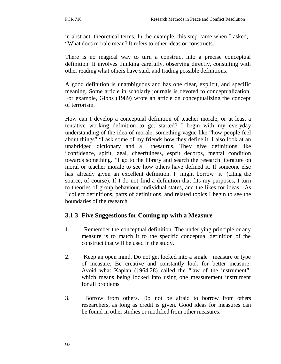in abstract, theoretical terms. In the example, this step came when I asked, "What does morale mean? It refers to other ideas or constructs.

There is no magical way to turn a construct into a precise conceptual definition. It involves thinking carefully, observing directly, consulting with other reading what others have said, and trading possible definitions.

A good definition is unambiguous and has one clear, explicit, and specific meaning. Some article in scholarly journals is devoted to conceptualization. For example, Gibbs (1989) wrote an article on conceptualizing the concept of terrorism.

How can I develop a conceptual definition of teacher morale, or at least a tentative working definition to get started? I begin with my everyday understanding of the idea of morale, something vague like "how people feel about things" "I ask some of my friends how they define it. I also look at an unabridged dictionary and a thesaurus. They give definitions like "confidence, spirit, zeal, cheerfulness, esprit decorps, mental condition towards something. "I go to the library and search the research literature on moral or teacher morale to see how others have defined it. If someone else has already given an excellent definition. I might borrow it (citing the source, of course). If I do not find a definition that fits my purposes, I turn to theories of group behaviour, individual states, and the likes for ideas. As I collect definitions, parts of definitions, and related topics I begin to see the boundaries of the research.

#### **3.1.3 Five Suggestions for Coming up with a Measure**

- 1. Remember the conceptual definition. The underlying principle or any measure is to match it to the specific conceptual definition of the construct that will be used in the study.
- 2. Keep an open mind. Do not get locked into a single measure or type of measure. Be creative and constantly look for better measure. Avoid what Kaplan (1964:28) called the "law of the instrument", which means being locked into using one measurement instrument for all problems
- 3. Borrow from others. Do not be afraid to borrow from others researchers, as long as credit is given. Good ideas for measures can be found in other studies or modified from other measures.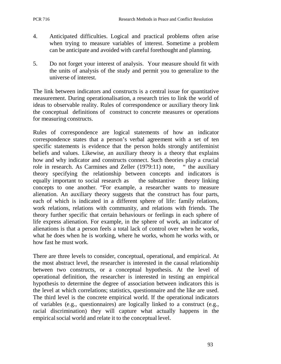- 4. Anticipated difficulties. Logical and practical problems often arise when trying to measure variables of interest. Sometime a problem can be anticipate and avoided with careful forethought and planning.
- 5. Do not forget your interest of analysis. Your measure should fit with the units of analysis of the study and permit you to generalize to the universe of interest.

The link between indicators and constructs is a central issue for quantitative measurement. During operationalisation, a research tries to link the world of ideas to observable reality. Rules of correspondence or auxiliary theory link the conceptual definitions of construct to concrete measures or operations for measuring constructs.

Rules of correspondence are logical statements of how an indicator correspondence states that a person's verbal agreement with a set of ten specific statements is evidence that the person holds strongly antifeminist beliefs and values. Likewise, an auxiliary theory is a theory that explains how and why indicator and constructs connect. Such theories play a crucial role in research. As Carmines and Zeller (1979:11) note, " the auxiliary theory specifying the relationship between concepts and indicators is equally important to social research as the substantive theory linking concepts to one another. "For example, a researcher wants to measure alienation. An auxiliary theory suggests that the construct has four parts, each of which is indicated in a different sphere of life: family relations, work relations, relations with community, and relations with friends. The theory further specific that certain behaviours or feelings in each sphere of life express alienation. For example, in the sphere of work, an indicator of alienations is that a person feels a total lack of control over when he works, what he does when he is working, where he works, whom he works with, or how fast he must work.

There are three levels to consider, conceptual, operational, and empirical. At the most abstract level, the researcher is interested in the causal relationship between two constructs, or a conceptual hypothesis. At the level of operational definition, the researcher is interested in testing an empirical hypothesis to determine the degree of association between indicators this is the level at which correlations; statistics, questionnaire and the like are used. The third level is the concrete empirical world. If the operational indicators of variables (e.g., questionnaires) are logically linked to a construct (e.g., racial discrimination) they will capture what actually happens in the empirical social world and relate it to the conceptual level.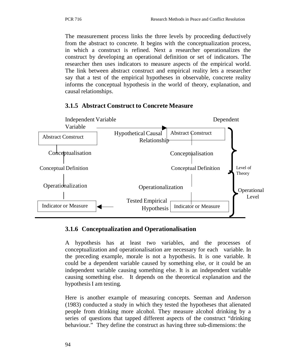The measurement process links the three levels by proceeding deductively from the abstract to concrete. It begins with the conceptualization process, in which a construct is refined. Next a researcher operationalizes the construct by developing an operational definition or set of indicators. The researcher then uses indicators to measure aspects of the empirical world. The link between abstract construct and empirical reality lets a researcher say that a test of the empirical hypotheses in observable, concrete reality informs the conceptual hypothesis in the world of theory, explanation, and causal relationships.



#### **3.1.5 Abstract Construct to Concrete Measure**

# **3.1.6 Conceptualization and Operationalisation**

A hypothesis has at least two variables, and the processes of conceptualization and operationalisation are necessary for each variable. In the preceding example, morale is not a hypothesis. It is one variable. It could be a dependent variable caused by something else, or it could be an independent variable causing something else. It is an independent variable causing something else. It depends on the theoretical explanation and the hypothesisI am testing.

Here is another example of measuring concepts. Seeman and Anderson (1983) conducted a study in which they tested the hypotheses that alienated people from drinking more alcohol. They measure alcohol drinking by a series of questions that tapped different aspects of the construct "drinking behaviour." They define the construct as having three sub-dimensions: the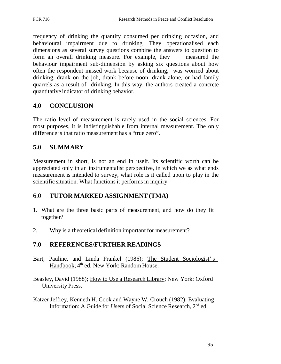frequency of drinking the quantity consumed per drinking occasion, and behavioural impairment due to drinking. They operationalised each dimensions as several survey questions combine the answers to question to form an overall drinking measure. For example, they measured the behaviour impairment sub-dimension by asking six questions about how often the respondent missed work because of drinking, was worried about drinking, drank on the job, drank before noon, drank alone, or had family quarrels as a result of drinking. In this way, the authors created a concrete quantitative indicator of drinking behavior.

#### **4.0 CONCLUSION**

The ratio level of measurement is rarely used in the social sciences. For most purposes, it is indistinguishable from internal measurement. The only difference is that ratio measurement has a "true zero".

# **5.0 SUMMARY**

Measurement in short, is not an end in itself. Its scientific worth can be appreciated only in an instrumentalist perspective, in which we as what ends measurement is intended to survey, what role is it called upon to play in the scientific situation. What functions it performs in inquiry.

# 6.0 **TUTOR MARKED ASSIGNMENT(TMA)**

- 1. What are the three basic parts of measurement, and how do they fit together?
- 2. Why is a theoretical definition important for measurement?

#### **7.0 REFERENCES/FURTHER READINGS**

- Bart, Pauline, and Linda Frankel (1986); The Student Sociologist' s Handbook; 4<sup>th</sup> ed. New York: Random House.
- Beasley, David (1988); How to Use a Research Library; New York: Oxford University Press.
- Katzer Jeffrey, Kenneth H. Cook and Wayne W. Crouch (1982); Evaluating Information: A Guide for Users of Social Science Research, 2<sup>nd</sup> ed.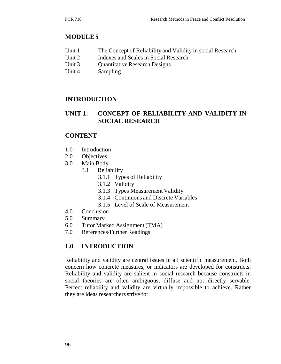### **MODULE 5**

- Unit 1 The Concept of Reliability and Validity in social Research
- Unit 2 Indexes and Scales in Social Research
- Unit 3 Quantitative Research Designs
- Unit 4 Sampling

# **INTRODUCTION**

### **UNIT 1: CONCEPT OF RELIABILITY AND VALIDITY IN SOCIAL RESEARCH**

# **CONTENT**

- 1.0 Introduction
- 2.0 Objectives
- 3.0 Main Body
	- 3.1 Reliability
		- 3.1.1 Types of Reliability
		- 3.1.2 Validity
		- 3.1.3 Types Measurement Validity
		- 3.1.4 Continuous and Discrete Variables
		- 3.1.5 Level of Scale of Measurement
- 4.0 Conclusion
- 5.0 Summary
- 6.0 Tutor Marked Assignment (TMA)
- 7.0 References/Further Readings

# **1.0 INTRODUCTION**

Reliability and validity are central issues in all scientific measurement. Both concern how concrete measures, or indicators are developed for constructs. Reliability and validity are salient in social research because constructs in social theories are often ambiguous; diffuse and not directly servable. Perfect reliability and validity are virtually impossible to achieve. Rather they are ideas researchers strive for.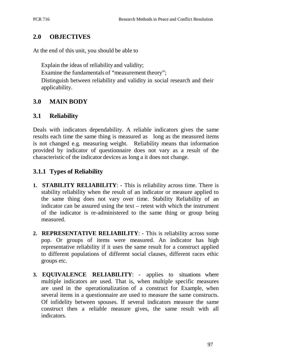### **2.0 OBJECTIVES**

At the end of this unit, you should be able to

Explain the ideas of reliability and validity; Examine the fundamentals of "measurement theory"; Distinguish between reliability and validity in social research and their applicability.

# **3.0 MAIN BODY**

### **3.1 Reliability**

Deals with indicators dependability. A reliable indicators gives the same results each time the same thing is measured as long as the measured items is not changed e.g. measuring weight. Reliability means that information provided by indicator of questionnaire does not vary as a result of the characteristic of the indicator devices as long a it does not change.

# **3.1.1 Types of Reliability**

- **1. STABILITY RELIABILITY**: This is reliability across time. There is stability reliability when the result of an indicator or measure applied to the same thing does not vary over time. Stability Reliability of an indicator can be assured using the text – retest with which the instrument of the indicator is re-administered to the same thing or group being measured.
- **2. REPRESENTATIVE RELIABILITY**: This is reliability across some pop. Or groups of items were measured. An indicator has high representative reliability if it uses the same result for a construct applied to different populations of different social clauses, different races ethic groups etc.
- **3. EQUIVALENCE RELIABILITY**: applies to situations where multiple indicators are used. That is, when multiple specific measures are used in the operationalization of a construct for Example, when several items in a questionnaire are used to measure the same constructs. Of infidelity between spouses. If several indicators measure the same construct then a reliable measure gives, the same result with all indicators.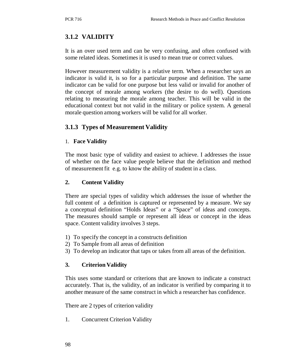# **3.1.2 VALIDITY**

It is an over used term and can be very confusing, and often confused with some related ideas. Sometimes it is used to mean true or correct values.

However measurement validity is a relative term. When a researcher says an indicator is valid it, is so for a particular purpose and definition. The same indicator can be valid for one purpose but less valid or invalid for another of the concept of morale among workers (the desire to do well). Questions relating to measuring the morale among teacher. This will be valid in the educational context but not valid in the military or police system. A general morale question among workers will be valid for all worker.

# **3.1.3 Types of Measurement Validity**

#### 1. **Face Validity**

The most basic type of validity and easiest to achieve. I addresses the issue of whether on the face value people believe that the definition and method of measurement fit e.g. to know the ability of student in a class.

#### **2. Content Validity**

There are special types of validity which addresses the issue of whether the full content of a definition is captured or represented by a measure. We say a conceptual definition "Holds Ideas" or a "Space" of ideas and concepts. The measures should sample or represent all ideas or concept in the ideas space. Content validity involves 3 steps.

- 1) To specify the concept in a constructs definition
- 2) To Sample from all areas of definition
- 3) To develop an indicator that taps or takes from all areas of the definition.

#### **3. Criterion Validity**

This uses some standard or criterions that are known to indicate a construct accurately. That is, the validity, of an indicator is verified by comparing it to another measure of the same construct in which a researcher has confidence.

There are 2 types of criterion validity

1. Concurrent Criterion Validity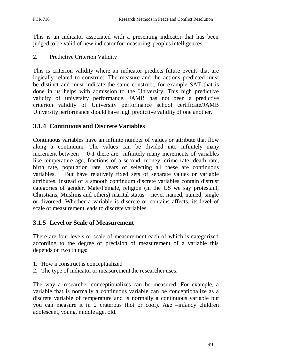This is an indicator associated with a presenting indicator that has been judged to be valid of new indicator for measuring peoples intelligences.

2. Predictive Criterion Validity

This is criterion validity where an indicator predicts future events that are logically related to construct. The measure and the actions predicted must be distinct and must indicate the same construct, for example SAT that is done in us helps with admission to the University. This high predictive validity of university performance. JAMB has not been a predictive criterion validity of University performance school certificate/JAMB University performance should have high predictive validity of one another.

# **3.1.4 Continuous and Discrete Variables**

Continuous variables have an infinite number of values or attribute that flow along a continuum. The values can be divided into infinitely many increment between 0-1 there are infinitely many increments of variables like temperature age, fractions of a second, money, crime rate, death rate, birth rate, population rate, years of selecting all these are continuous variables. But have relatively fixed sets of separate values or variable attributes. Instead of a smooth continuum discrete variables contain distrust categories of gender, Male/Female, religion (in the US we say protestant, Christians, Muslims and others) marital status – never named, named, single or divorced. Whether a variable is discrete or contains affects, its level of scale of measurement leads to discrete variables.

# **3.1.5 Level or Scale of Measurement**

There are four levels or scale of measurement each of which is categorized according to the degree of precision of measurement of a variable this depends on two things:

- 1. How a construct is conceptualized
- 2. The type of indicator or measurement the researcher uses.

The way a researcher conceptionalizes can be measured. For example, a variable that is normally a continuous variable can be conceptionalize as a discrete variable of temperature and is normally a continuous variable but you can measure it in 2 craterous (hot or cool). Age –infancy children adolescent, young, middle age, old.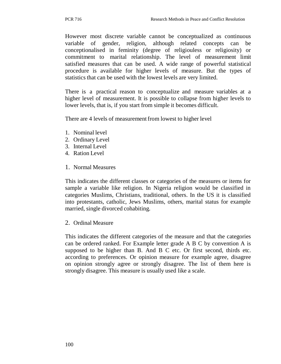However most discrete variable cannot be conceptualized as continuous variable of gender, religion, although related concepts can be conceptionalised in feminity (degree of religiouless or religiosity) or commitment to marital relationship. The level of measurement limit satisfied measures that can be used. A wide range of powerful statistical procedure is available for higher levels of measure. But the types of statistics that can be used with the lowest levels are very limited.

There is a practical reason to conceptualize and measure variables at a higher level of measurement. It is possible to collapse from higher levels to lower levels, that is, if you start from simple it becomes difficult.

There are 4 levels of measurement from lowest to higher level

- 1. Nominal level
- 2. Ordinary Level
- 3. Internal Level
- 4. Ration Level
- 1. Normal Measures

This indicates the different classes or categories of the measures or items for sample a variable like religion. In Nigeria religion would be classified in categories Muslims, Christians, traditional, others. In the US it is classified into protestants, catholic, Jews Muslims, others, marital status for example married, single divorced cohabiting.

2. Ordinal Measure

This indicates the different categories of the measure and that the categories can be ordered ranked. For Example letter grade A B C by convention A is supposed to be higher than B. And B C etc. Or first second, thirds etc. according to preferences. Or opinion measure for example agree, disagree on opinion strongly agree or strongly disagree. The list of them here is strongly disagree. This measure is usually used like a scale.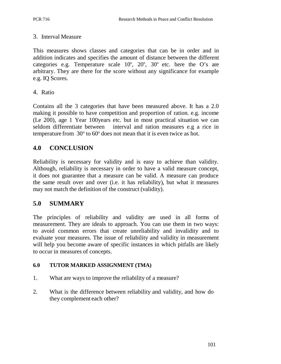#### 3. Interval Measure

This measures shows classes and categories that can be in order and in addition indicates and specifies the amount of distance between the different categories e.g. Temperature scale  $10^{\circ}$ ,  $20^{\circ}$ ,  $30^{\circ}$  etc. here the O's are arbitrary. They are there for the score without any significance for example e.g. IQ Scores.

#### 4. Ratio

Contains all the 3 categories that have been measured above. It has a 2.0 making it possible to have competition and proportion of ration. e.g. income (Le 200), age 1 Year 100years etc. but in most practical situation we can seldom differentiate between interval and ration measures e.g a rice in temperature from  $30^{\circ}$  to  $60^{\circ}$  does not mean that it is even twice as hot.

### **4.0 CONCLUSION**

Reliability is necessary for validity and is easy to achieve than validity. Although, reliability is necessary in order to have a valid measure concept, it does not guarantee that a measure can be valid. A measure can produce the same result over and over (i.e. it has reliability), but what it measures may not match the definition of the construct (validity).

# **5.0 SUMMARY**

The principles of reliability and validity are used in all forms of measurement. They are ideals to approach. You can use them in two ways: to avoid common errors that create unreliability and invalidity and to evaluate your measures. The issue of reliability and validity in measurement will help you become aware of specific instances in which pitfalls are likely to occur in measures of concepts.

#### **6.0 TUTOR MARKED ASSIGNMENT (TMA)**

- 1. What are ways to improve the reliability of a measure?
- 2. What is the difference between reliability and validity, and how do they complement each other?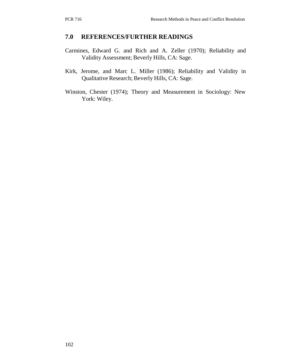# **7.0 REFERENCES/FURTHER READINGS**

- Carmines, Edward G. and Rich and A. Zeller (1970); Reliability and Validity Assessment; Beverly Hills, CA: Sage.
- Kirk, Jerome, and Marc L. Miller (1986); Reliability and Validity in Qualitative Research; Beverly Hills, CA: Sage.
- Winston, Chester (1974); Theory and Measurement in Sociology: New York: Wiley.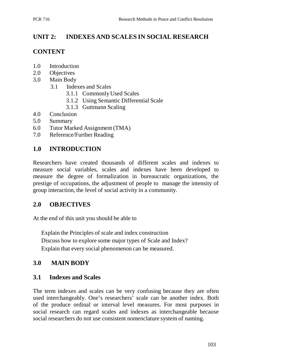# **UNIT 2: INDEXES AND SCALES IN SOCIAL RESEARCH**

#### **CONTENT**

- 1.0 Introduction
- 2.0 Objectives
- 3.0 Main Body
	- 3.1 Indexes and Scales
		- 3.1.1 Commonly Used Scales
		- 3.1.2 Using Semantic Differential Scale
		- 3.1.3 Guttmann Scaling
- 4.0 Conclusion
- 5.0 Summary
- 6.0 Tutor Marked Assignment (TMA)
- 7.0 Reference/Further Reading

# **1.0 INTRODUCTION**

Researchers have created thousands of different scales and indexes to measure social variables, scales and indexes have been developed to measure the degree of formalization in bureaucratic organizations, the prestige of occupations, the adjustment of people to manage the intensity of group interaction, the level of social activity in a community.

# **2.0 OBJECTIVES**

At the end of this unit you should be able to

Explain the Principles of scale and index construction Discuss how to explore some major types of Scale and Index? Explain that every social phenomenon can be measured.

#### **3.0 MAIN BODY**

#### **3.1 Indexes and Scales**

The term indexes and scales can be very confusing because they are often used interchangeably. One's researchers' scale can be another index. Both of the produce ordinal or interval level measures. For most purposes in social research can regard scales and indexes as interchangeable because social researchers do not use consistent nomenclature system of naming.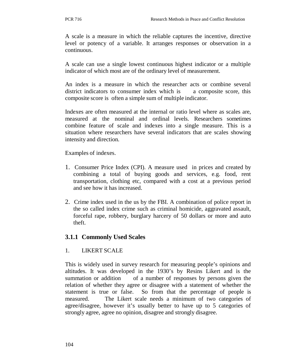A scale is a measure in which the reliable captures the incentive, directive level or potency of a variable. It arranges responses or observation in a continuous.

A scale can use a single lowest continuous highest indicator or a multiple indicator of which most are of the ordinary level of measurement.

An index is a measure in which the researcher acts or combine several district indicators to consumer index which is a composite score, this composite score is often a simple sum of multiple indicator.

Indexes are often measured at the internal or ratio level where as scales are, measured at the nominal and ordinal levels. Researchers sometimes combine feature of scale and indexes into a single measure. This is a situation where researchers have several indicators that are scales showing intensity and direction.

Examples of indexes.

- 1. Consumer Price Index (CPI). A measure used in prices and created by combining a total of buying goods and services, e.g. food, rent transportation, clothing etc, compared with a cost at a previous period and see how it has increased.
- 2. Crime index used in the us by the FBI. A combination of police report in the so called index crime such as criminal homicide, aggravated assault, forceful rape, robbery, burglary harcery of 50 dollars or more and auto theft.

#### **3.1.1 Commonly Used Scales**

#### 1. LIKERT SCALE

This is widely used in survey research for measuring people's opinions and altitudes. It was developed in the 1930's by Resins Likert and is the summation or addition of a number of responses by persons given the relation of whether they agree or disagree with a statement of whether the statement is true or false. So from that the percentage of people is measured. The Likert scale needs a minimum of two categories of agree/disagree, however it's usually better to have up to 5 categories of strongly agree, agree no opinion, disagree and strongly disagree.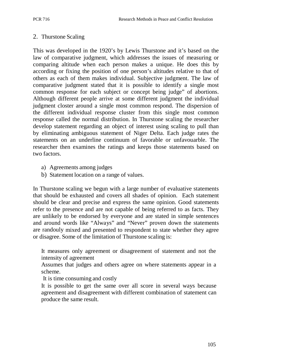#### 2. Thurstone Scaling

This was developed in the 1920's by Lewis Thurstone and it's based on the law of comparative judgment, which addresses the issues of measuring or comparing altitude when each person makes a unique. He does this by according or fixing the position of one person's altitudes relative to that of others as each of them makes individual. Subjective judgment. The law of comparative judgment stated that it is possible to identify a single most common response for each subject or concept being judge" of abortions. Although different people arrive at some different judgment the individual judgment closter around a single most common respond. The dispersion of the different individual response cluster from this single most common response called the normal distribution. In Thurstone scaling the researcher develop statement regarding an object of interest using scaling to pull than by eliminating ambiguous statement of Niger Delta. Each judge rates the statements on an underline continuum of favorable or unfavouarble. The researcher then examines the ratings and keeps those statements based on two factors.

- a) Agreements among judges
- b) Statement location on a range of values.

In Thurstone scaling we begun with a large number of evaluative statements that should be exhausted and covers all shades of opinion. Each statement should be clear and precise and express the same opinion. Good statements refer to the presence and are not capable of being referred to as facts. They are unlikely to be endorsed by everyone and are stated in simple sentences and around words like "Always" and "Never" proven down the statements are randouly mixed and presented to respondent to state whether they agree or disagree. Some of the limitation of Thurstone scaling is:

It measures only agreement or disagreement of statement and not the intensity of agreement

Assumes that judges and others agree on where statements appear in a scheme.

It is time consuming and costly

It is possible to get the same over all score in several ways because agreement and disagreement with different combination of statement can produce the same result.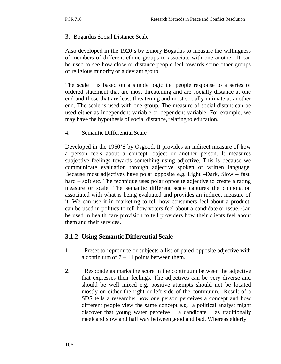#### 3. Bogardus Social Distance Scale

Also developed in the 1920's by Emory Bogadus to measure the willingness of members of different ethnic groups to associate with one another. It can be used to see how close or distance people feel towards some other groups of religious minority or a deviant group.

The scale is based on a simple logic i.e. people response to a series of ordered statement that are most threatening and are socially distance at one end and those that are least threatening and most socially intimate at another end. The scale is used with one group. The measure of social distant can be used either as independent variable or dependent variable. For example, we may have the hypothesis of social distance, relating to education.

4. Semantic Differential Scale

Developed in the 1950'S by Osgood. It provides an indirect measure of how a person feels about a concept, object or another person. It measures subjective feelings towards something using adjective. This is because we communicate evaluation through adjective spoken or written language. Because most adjectives have polar opposite e.g. Light –Dark, Slow – fast, hard – soft etc. The technique uses polar opposite adjective to create a rating measure or scale. The semantic different scale captures the connotation associated with what is being evaluated and provides an indirect measure of it. We can use it in marketing to tell how consumers feel about a product; can be used in politics to tell how voters feel about a candidate or issue. Can be used in health care provision to tell providers how their clients feel about them and their services.

#### **3.1.2 Using Semantic Differential Scale**

- 1. Preset to reproduce or subjects a list of pared opposite adjective with a continuum of  $7 - 11$  points between them.
- 2. Respondents marks the score in the continuum between the adjective that expresses their feelings. The adjectives can be very diverse and should be well mixed e.g. positive attempts should not be located mostly on either the right or left side of the continuum. Result of a SDS tells a researcher how one person perceives a concept and how different people view the same concept e.g. a political analyst might discover that young water perceive a candidate as traditionally discover that young water perceive a candidate as traditionally meek and slow and half way between good and bad. Whereas elderly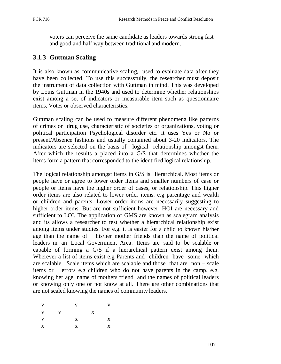voters can perceive the same candidate as leaders towards strong fast and good and half way between traditional and modern.

### **3.1.3 Guttman Scaling**

It is also known as communicative scaling, used to evaluate data after they have been collected. To use this successfully, the researcher must deposit the instrument of data collection with Guttman in mind. This was developed by Louis Guttman in the 1940s and used to determine whether relationships exist among a set of indicators or measurable item such as questionnaire items, Votes or observed characteristics.

Guttman scaling can be used to measure different phenomena like patterns of crimes or drug use, characteristic of societies or organizations, voting or political participation Psychological disorder etc. it uses Yes or No or present/Absence fashions and usually contained about 3-20 indicators. The indicators are selected on the basis of logical relationship amongst them. After which the results a placed into a G/S that determines whether the items form a pattern that corresponded to the identified logical relationship.

The logical relationship amongst items in G/S is Hierarchical. Most items or people have or agree to lower order items and smaller numbers of case or people or items have the higher order of cases, or relationship. This higher order items are also related to lower order items. e.g parentage and wealth or children and parents. Lower order items are necessarily suggesting to higher order items. But are not sufficient however, HOI are necessary and sufficient to LOI. The application of GMS are known as scalegram analysis and its allows a researcher to test whether a hierarchical relationship exist among items under studies. For e.g. it is easier for a child to known his/her age than the name of his/her mother friends than the name of political leaders in an Local Government Area. Items are said to be scalable or capable of forming a G/S if a hierarchical pattern exist among them. Wherever a list of items exist e.g Parents and children have some which are scalable. Scale items which are scalable and those that are non – scale items or errors e.g children who do not have parents in the camp. e.g. knowing her age, name of mothers friend and the names of political leaders or knowing only one or not know at all. There are other combinations that are not scaled knowing the names of community leaders.

| $\mathbf{V}$ |              | V |   | V |
|--------------|--------------|---|---|---|
| $\mathbf{V}$ | $\mathbf{V}$ |   | X |   |
| $\mathbf{V}$ |              | X |   | X |
| $\mathbf{X}$ |              | X |   | X |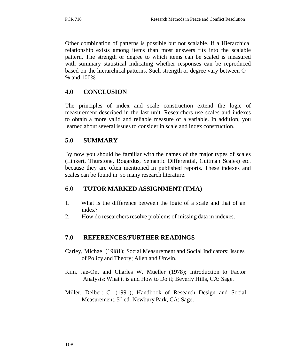Other combination of patterns is possible but not scalable. If a Hierarchical relationship exists among items than most answers fits into the scalable pattern. The strength or degree to which items can be scaled is measured with summary statistical indicating whether responses can be reproduced based on the hierarchical patterns. Such strength or degree vary between O % and 100%.

### **4.0 CONCLUSION**

The principles of index and scale construction extend the logic of measurement described in the last unit. Researchers use scales and indexes to obtain a more valid and reliable measure of a variable. In addition, you learned about several issues to consider in scale and index construction.

# **5.0 SUMMARY**

By now you should be familiar with the names of the major types of scales (Linkert, Thurstone, Bogardus, Semantic Differential, Guttman Scales) etc. because they are often mentioned in published reports. These indexes and scales can be found in so many research literature.

#### 6.0 **TUTOR MARKED ASSIGNMENT(TMA)**

- 1. What is the difference between the logic of a scale and that of an index?
- 2. How do researchers resolve problems of missing data in indexes.

#### **7.0 REFERENCES/FURTHER READINGS**

- Carley, Michael (19l81); Social Measurement and Social Indicators: Issues of Policy and Theory; Allen and Unwin.
- Kim, Jae-On, and Charles W. Mueller (1978); Introduction to Factor Analysis: What it is and How to Do it; Beverly Hills, CA: Sage.
- Miller, Delbert C. (1991); Handbook of Research Design and Social Measurement, 5<sup>th</sup> ed. Newbury Park, CA: Sage.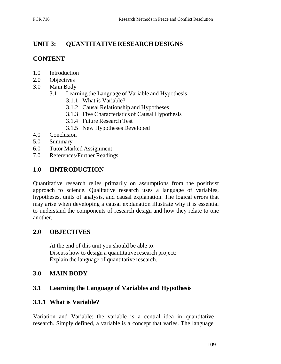# **UNIT 3: QUANTITATIVE RESEARCH DESIGNS**

### **CONTENT**

- 1.0 Introduction
- 2.0 Objectives
- 3.0 Main Body
	- 3.1 Learning the Language of Variable and Hypothesis
		- 3.1.1 What is Variable?
		- 3.1.2 Causal Relationship and Hypotheses
		- 3.1.3 Five Characteristics of Causal Hypothesis
		- 3.1.4 Future Research Test
		- 3.1.5 New Hypotheses Developed
- 4.0 Conclusion
- 5.0 Summary
- 6.0 Tutor Marked Assignment
- 7.0 References/Further Readings

# **1.0 IINTRODUCTION**

Quantitative research relies primarily on assumptions from the positivist approach to science. Qualitative research uses a language of variables, hypotheses, units of analysis, and causal explanation. The logical errors that may arise when developing a causal explanation illustrate why it is essential to understand the components of research design and how they relate to one another.

#### **2.0 OBJECTIVES**

At the end of this unit you should be able to: Discuss how to design a quantitative research project; Explain the language of quantitative research.

# **3.0 MAIN BODY**

# **3.1 Learning the Language of Variables and Hypothesis**

#### **3.1.1 What is Variable?**

Variation and Variable: the variable is a central idea in quantitative research. Simply defined, a variable is a concept that varies. The language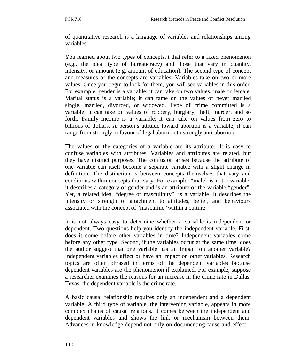of quantitative research is a language of variables and relationships among variables.

You learned about two types of concepts, t that refer to a fixed phenomenon (e.g., the ideal type of bureaucracy) and those that vary in quantity, intensity, or amount (e.g. amount of education). The second type of concept and measures of the concepts are variables. Variables take on two or more values. Once you begin to look for them, you will see variables in this order. For example, gender is a variable; it can take on two values, male or female. Marital status is a variable; it can tame on the values of never married single, married, divorced, or widowed. Type of crime committed is a variable; it can take on values of robbery, burglary, theft, murder, and so forth. Family income is a variable; it can take on values from zero to billions of dollars. A person's attitude toward abortion is a variable; it can range from strongly in favour of legal abortion to strongly anti-abortion.

The values or the categories of a variable are its attribute.. It is easy to confuse variables with attributes. Variables and attributes are related, but they have distinct purposes. The confusion arises because the attribute of one variable can itself become a separate variable with a slight change in definition. The distinction is between concepts themselves that vary and conditions within concepts that vary. For example, "male" is not a variable; it describes a category of gender and is an attribute of the variable "gender". Yet, a related idea, "degree of masculinity", is a variable. It describes the intensity or strength of attachment to attitudes, belief, and behaviours associated with the concept of "masculine" within a culture.

It is not always easy to determine whether a variable is independent or dependent. Two questions help you identify the independent variable. First, does it come before other variables in time? Independent variables come before any other type. Second, if the variables occur at the same time, does the author suggest that one variable has an impact on another variable? Independent variables affect or have an impact on other variables. Research topics are often phrased in terms of the dependent variables because dependent variables are the phenomenon if explained. For example, suppose a researcher examines the reasons for an increase in the crime rate in Dallas. Texas; the dependent variable is the crime rate.

A basic causal relationship requires only an independent and a dependent variable. A third type of variable, the intervening variable, appears in more complex chains of causal relations. It comes between the independent and dependent variables and shows the link or mechanism between them. Advances in knowledge depend not only on documenting cause-and-effect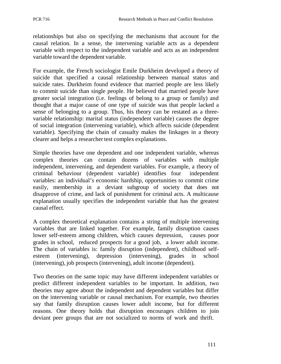relationships but also on specifying the mechanisms that account for the causal relation. In a sense, the intervening variable acts as a dependent variable with respect to the independent variable and acts as an independent variable toward the dependent variable.

For example, the French sociologist Emile Durkheim developed a theory of suicide that specified a causal relationship between manual status and suicide rates. Durkheim found evidence that married people are less likely to commit suicide than single people. He believed that married people have greater social integration (i.e. feelings of belong to a group or family) and thought that a major cause of one type of suicide was that people lacked a sense of belonging to a group. Thus, his theory can be restated as a threevariable relationship: marital status (independent variable) causes the degree of social integration (intervening variable), which affects suicide (dependent variable). Specifying the chain of casualty makes the linkages in a theory clearer and helps a researcher test complex explanations.

Simple theories have one dependent and one independent variable, whereas complex theories can contain dozens of variables with multiple independent, intervening, and dependent variables. For example, a theory of criminal behaviour (dependent variable) identifies four independent variables: an individual's economic hardship, opportunities to commit crime easily, membership in a deviant subgroup of society that does not disapprove of crime, and lack of punishment for criminal acts. A multicause explanation usually specifies the independent variable that has the greatest causal effect.

A complex theoretical explanation contains a string of multiple intervening variables that are linked together. For example, family disruption causes lower self-esteem among children, which causes depression, causes poor grades in school, reduced prospects for a good job, a lower adult income. The chain of variables is: family disruption (independent), childhood selfesteem (intervening), depression (intervening), grades in school (intervening), job prospects (intervening), adult income (dependent).

Two theories on the same topic may have different independent variables or predict different independent variables to be important. In addition, two theories may agree about the independent and dependent variables but differ on the intervening variable or causal mechanism. For example, two theories say that family disruption causes lower adult income, but for different reasons. One theory holds that disruption encourages children to join deviant peer groups that are not socialized to norms of work and thrift.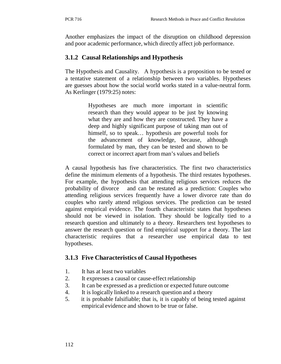Another emphasizes the impact of the disruption on childhood depression and poor academic performance, which directly affect job performance.

# **3.1.2 Causal Relationships and Hypothesis**

The Hypothesis and Causality. A hypothesis is a proposition to be tested or a tentative statement of a relationship between two variables. Hypotheses are guesses about how the social world works stated in a value-neutral form. As Kerlinger (1979:25) notes:

> Hypotheses are much more important in scientific research than they would appear to be just by knowing what they are and how they are constructed. They have a deep and highly significant purpose of taking man out of himself, so to speak... hypothesis are powerful tools for the advancement of knowledge, because, although formulated by man, they can be tested and shown to be correct or incorrect apart from man's values and beliefs

A causal hypothesis has five characteristics. The first two characteristics define the minimum elements of a hypothesis. The third restates hypotheses. For example, the hypothesis that attending religious services reduces the probability of divorce and can be restated as a prediction: Couples who attending religious services frequently have a lower divorce rate than do couples who rarely attend religious services. The prediction can be tested against empirical evidence. The fourth characteristic states that hypotheses should not be viewed in isolation. They should be logically tied to a research question and ultimately to a theory. Researchers test hypotheses to answer the research question or find empirical support for a theory. The last characteristic requires that a researcher use empirical data to test hypotheses.

# **3.1.3 Five Characteristics of Causal Hypotheses**

- 1. It has at least two variables
- 2. It expresses a causal or cause-effect relationship
- 3. It can be expressed as a prediction or expected future outcome
- 4. It is logically linked to a research question and a theory
- 5. it is probable falsifiable; that is, it is capably of being tested against empirical evidence and shown to be true or false.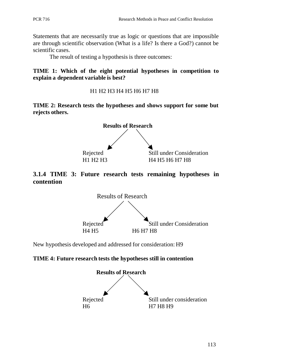Statements that are necessarily true as logic or questions that are impossible are through scientific observation (What is a life? Is there a God?) cannot be scientific cases.

The result of testing a hypothesis is three outcomes:

#### **TIME 1: Which of the eight potential hypotheses in competition to explain a dependent variable is best?**

#### H1 H2 H3 H4 H5 H6 H7 H8

**TIME 2: Research tests the hypotheses and shows support for some but rejects others.**



#### **3.1.4 TIME 3: Future research tests remaining hypotheses in contention**



New hypothesis developed and addressed for consideration: H9

#### **TIME 4: Future research tests the hypotheses still in contention**

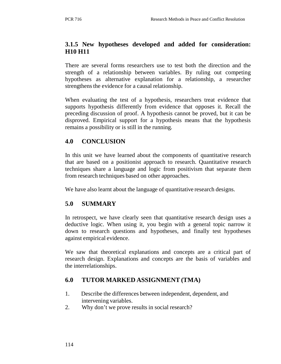### **3.1.5 New hypotheses developed and added for consideration: H10 H11**

There are several forms researchers use to test both the direction and the strength of a relationship between variables. By ruling out competing hypotheses as alternative explanation for a relationship, a researcher strengthens the evidence for a causal relationship.

When evaluating the test of a hypothesis, researchers treat evidence that supports hypothesis differently from evidence that opposes it. Recall the preceding discussion of proof. A hypothesis cannot be proved, but it can be disproved. Empirical support for a hypothesis means that the hypothesis remains a possibility or is still in the running.

### **4.0 CONCLUSION**

In this unit we have learned about the components of quantitative research that are based on a positionist approach to research. Quantitative research techniques share a language and logic from positivism that separate them from research techniques based on other approaches.

We have also learnt about the language of quantitative research designs.

# **5.0 SUMMARY**

In retrospect, we have clearly seen that quantitative research design uses a deductive logic. When using it, you begin with a general topic narrow it down to research questions and hypotheses, and finally test hypotheses against empirical evidence.

We saw that theoretical explanations and concepts are a critical part of research design. Explanations and concepts are the basis of variables and the interrelationships.

# **6.0 TUTOR MARKED ASSIGNMENT (TMA)**

- 1. Describe the differences between independent, dependent, and intervening variables.
- 2. Why don't we prove results in social research?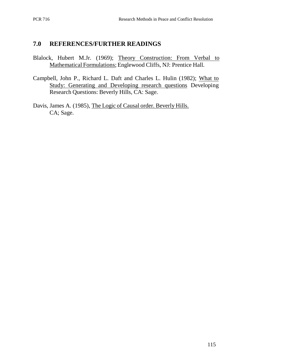# **7.0 REFERENCES/FURTHER READINGS**

- Blalock, Hubert M.Jr. (1969); Theory Construction: From Verbal to Mathematical Formulations; Englewood Cliffs, NJ: Prentice Hall.
- Campbell, John P., Richard L. Daft and Charles L. Hulin (1982); What to Study: Generating and Developing research questions Developing Research Questions: Beverly Hills, CA: Sage.
- Davis, James A. (1985), The Logic of Causal order. Beverly Hills. CA; Sage.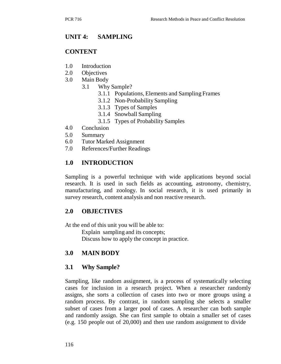# **UNIT 4: SAMPLING**

### **CONTENT**

- 1.0 Introduction
- 2.0 Objectives
- 3.0 Main Body
	- 3.1 Why Sample?
		- 3.1.1 Populations, Elements and Sampling Frames
		- 3.1.2 Non-ProbabilitySampling
		- 3.1.3 Types of Samples
		- 3.1.4 Snowball Sampling
		- 3.1.5 Types of Probability Samples
- 4.0 Conclusion
- 5.0 Summary
- 6.0 Tutor Marked Assignment
- 7.0 References/Further Readings

# **1.0 INTRODUCTION**

Sampling is a powerful technique with wide applications beyond social research. It is used in such fields as accounting, astronomy, chemistry, manufacturing, and zoology. In social research, it is used primarily in survey research, content analysis and non reactive research.

# **2.0 OBJECTIVES**

At the end of this unit you will be able to:

Explain sampling and its concepts;

Discuss how to apply the concept in practice.

# **3.0 MAIN BODY**

#### **3.1 Why Sample?**

Sampling, like random assignment, is a process of systematically selecting cases for inclusion in a research project. When a researcher randomly assigns, she sorts a collection of cases into two or more groups using a random process. By contrast, in random sampling she selects a smaller subset of cases from a larger pool of cases. A researcher can both sample and randomly assign. She can first sample to obtain a smaller set of cases (e.g. 150 people out of 20,000) and then use random assignment to divide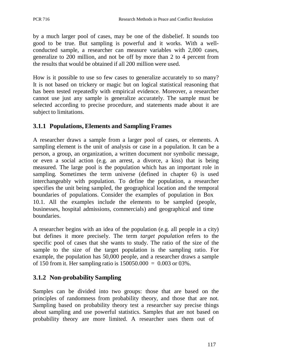by a much larger pool of cases, may be one of the disbelief. It sounds too good to be true. But sampling is powerful and it works. With a wellconducted sample, a researcher can measure variables with 2,000 cases, generalize to 200 million, and not be off by more than 2 to 4 percent from the results that would be obtained if all 200 million were used.

How is it possible to use so few cases to generalize accurately to so many? It is not based on trickery or magic but on logical statistical reasoning that has been tested repeatedly with empirical evidence. Moreover, a researcher cannot use just any sample is generalize accurately. The sample must be selected according to precise procedure, and statements made about it are subject to limitations.

# **3.1.1 Populations, Elements and Sampling Frames**

A researcher draws a sample from a larger pool of cases, or elements. A sampling element is the unit of analysis or case in a population. It can be a person, a group, an organization, a written document nor symbolic message, or even a social action (e.g. an arrest, a divorce, a kiss) that is being measured. The large pool is the population which has an important role in sampling. Sometimes the term universe (defined in chapter 6) is used interchangeably with population. To define the population, a researcher specifies the unit being sampled, the geographical location and the temporal boundaries of populations. Consider the examples of population in Box 10.1. All the examples include the elements to be sampled (people, businesses, hospital admissions, commercials) and geographical and time boundaries.

A researcher begins with an idea of the population (e.g. all people in a city) but defines it more precisely. The term *target population* refers to the specific pool of cases that she wants to study. The ratio of the size of the sample to the size of the target population is the sampling ratio. For example, the population has 50,000 people, and a researcher draws a sample of 150 from it. Her sampling ratio is  $150050.000 = 0.003$  or 03%.

# **3.1.2 Non-probability Sampling**

Samples can be divided into two groups: those that are based on the principles of randomness from probability theory, and those that are not. Sampling based on probability theory test a researcher say precise things about sampling and use powerful statistics. Samples that are not based on probability theory are more limited. A researcher uses them out of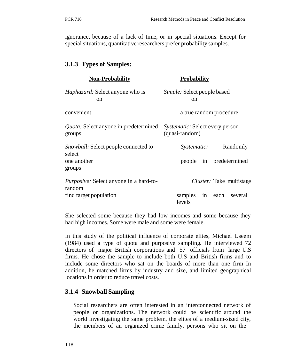ignorance, because of a lack of time, or in special situations. Except for special situations, quantitative researchers prefer probability samples.

#### **3.1.3 Types of Samples:**

| <b>Non-Probability</b>                                  | <b>Probability</b>                                       |
|---------------------------------------------------------|----------------------------------------------------------|
| <i>Haphazard:</i> Select anyone who is<br><sub>on</sub> | <i>Simple:</i> Select people based<br>on                 |
| convenient                                              | a true random procedure                                  |
| <i>Quota:</i> Select anyone in predetermined<br>groups  | <i>Systematic:</i> Select every person<br>(quasi-random) |
| <i>Snowball:</i> Select people connected to<br>select   | Randomly<br>Systematic:                                  |
| one another<br>groups                                   | people in predetermined                                  |
| <i>Purposive:</i> Select anyone in a hard-to-<br>random | <i>Cluster:</i> Take multistage                          |
| find target population                                  | samples in each several<br>levels                        |

She selected some because they had low incomes and some because they had high incomes. Some were male and some were female.

In this study of the political influence of corporate elites, Michael Useem (1984) used a type of quota and purposive sampling. He interviewed 72 directors of major British corporations and 57 officials from large U.S firms. He chose the sample to include both U.S and British firms and to include some directors who sat on the boards of more than one firm In addition, he matched firms by industry and size, and limited geographical locations in order to reduce travel costs.

# **3.1.4 Snowball Sampling**

Social researchers are often interested in an interconnected network of people or organizations. The network could be scientific around the world investigating the same problem, the elites of a medium-sized city, the members of an organized crime family, persons who sit on the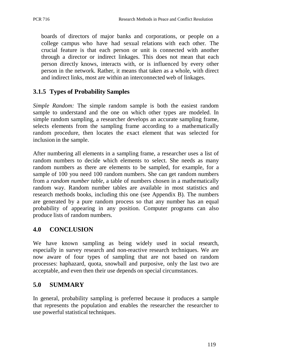boards of directors of major banks and corporations, or people on a college campus who have had sexual relations with each other. The crucial feature is that each person or unit is connected with another through a director or indirect linkages. This does not mean that each person directly knows, interacts with, or is influenced by every other person in the network. Rather, it means that taken as a whole, with direct and indirect links, most are within an interconnected web of linkages.

# **3.1.5 Types of Probability Samples**

*Simple Random:* The simple random sample is both the easiest random sample to understand and the one on which other types are modeled. In simple random sampling, a researcher develops an accurate sampling frame, selects elements from the sampling frame according to a mathematically random procedure, then locates the exact element that was selected for inclusion in the sample.

After numbering all elements in a sampling frame, a researcher uses a list of random numbers to decide which elements to select. She needs as many random numbers as there are elements to be sampled, for example, for a sample of 100 you need 100 random numbers. She can get random numbers from a *random number table*, a table of numbers chosen in a mathematically random way. Random number tables are available in most statistics and research methods books, including this one (see Appendix B). The numbers are generated by a pure random process so that any number has an equal probability of appearing in any position. Computer programs can also produce lists of random numbers.

# **4.0 CONCLUSION**

We have known sampling as being widely used in social research, especially in survey research and non-reactive research techniques. We are now aware of four types of sampling that are not based on random processes: haphazard, quota, snowball and purposive, only the last two are acceptable, and even then their use depends on special circumstances.

# **5.0 SUMMARY**

In general, probability sampling is preferred because it produces a sample that represents the population and enables the researcher the researcher to use powerful statistical techniques.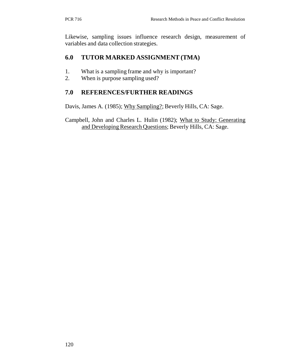Likewise, sampling issues influence research design, measurement of variables and data collection strategies.

# **6.0 TUTOR MARKED ASSIGNMENT (TMA)**

- 1. What is a sampling frame and why is important?
- 2. When is purpose sampling used?

# **7.0 REFERENCES/FURTHER READINGS**

Davis, James A. (1985); Why Sampling?; Beverly Hills, CA: Sage.

Campbell, John and Charles L. Hulin (1982); What to Study: Generating and Developing Research Questions; Beverly Hills, CA: Sage.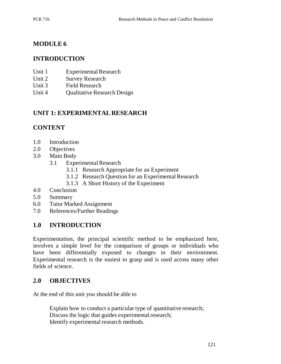# **MODULE 6**

#### **INTRODUCTION**

- Unit 1 Experimental Research
- Unit 2 Survey Research
- Unit 3 Field Research
- Unit 4 Qualitative Research Design

# **UNIT 1: EXPERIMENTAL RESEARCH**

### **CONTENT**

- 1.0 Introduction
- 2.0 Objectives
- 3.0 Main Body
	- 3.1 Experimental Research
		- 3.1.1 Research Appropriate for an Experiment
		- 3.1.2 Research Question for an Experimental Research
		- 3.1.3 A Short History of the Experiment
- 4.0 Conclusion
- 5.0 Summary
- 6.0 Tutor Marked Assignment
- 7.0 References/Further Readings

#### **1.0 INTRODUCTION**

Experimentation, the principal scientific method to be emphasized here, involves a simple level for the comparison of groups or individuals who have been differentially exposed to changes in their environment. Experimental research is the easiest to grasp and is used across many other fields of science.

#### **2.0 OBJECTIVES**

At the end of this unit you should be able to

Explain how to conduct a particular type of quantitative research; Discuss the logic that guides experimental research; Identify experimental research methods.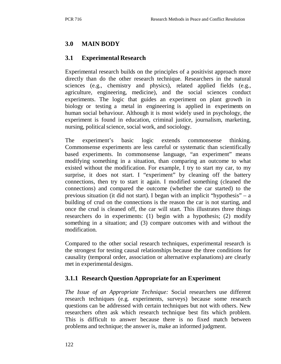# **3.0 MAIN BODY**

# **3.1 Experimental Research**

Experimental research builds on the principles of a positivist approach more directly than do the other research technique. Researchers in the natural sciences (e.g., chemistry and physics), related applied fields (e.g., agriculture, engineering, medicine), and the social sciences conduct experiments. The logic that guides an experiment on plant growth in biology or testing a metal in engineering is applied in experiments on human social behaviour. Although it is most widely used in psychology, the experiment is found in education, criminal justice, journalism, marketing, nursing, political science, social work, and sociology.

The experiment's basic logic extends commonsense thinking. Commonsense experiments are less careful or systematic than scientifically based experiments. In commonsense language, "an experiment" means modifying something in a situation, than comparing an outcome to what existed without the modification. For example, I try to start my car, to my surprise, it does not start. I "experiment" by cleaning off the battery connections, then try to start it again. I modified something (cleaned the connections) and compared the outcome (whether the car started) to the previous situation (it did not start). I began with an implicit "hypothesis" – a building of crud on the connections is the reason the car is not starting, and once the crud is cleaned off, the car will start. This illustrates three things researchers do in experiments: (1) begin with a hypothesis; (2) modify something in a situation; and (3) compare outcomes with and without the modification.

Compared to the other social research techniques, experimental research is the strongest for testing causal relationships because the three conditions for causality (temporal order, association or alternative explanations) are clearly met in experimental designs.

# **3.1.1 Research Question Appropriate for an Experiment**

*The Issue of an Appropriate Technique:* Social researchers use different research techniques (e.g. experiments, surveys) because some research questions can be addressed with certain techniques but not with others. New researchers often ask which research technique best fits which problem. This is difficult to answer because there is no fixed match between problems and technique; the answer is, make an informed judgment.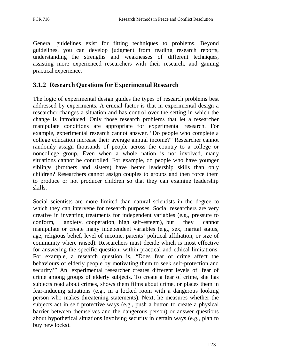General guidelines exist for fitting techniques to problems. Beyond guidelines, you can develop judgment from reading research reports, understanding the strengths and weaknesses of different techniques, assisting more experienced researchers with their research, and gaining practical experience.

### **3.1.2 Research Questions for Experimental Research**

The logic of experimental design guides the types of research problems best addressed by experiments. A crucial factor is that in experimental design a researcher changes a situation and has control over the setting in which the change is introduced. Only those research problems that let a researcher manipulate conditions are appropriate for experimental research. For example, experimental research cannot answer. "Do people who complete a college education increase their average annual income?" Researcher cannot randomly assign thousands of people across the country to a college or noncollege group. Even when a whole nation is not involved, many situations cannot be controlled. For example, do people who have younger siblings (brothers and sisters) have better leadership skills than only children? Researchers cannot assign couples to groups and then force them to produce or not producer children so that they can examine leadership skills.

Social scientists are more limited than natural scientists in the degree to which they can intervene for research purposes. Social researchers are very creative in inventing treatments for independent variables (e.g., pressure to conform, anxiety, cooperation, high self-esteem), but they cannot manipulate or create many independent variables (e.g., sex, marital status, age, religious belief, level of income, parents' political affiliation, or size of community where raised). Researchers must decide which is most effective for answering the specific question, within practical and ethical limitations. For example, a research question is, "Does fear of crime affect the behaviours of elderly people by motivating them to seek self-protection and security?" An experimental researcher creates different levels of fear of crime among groups of elderly subjects. To create a fear of crime, she has subjects read about crimes, shows them films about crime, or places them in fear-inducing situations (e.g., in a locked room with a dangerous looking person who makes threatening statements). Next, he measures whether the subjects act in self protective ways (e.g., push a button to create a physical barrier between themselves and the dangerous person) or answer questions about hypothetical situations involving security in certain ways (e.g., plan to buy new locks).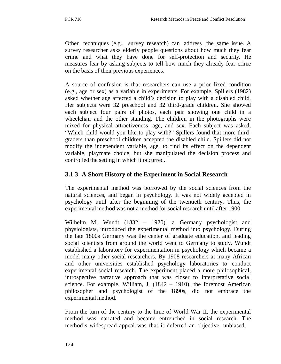Other techniques (e.g., survey research) can address the same issue. A survey researcher asks elderly people questions about how much they fear crime and what they have done for self-protection and security. He measures fear by asking subjects to tell how much they already fear crime on the basis of their previous experiences.

A source of confusion is that researchers can use a prior fixed condition (e.g., age or sex) as a variable in experiments. For example, Spillers (1982) asked whether age affected a child's decision to play with a disabled child. Her subjects were 32 preschool and 32 third-grade children. She showed each subject four pairs of photos, each pair showing one child in a wheelchair and the other standing. The children in the photographs were mixed for physical attractiveness, age, and sex. Each subject was asked, "Which child would you like to play with?" Spillers found that more thirdgraders than preschool children accepted the disabled child. Spillers did not modify the independent variable, age, to find its effect on the dependent variable, playmate choice, but she manipulated the decision process and controlled the setting in which it occurred.

### **3.1.3 A Short History of the Experiment in Social Research**

The experimental method was borrowed by the social sciences from the natural sciences, and began in psychology. It was not widely accepted in psychology until after the beginning of the twentieth century. Thus, the experimental method was not a method for social research until after 1900.

Wilhelm M. Wundt (1832 – 1920), a Germany psychologist and physiologists, introduced the experimental method into psychology. During the late 1800s Germany was the center of graduate education, and leading social scientists from around the world went to Germany to study. Wundt established a laboratory for experimentation in psychology which became a model many other social researchers. By 1908 researchers at many African and other universities established psychology laboratories to conduct experimental social research. The experiment placed a more philosophical, introspective narrative approach that was closer to interpretative social science. For example, William, J.  $(1842 - 1910)$ , the foremost American philosopher and psychologist of the 1890s, did not embrace the experimental method.

From the turn of the century to the time of World War II, the experimental method was narrated and became entrenched in social research. The method's widespread appeal was that it deferred an objective, unbiased,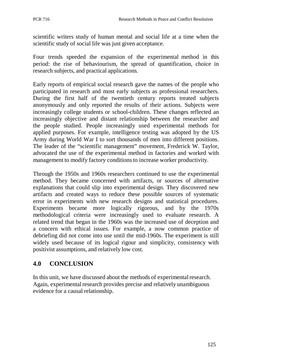scientific writers study of human mental and social life at a time when the scientific study of social life was just given acceptance.

Four trends speeded the expansion of the experimental method in this period: the rise of behaviourism, the spread of quantification, choice in research subjects, and practical applications.

Early reports of empirical social research gave the names of the people who participated in research and most early subjects as professional researchers. During the first half of the twentieth century reports treated subjects anonymously and only reported the results of their actions. Subjects were increasingly college students or school-children. These changes reflected an increasingly objective and distant relationship between the researcher and the people studied. People increasingly used experimental methods for applied purposes. For example, intelligence testing was adopted by the US Army during World War I to sort thousands of men into different positions. The leader of the "scientific management" movement, Frederick W. Taylor, advocated the use of the experimental method in factories and worked with management to modify factory conditionsto increase worker productivity.

Through the 1950s and 1960s researchers continued to use the experimental method. They became concerned with artifacts, or sources of alternative explanations that could slip into experimental design. They discovered new artifacts and created ways to reduce these possible sources of systematic error in experiments with new research designs and statistical procedures. Experiments became more logically rigorous, and by the 1970s methodological criteria were increasingly used to evaluate research. A related trend that began in the 1960s was the increased use of deception and a concern with ethical issues. For example, a now common practice of debriefing did not come into use until the mid-1960s. The experiment is still widely used because of its logical rigour and simplicity, consistency with positivist assumptions, and relatively low cost.

# **4.0 CONCLUSION**

In this unit, we have discussed about the methods of experimental research. Again, experimental research provides precise and relatively unambiguous evidence for a causal relationship.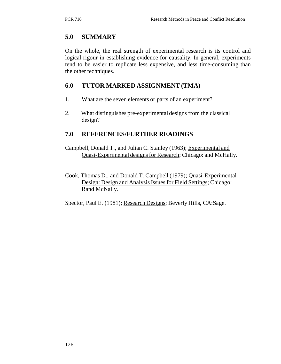# **5.0 SUMMARY**

On the whole, the real strength of experimental research is its control and logical rigour in establishing evidence for causality. In general, experiments tend to be easier to replicate less expensive, and less time-consuming than the other techniques.

# **6.0 TUTOR MARKED ASSIGNMENT (TMA)**

- 1. What are the seven elements or parts of an experiment?
- 2. What distinguishes pre-experimental designs from the classical design?

# **7.0 REFERENCES/FURTHER READINGS**

- Campbell, Donald T., and Julian C. Stanley (1963); Experimental and Quasi-Experimental designsfor Research; Chicago: and McHally.
- Cook, Thomas D., and Donald T. Campbell (1979); Quasi-Experimental Design: Design and Analysis Issues for Field Settings; Chicago: Rand McNally.

Spector, Paul E. (1981); Research Designs; Beverly Hills, CA:Sage.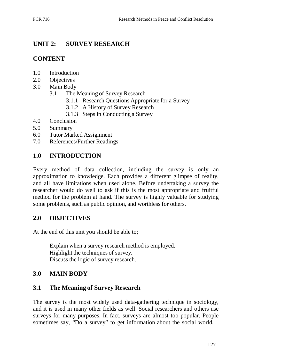# **UNIT 2: SURVEY RESEARCH**

### **CONTENT**

- 1.0 Introduction
- 2.0 Objectives
- 3.0 Main Body
	- 3.1 The Meaning of Survey Research
		- 3.1.1 Research Questions Appropriate for a Survey
		- 3.1.2 A History of Survey Research
		- 3.1.3 Steps in Conducting a Survey
- 4.0 Conclusion
- 5.0 Summary
- 6.0 Tutor Marked Assignment
- 7.0 References/Further Readings

## **1.0 INTRODUCTION**

Every method of data collection, including the survey is only an approximation to knowledge. Each provides a different glimpse of reality, and all have limitations when used alone. Before undertaking a survey the researcher would do well to ask if this is the most appropriate and fruitful method for the problem at hand. The survey is highly valuable for studying some problems, such as public opinion, and worthless for others.

### **2.0 OBJECTIVES**

At the end of this unit you should be able to;

Explain when a survey research method is employed. Highlight the techniques of survey. Discuss the logic of survey research.

## **3.0 MAIN BODY**

### **3.1 The Meaning of Survey Research**

The survey is the most widely used data-gathering technique in sociology, and it is used in many other fields as well. Social researchers and others use surveys for many purposes. In fact, surveys are almost too popular. People sometimes say, "Do a survey" to get information about the social world,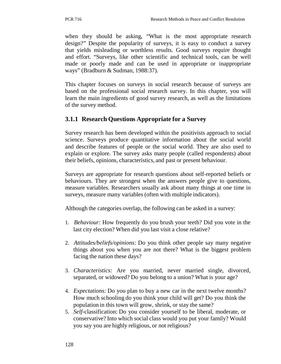when they should be asking, "What is the most appropriate research design?" Despite the popularity of surveys, it is easy to conduct a survey that yields misleading or worthless results. Good surveys require thought and effort. "Surveys, like other scientific and technical tools, can be well made or poorly made and can be used in appropriate or inappropriate ways" (Bradburn & Sudman, 1988:37).

This chapter focuses on surveys in social research because of surveys are based on the professional social research survey. In this chapter, you will learn the main ingredients of good survey research, as well as the limitations of the survey method.

## **3.1.1 Research Questions Appropriate for a Survey**

Survey research has been developed within the positivists approach to social science. Surveys produce quantitative information about the social world and describe features of people or the social world. They are also used to explain or explore. The survey asks many people (called respondents) about their beliefs, opinions, characteristics, and past or present behaviour.

Surveys are appropriate for research questions about self-reported beliefs or behaviours. They are strongest when the answers people give to questions, measure variables. Researchers usually ask about many things at one time in surveys, measure many variables (often with multiple indicators).

Although the categories overlap, the following can be asked in a survey:

- 1. *Behaviour:* How frequently do you brush your teeth? Did you vote in the last city election? When did you last visit a close relative?
- 2. *Attitudes/beliefs/opinions:* Do you think other people say many negative things about you when you are not there? What is the biggest problem facing the nation these days?
- 3. *Characteristics:* Are you married, never married single, divorced, separated, or widowed? Do you belong to a union? What is your age?
- 4. *Expectations:* Do you plan to buy a new car in the next twelve months? How much schooling do you think your child will get? Do you think the population in this town will grow, shrink, or stay the same?
- 5. *Self-*classification: Do you consider yourself to be liberal, moderate, or conservative? Into which social class would you put your family? Would you say you are highly religious, or not religious?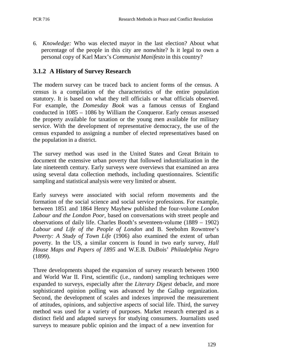6. *Knowledge:* Who was elected mayor in the last election? About what percentage of the people in this city are nonwhite? Is it legal to own a personal copy of Karl Marx's *Communist Manifesto* in this country?

### **3.1.2 A History of Survey Research**

The modern survey can be traced back to ancient forms of the census. A census is a compilation of the characteristics of the entire population statutory. It is based on what they tell officials or what officials observed. For example, the *Domesday Book* was a famous census of England conducted in 1085 – 1086 by William the Conqueror. Early census assessed the property available for taxation or the young men available for military service. With the development of representative democracy, the use of the census expanded to assigning a number of elected representatives based on the population in a district.

The survey method was used in the United States and Great Britain to document the extensive urban poverty that followed industrialization in the late nineteenth century. Early surveys were overviews that examined an area using several data collection methods, including questionnaires. Scientific sampling and statistical analysis were very limited or absent.

Early surveys were associated with social reform movements and the formation of the social science and social service professions. For example, between 1851 and 1864 Henry Mayhew published the four-volume *London Labour and the London Poor,* based on conversations with street people and observations of daily life. Charles Booth's seventeen-volume (1889 – 1902) *Labour and Life of the People of London* and B. Seebohm Rowntree's *Poverty: A Study of Town Life* (1906) also examined the extent of urban poverty. In the US, a similar concern is found in two early survey, *Hall House Maps and Papers of 1895* and W.E.B. DuBois' *Philadelphia Negro*  (1899).

Three developments shaped the expansion of survey research between 1900 and World War II. First, scientific (i.e., random) sampling techniques were expanded to surveys, especially after the *Literary Digest* debacle, and more sophisticated opinion polling was advanced by the Gallup organization. Second, the development of scales and indexes improved the measurement of attitudes, opinions, and subjective aspects of social life. Third, the survey method was used for a variety of purposes. Market research emerged as a distinct field and adapted surveys for studying consumers. Journalists used surveys to measure public opinion and the impact of a new invention for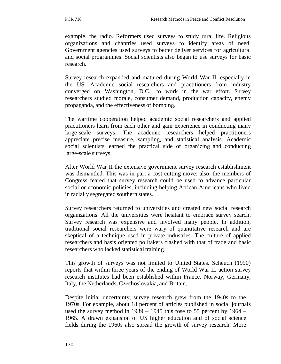example, the radio. Reformers used surveys to study rural life. Religious organizations and chantries used surveys to identify areas of need. Government agencies used surveys to better deliver services for agricultural and social programmes. Social scientists also began to use surveys for basic research.

Survey research expanded and matured during World War II, especially in the US. Academic social researchers and practitioners from industry converged on Washington, D.C., to work in the war effort. Survey researchers studied morale, consumer demand, production capacity, enemy propaganda, and the effectiveness of bombing.

The wartime cooperation helped academic social researchers and applied practitioners learn from each other and gain experience in conducting many large-scale surveys. The academic researchers helped practitioners appreciate precise measure, sampling, and statistical analysis. Academic social scientists learned the practical side of organizing and conducting large-scale surveys.

After World War II the extensive government survey research establishment was dismantled. This was in part a cost-cutting move; also, the members of Congress feared that survey research could be used to advance particular social or economic policies, including helping African Americans who lived in racially segregated southern states.

Survey researchers returned to universities and created new social research organizations. All the universities were hesitant to embrace survey search. Survey research was expensive and involved many people. In addition, traditional social researchers were wary of quantitative research and are skeptical of a technique used in private industries. The culture of applied researchers and basis oriented polltakers clashed with that of trade and basic researchers who lacked statistical training.

This growth of surveys was not limited to United States. Scheuch (1990) reports that within three years of the ending of World War II, action survey research institutes had been established within France, Norway, Germany, Italy, the Netherlands, Czechoslovakia, and Britain.

Despite initial uncertainty, survey research grew from the 1940s to the 1970s. For example, about 18 percent of articles published in social journals used the survey method in 1939 – 1945 this rose to 55 percent by 1964 – 1965. A drawn expansion of US higher education and of social science fields during the 1960s also spread the growth of survey research. More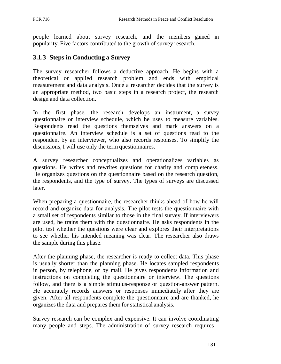people learned about survey research, and the members gained in popularity. Five factors contributed to the growth of survey research.

### **3.1.3 Steps in Conducting a Survey**

The survey researcher follows a deductive approach. He begins with a theoretical or applied research problem and ends with empirical measurement and data analysis. Once a researcher decides that the survey is an appropriate method, two basic steps in a research project, the research design and data collection.

In the first phase, the research develops an instrument, a survey questionnaire or interview schedule, which he uses to measure variables. Respondents read the questions themselves and mark answers on a questionnaire. An interview schedule is a set of questions read to the respondent by an interviewer, who also records responses. To simplify the discussions, I will use only the term questionnaires.

A survey researcher conceptualizes and operationalizes variables as questions. He writes and rewrites questions for charity and completeness. He organizes questions on the questionnaire based on the research question, the respondents, and the type of survey. The types of surveys are discussed later.

When preparing a questionnaire, the researcher thinks ahead of how he will record and organize data for analysis. The pilot tests the questionnaire with a small set of respondents similar to those in the final survey. If interviewers are used, he trains them with the questionnaire. He asks respondents in the pilot test whether the questions were clear and explores their interpretations to see whether his intended meaning was clear. The researcher also draws the sample during this phase.

After the planning phase, the researcher is ready to collect data. This phase is usually shorter than the planning phase. He locates sampled respondents in person, by telephone, or by mail. He gives respondents information and instructions on completing the questionnaire or interview. The questions follow, and there is a simple stimulus-response or question-answer pattern. He accurately records answers or responses immediately after they are given. After all respondents complete the questionnaire and are thanked, he organizes the data and prepares them for statistical analysis.

Survey research can be complex and expensive. It can involve coordinating many people and steps. The administration of survey research requires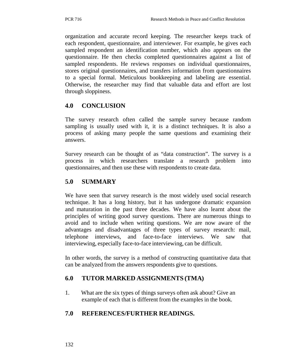organization and accurate record keeping. The researcher keeps track of each respondent, questionnaire, and interviewer. For example, he gives each sampled respondent an identification number, which also appears on the questionnaire. He then checks completed questionnaires against a list of sampled respondents. He reviews responses on individual questionnaires, stores original questionnaires, and transfers information from questionnaires to a special formal. Meticulous bookkeeping and labeling are essential. Otherwise, the researcher may find that valuable data and effort are lost through sloppiness.

## **4.0 CONCLUSION**

The survey research often called the sample survey because random sampling is usually used with it, it is a distinct techniques. It is also a process of asking many people the same questions and examining their answers.

Survey research can be thought of as "data construction". The survey is a process in which researchers translate a research problem into questionnaires, and then use these with respondents to create data.

# **5.0 SUMMARY**

We have seen that survey research is the most widely used social research technique. It has a long history, but it has undergone dramatic expansion and maturation in the past three decades. We have also learnt about the principles of writing good survey questions. There are numerous things to avoid and to include when writing questions. We are now aware of the advantages and disadvantages of three types of survey research: mail, telephone interviews, and face-to-face interviews. We saw that interviewing, especially face-to-face interviewing, can be difficult.

In other words, the survey is a method of constructing quantitative data that can be analyzed from the answers respondents give to questions.

# **6.0 TUTOR MARKED ASSIGNMENTS (TMA)**

1. What are the six types of things surveys often ask about? Give an example of each that is different from the examples in the book.

## **7.0 REFERENCES/FURTHER READINGS.**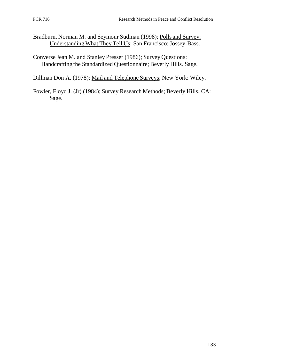- Bradburn, Norman M. and Seymour Sudman (1998); Polls and Survey: Understanding What They Tell Us; San Francisco: Jossey-Bass.
- Converse Jean M. and Stanley Presser (1986); Survey Questions: Handcrafting the Standardized Questionnaire; Beverly Hills. Sage.

Dillman Don A. (1978); Mail and Telephone Surveys; New York: Wiley.

Fowler, Floyd J. (Jr) (1984); Survey Research Methods; Beverly Hills, CA: Sage.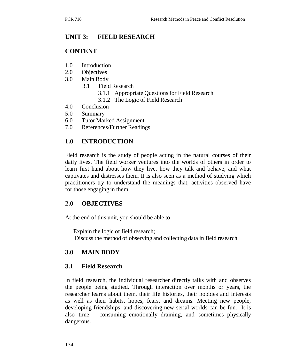# **UNIT 3: FIELD RESEARCH**

## **CONTENT**

- 1.0 Introduction
- 2.0 Objectives
- 3.0 Main Body
	- 3.1 Field Research
		- 3.1.1 Appropriate Questions for Field Research
		- 3.1.2 The Logic of Field Research
- 4.0 Conclusion
- 5.0 Summary
- 6.0 Tutor Marked Assignment
- 7.0 References/Further Readings

# **1.0 INTRODUCTION**

Field research is the study of people acting in the natural courses of their daily lives. The field worker ventures into the worlds of others in order to learn first hand about how they live, how they talk and behave, and what captivates and distresses them. It is also seen as a method of studying which practitioners try to understand the meanings that, activities observed have for those engaging in them.

## **2.0 OBJECTIVES**

At the end of this unit, you should be able to:

Explain the logic of field research;

Discuss the method of observing and collecting data in field research.

# **3.0 MAIN BODY**

## **3.1 Field Research**

In field research, the individual researcher directly talks with and observes the people being studied. Through interaction over months or years, the researcher learns about them, their life histories, their hobbies and interests as well as their habits, hopes, fears, and dreams. Meeting new people, developing friendships, and discovering new serial worlds can be fun. It is also time – consuming emotionally draining, and sometimes physically dangerous.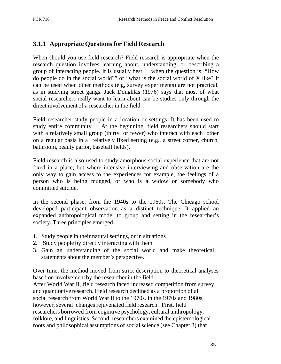## **3.1.1 Appropriate Questions for Field Research**

When should you use field research? Field research is appropriate when the research question involves learning about, understanding, or describing a group of interacting people. It is usually best when the question is: "How do people do in the social world?" or "what is the social world of X like? It can be used when other methods (e.g, survey experiments) are not practical, as in studying street gangs. Jack Doughlas (1976) says that most of what social researchers really want to learn about can be studies only through the direct involvement of a researcher in the field.

Field researcher study people in a location or settings. It has been used to study entire community. At the beginning, field researchers should start with a relatively small group (thirty or fewer) who interact with each other on a regular basis in a relatively fixed setting (e.g., a street corner, church, bathroom, beauty parlor, baseball fields).

Field research is also used to study amorphous social experience that are not fixed in a place, but where intensive interviewing and observation are the only way to gain access to the experiences for example, the feelings of a person who is being mugged, or who is a widow or somebody who committed suicide.

In the second phase, from the 1940s to the 1960s. The Chicago school developed participant observation as a distinct technique. It applied an expanded anthropological model to group and setting in the researcher's society. Three principles emerged.

- 1. Study people in their natural settings, or in situations
- 2. Study people by directly interacting with them
- 3. Gain an understanding of the social world and make theoretical statements about the member's perspective.

Over time, the method moved from strict description to theoretical analyses based on involvement by the researcher in the field.

After World War II, field research faced increased competition from survey and quantitative research. Field research declined as a proportion of all social research from World War II to the 1970s. in the 1970s and 1980s, however, several changes rejuvenated field research. First, field researchers borrowed from cognitive psychology, cultural anthropology, folklore, and linguistics. Second, researchers examined the epistemological roots and philosophical assumptions of social science (see Chapter 3) that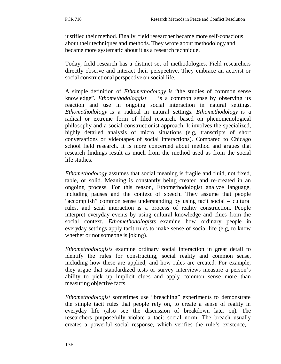justified their method. Finally, field researcher became more self-conscious about their techniques and methods. They wrote about methodology and became more systematic about it as a research technique.

Today, field research has a distinct set of methodologies. Field researchers directly observe and interact their perspective. They embrace an activist or social constructional perspective on social life.

A simple definition of *Ethomethodology is* "the studies of common sense knowledge". *Ethomethodologgist* is a common sense by observing its reaction and use in ongoing social interaction in natural settings. *Ethomethodology* is a radical in natural settings. *Ethomethodology* is a radical or extreme form of filed research, based on phenomenological philosophy and a social constructionist approach. It involves the specialized, highly detailed analysis of micro situations (e.g, transcripts of short conversations or videotapes of social interactions). Compared to Chicago school field research. It is more concerned about method and argues that research findings result as much from the method used as from the social life studies.

*Ethomethodology* assumes that social meaning is fragile and fluid, not fixed, table, or solid. Meaning is constantly being created and re-created in an ongoing process. For this reason, Ethomethodologist analyze language, including pauses and the context of speech. They assume that people "accomplish" common sense understanding by using tacit social – cultural rules, and scial interaction is a process of reality construction. People interpret everyday events by using cultural knowledge and clues from the social context. *Ethomethodologists* examine how ordinary people in everyday settings apply tacit rules to make sense of social life (e.g, to know whether or not someone is joking).

*Ethomethodologists* examine ordinary social interaction in great detail to identify the rules for constructing, social reality and common sense, including how these are applied, and how rules are created. For example, they argue that standardized tests or survey interviews measure a person's ability to pick up implicit clues and apply common sense more than measuring objective facts.

*Ethomethodologist* sometimes use "breaching" experiments to demonstrate the simple tacit rules that people rely on, to create a sense of reality in everyday life (also see the discussion of breakdown later on). The researchers purposefully violate a tacit social norm. The breach usually creates a powerful social response, which verifies the rule's existence,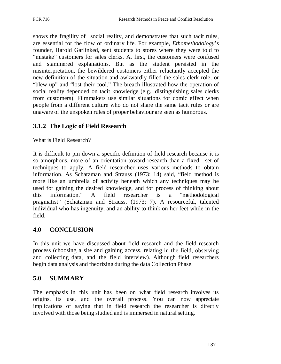shows the fragility of social reality, and demonstrates that such tacit rules, are essential for the flow of ordinary life. For example, *Ethomethodology*'s founder, Harold Garlinked, sent students to stores where they were told to "mistake" customers for sales clerks. At first, the customers were confused and stammered explanations. But as the student persisted in the misinterpretation, the bewildered customers either reluctantly accepted the new definition of the situation and awkwardly filled the sales clerk role, or "blew up" and "lost their cool." The breach illustrated how the operation of social reality depended on tacit knowledge (e.g., distinguishing sales clerks from customers). Filmmakers use similar situations for comic effect when people from a different culture who do not share the same tacit rules or are unaware of the unspoken rules of proper behaviour are seen as humorous.

# **3.1.2 The Logic of Field Research**

What is Field Research?

It is difficult to pin down a specific definition of field research because it is so amorphous, more of an orientation toward research than a fixed set of techniques to apply. A field researcher uses various methods to obtain information. As Schatzman and Strauss (1973: 14) said, "field method is more like an umbrella of activity beneath which any techniques may be used for gaining the desired knowledge, and for process of thinking about this information." A field researcher is a "methodological pragmatist" (Schatzman and Strauss, (1973: 7). A resourceful, talented individual who has ingenuity, and an ability to think on her feet while in the field.

## **4.0 CONCLUSION**

In this unit we have discussed about field research and the field research process (choosing a site and gaining access, relating in the field, observing and collecting data, and the field interview). Although field researchers begin data analysis and theorizing during the data Collection Phase.

## **5.0 SUMMARY**

The emphasis in this unit has been on what field research involves its origins, its use, and the overall process. You can now appreciate implications of saying that in field research the researcher is directly involved with those being studied and is immersed in natural setting.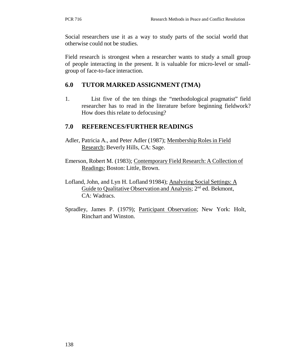Social researchers use it as a way to study parts of the social world that otherwise could not be studies.

Field research is strongest when a researcher wants to study a small group of people interacting in the present. It is valuable for micro-level or smallgroup of face-to-face interaction.

### **6.0 TUTOR MARKED ASSIGNMENT (TMA)**

1. List five of the ten things the "methodological pragmatist" field researcher has to read in the literature before beginning fieldwork? How does this relate to defocusing?

### **7.0 REFERENCES/FURTHER READINGS**

- Adler, Patricia A., and Peter Adler (1987); Membership Rolesin Field Research; Beverly Hills, CA: Sage.
- Emerson, Robert M. (1983); Contemporary Field Research: A Collection of Readings; Boston: Little, Brown.
- Lofland, John, and Lyn H. Lofland 91984); Analyzing Social Settings: A Guide to Qualitative Observation and Analysis;  $2<sup>nd</sup>$  ed. Bekmont, CA: Wadracs.
- Spradley, James P. (1979); Participant Observation; New York: Holt, Rinchart and Winston.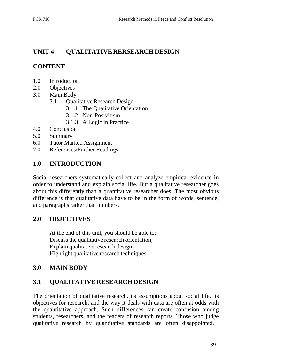# **UNIT 4: QUALITATIVE RERSEARCH DESIGN**

## **CONTENT**

- 1.0 Introduction
- 2.0 Objectives
- 3.0 Main Body
	- 3.1 Qualitative Research Design
		- 3.1.1 The Qualitative Orientation
		- 3.1.2 Non-Posivitism
		- 3.1.3 A Logic in Practice
- 4.0 Conclusion
- 5.0 Summary
- 6.0 Tutor Marked Assignment
- 7.0 References/Further Readings

## **1.0 INTRODUCTION**

Social researchers systematically collect and analyze empirical evidence in order to understand and explain social life. But a qualitative researcher goes about this differently than a quantitative researcher does. The most obvious difference is that qualitative data have to be in the form of words, sentence, and paragraphs rather than numbers.

## **2.0 OBJECTIVES**

At the end of this unit, you should be able to: Discuss the qualitative research orientation; Explain qualitative research design; Highlight qualitative research techniques.

## **3.0 MAIN BODY**

## **3.1 QUALITATIVE RESEARCH DESIGN**

The orientation of qualitative research, its assumptions about social life, its objectives for research, and the way it deals with data are often at odds with the quantitative approach. Such differences can create confusion among students, researchers, and the readers of research reports. Those who judge qualitative research by quantitative standards are often disappointed.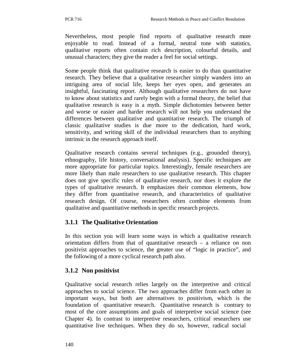Nevertheless, most people find reports of qualitative research more enjoyable to read. Instead of a formal, neutral tone with statistics, qualitative reports often contain rich description, colourful details, and unusual characters; they give the reader a feel for social settings.

Some people think that qualitative research is easier to do than quantitative research. They believe that a qualitative researcher simply wanders into an intriguing area of social life, keeps her eyes open, and generates an insightful, fascinating report. Although qualitative researchers do not have to know about statistics and rarely begin with a formal theory, the belief that qualitative research is easy is a myth. Simple dichotomies between better and worse or easier and harder research will not help you understand the differences between qualitative and quantitative research. The triumph of classic qualitative studies is due more to the dedication, hard work, sensitivity, and writing skill of the individual researchers than to anything intrinsic in the research approach itself.

Qualitative research contains several techniques (e.g., grounded theory), ethnography, life history, conversational analysis). Specific techniques are more appropriate for particular topics. Interestingly, female researchers are more likely than male researchers to use qualitative research. This chapter does not give specific rules of qualitative research, nor does it explore the types of qualitative research. It emphasizes their common elements, how they differ from quantitative research, and characteristics of qualitative research design. Of course, researchers often combine elements from qualitative and quantitative methods in specific research projects.

# **3.1.1 The Qualitative Orientation**

In this section you will learn some ways in which a qualitative research orientation differs from that of quantitative research – a reliance on non positivist approaches to science, the greater use of "logic in practice", and the following of a more cyclical research path also.

## **3.1.2 Non positivist**

Qualitative social research relies largely on the interpretive and critical approaches to social science. The two approaches differ from each other in important ways, but both are alternatives to positivism, which is the foundation of quantitative research. Quantitative research is contrary to most of the core assumptions and goals of interpretive social science (see Chapter 4). In contrast to interpretive researchers, critical researchers use quantitative live techniques. When they do so, however, radical social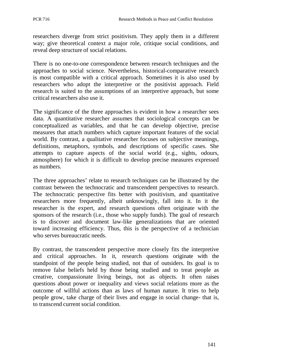researchers diverge from strict positivism. They apply them in a different way; give theoretical context a major role, critique social conditions, and reveal deep structure of social relations.

There is no one-to-one correspondence between research techniques and the approaches to social science. Nevertheless, historical-comparative research is most compatible with a critical approach. Sometimes it is also used by researchers who adopt the interpretive or the positivist approach. Field research is suited to the assumptions of an interpretive approach, but some critical researchers also use it.

The significance of the three approaches is evident in how a researcher sees data. A quantitative researcher assumes that sociological concepts can be conceptualized as variables, and that he can develop objective, precise measures that attach numbers which capture important features of the social world. By contrast, a qualitative researcher focuses on subjective meanings, definitions, metaphors, symbols, and descriptions of specific cases. She attempts to capture aspects of the social world (e.g., sights, odours, atmosphere) for which it is difficult to develop precise measures expressed as numbers.

The three approaches' relate to research techniques can be illustrated by the contrast between the technocratic and transcendent perspectives to research. The technocratic perspective fits better with positivism, and quantitative researchers more frequently, albeit unknowingly, fall into it. In it the researcher is the expert, and research questions often originate with the sponsors of the research (i.e., those who supply funds). The goal of research is to discover and document law-like generalizations that are oriented toward increasing efficiency. Thus, this is the perspective of a technician who serves bureaucratic needs.

By contrast, the transcendent perspective more closely fits the interpretive and critical approaches. In it, research questions originate with the standpoint of the people being studied, not that of outsiders. Its goal is to remove false beliefs held by those being studied and to treat people as creative, compassionate living beings, not as objects. It often raises questions about power or inequality and views social relations more as the outcome of willful actions than as laws of human nature. It tries to help people grow, take charge of their lives and engage in social change- that is, to transcend current social condition.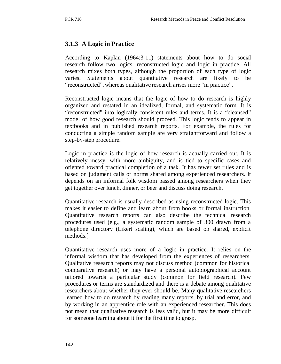# **3.1.3 A Logic in Practice**

According to Kaplan (1964:3-11) statements about how to do social research follow two logics: reconstructed logic and logic in practice. All research mixes both types, although the proportion of each type of logic varies. Statements about quantitative research are likely to be "reconstructed", whereas qualitative research arises more "in practice".

Reconstructed logic means that the logic of how to do research is highly organized and restated in an idealized, formal, and systematic form. It is "reconstructed" into logically consistent rules and terms. It is a "cleansed" model of how good research should proceed. This logic tends to appear in textbooks and in published research reports. For example, the rules for conducting a simple random sample are very straightforward and follow a step-by-step procedure.

Logic in practice is the logic of how research is actually carried out. It is relatively messy, with more ambiguity, and is tied to specific cases and oriented toward practical completion of a task. It has fewer set rules and is based on judgment calls or norms shared among experienced researchers. It depends on an informal folk wisdom passed among researchers when they get together over lunch, dinner, or beer and discuss doing research.

Quantitative research is usually described as using reconstructed logic. This makes it easier to define and learn about from books or formal instruction. Quantitative research reports can also describe the technical research procedures used (e.g., a systematic random sample of 300 drawn from a telephone directory (Likert scaling), which are based on shared, explicit methods.]

Quantitative research uses more of a logic in practice. It relies on the informal wisdom that has developed from the experiences of researchers. Qualitative research reports may not discuss method (common for historical comparative research) or may have a personal autobiographical account tailored towards a particular study (common for field research). Few procedures or terms are standardized and there is a debate among qualitative researchers about whether they ever should be. Many qualitative researchers learned how to do research by reading many reports, by trial and error, and by working in an apprentice role with an experienced researcher. This does not mean that qualitative research is less valid, but it may be more difficult for someone learning about it for the first time to grasp.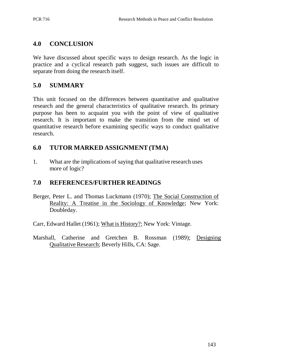### **4.0 CONCLUSION**

We have discussed about specific ways to design research. As the logic in practice and a cyclical research path suggest, such issues are difficult to separate from doing the research itself.

## **5.0 SUMMARY**

This unit focused on the differences between quantitative and qualitative research and the general characteristics of qualitative research. Its primary purpose has been to acquaint you with the point of view of qualitative research. It is important to make the transition from the mind set of quantitative research before examining specific ways to conduct qualitative research.

### **6.0 TUTOR MARKED ASSIGNMENT(TMA)**

1. What are the implications of saying that qualitative research uses more of logic?

### **7.0 REFERENCES/FURTHER READINGS**

Berger, Peter L. and Thomas Luckmann (1970); The Social Construction of Reality: A Treatise in the Sociology of Knowledge; New York: Doubleday.

Carr, Edward Hallet (1961); What is History?; New York: Vintage.

Marshall, Catherine and Gretchen B. Rossman (1989); Designing Qualitative Research; Beverly Hills, CA: Sage.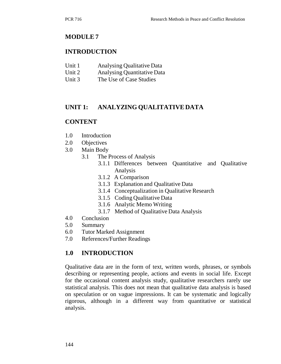## **MODULE 7**

## **INTRODUCTION**

- Unit 1 Analysing Qualitative Data
- Unit 2 Analysing Quantitative Data
- Unit 3 The Use of Case Studies

## **UNIT 1: ANALYZING QUALITATIVE DATA**

## **CONTENT**

- 1.0 Introduction
- 2.0 Objectives
- 3.0 Main Body
	- 3.1 The Process of Analysis
		- 3.1.1 Differences between Quantitative and Qualitative Analysis
		- 3.1.2 A Comparison
		- 3.1.3 Explanation and Qualitative Data
		- 3.1.4 Conceptualization in Qualitative Research
		- 3.1.5 Coding Qualitative Data
		- 3.1.6 Analytic Memo Writing
		- 3.1.7 Method of Qualitative Data Analysis
- 4.0 Conclusion
- 5.0 Summary
- 6.0 Tutor Marked Assignment
- 7.0 References/Further Readings

# **1.0 INTRODUCTION**

Qualitative data are in the form of text, written words, phrases, or symbols describing or representing people, actions and events in social life. Except for the occasional content analysis study, qualitative researchers rarely use statistical analysis. This does not mean that qualitative data analysis is based on speculation or on vague impressions. It can be systematic and logically rigorous, although in a different way from quantitative or statistical analysis.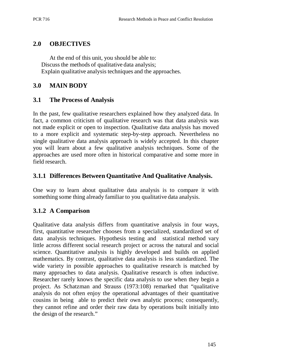### **2.0 OBJECTIVES**

At the end of this unit, you should be able to: Discuss the methods of qualitative data analysis; Explain qualitative analysis techniques and the approaches.

### **3.0 MAIN BODY**

#### **3.1 The Process of Analysis**

In the past, few qualitative researchers explained how they analyzed data. In fact, a common criticism of qualitative research was that data analysis was not made explicit or open to inspection. Qualitative data analysis has moved to a more explicit and systematic step-by-step approach. Nevertheless no single qualitative data analysis approach is widely accepted. In this chapter you will learn about a few qualitative analysis techniques. Some of the approaches are used more often in historical comparative and some more in field research.

### **3.1.1 Differences Between Quantitative And Qualitative Analysis.**

One way to learn about qualitative data analysis is to compare it with something some thing already familiar to you qualitative data analysis.

## **3.1.2 A Comparison**

Qualitative data analysis differs from quantitative analysis in four ways, first, quantitative researcher chooses from a specialized, standardized set of data analysis techniques. Hypothesis testing and statistical method vary little across different social research project or across the natural and social science. Quantitative analysis is highly developed and builds on applied mathematics. By contrast, qualitative data analysis is less standardized. The wide variety in possible approaches to qualitative research is matched by many approaches to data analysis. Qualitative research is often inductive. Researcher rarely knows the specific data analysis to use when they begin a project. As Schatzman and Strauss (1973:108) remarked that "qualitative analysis do not often enjoy the operational advantages of their quantitative cousins in being able to predict their own analytic process; consequently, they cannot refine and order their raw data by operations built initially into the design of the research."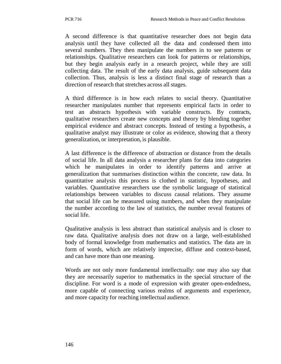A second difference is that quantitative researcher does not begin data analysis until they have collected all the data and condensed them into several numbers. They then manipulate the numbers in to see patterns or relationships. Qualitative researchers can look for patterns or relationships, but they begin analysis early in a research project, while they are still collecting data. The result of the early data analysis, guide subsequent data collection. Thus, analysis is less a distinct final stage of research than a direction of research that stretches across all stages.

A third difference is in how each relates to social theory. Quantitative researcher manipulates number that represents empirical facts in order to test an abstracts hypothesis with variable constructs. By contracts, qualitative researchers create new concepts and theory by blending together empirical evidence and abstract concepts. Instead of testing a hypothesis, a qualitative analyst may illustrate or color as evidence, showing that a theory generalization, or interpretation, is plausible.

A last difference is the difference of abstraction or distance from the details of social life. In all data analysis a researcher plans for data into categories which he manipulates in order to identify patterns and arrive at generalization that summarises distinction within the concrete, raw data. In quantitative analysis this process is clothed in statistic, hypotheses, and variables. Quantitative researchers use the symbolic language of statistical relationships between variables to discuss causal relations. They assume that social life can be measured using numbers, and when they manipulate the number according to the law of statistics, the number reveal features of social life.

Qualitative analysis is less abstract than statistical analysis and is closer to raw data. Qualitative analysis does not draw on a large, well-established body of formal knowledge from mathematics and statistics. The data are in form of words, which are relatively imprecise, diffuse and context-based, and can have more than one meaning.

Words are not only more fundamental intellectually: one may also say that they are necessarily superior to mathematics in the special structure of the discipline. For word is a mode of expression with greater open-endedness, more capable of connecting various realms of arguments and experience, and more capacity for reaching intellectual audience.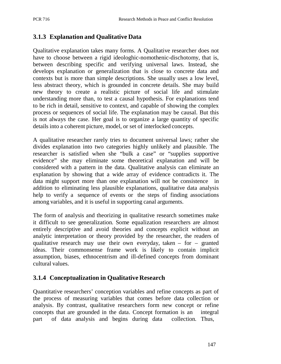### **3.1.3 Explanation and Qualitative Data**

Qualitative explanation takes many forms. A Qualitative researcher does not have to choose between a rigid ideologhic-nomothenic-dischotomy, that is, between describing specific and verifying universal laws. Instead, she develops explanation or generalization that is close to concrete data and contexts but is more than simple descriptions. She usually uses a low level, less abstract theory, which is grounded in concrete details. She may build new theory to create a realistic picture of social life and stimulate understanding more than, to test a causal hypothesis. For explanations tend to be rich in detail, sensitive to context, and capable of showing the complex process or sequences of social life. The explanation may be causal. But this is not always the case. Her goal is to organize a large quantity of specific details into a coherent picture, model, or set of interlocked concepts.

A qualitative researcher rarely tries to document universal laws; rather she divides explanation into two categories highly unlikely and plausible. The researcher is satisfied when she "bulk a case" or "supplies supportive evidence" she may eliminate some theoretical explanation and will be considered with a pattern in the data. Qualitative analysis can eliminate an explanation by showing that a wide array of evidence contradicts it. The data might support more than one explanation will not be consistence in addition to eliminating less plausible explanations, qualitative data analysis help to verify a sequence of events or the steps of finding associations among variables, and it is useful in supporting canal arguments.

The form of analysis and theorizing in qualitative research sometimes make it difficult to see generalization. Some equalization researchers are almost entirely descriptive and avoid theories and concepts explicit without an analytic interpretation or theory provided by the researcher, the readers of qualitative research may use their own everyday, taken – for – granted ideas. Their commonsense frame work is likely to contain implicit assumption, biases, ethnocentrism and ill-defined concepts from dominant cultural values.

## **3.1.4 Conceptualization in Qualitative Research**

Quantitative researchers' conception variables and refine concepts as part of the process of measuring variables that comes before data collection or analysis. By contrast, qualitative researchers form new concept or refine concepts that are grounded in the data. Concept formation is an integral part of data analysis and begins during data collection. Thus,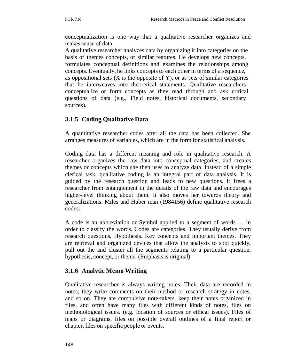conceptualization is one way that a qualitative researcher organizes and makes sense of data.

A qualitative researcher analyzes data by organizing it into categories on the basis of themes concepts, or similar features. He develops new concepts, formulates conceptual definitions and examines the relationships among concepts. Eventually, he links concepts to each other in terms of a sequence, as oppositional sets  $(X$  is the opposite of  $Y$ ), or as sets of similar categories that he interweaves into theoretical statements. Qualitative researchers conceptualize or form concepts as they read through and ask critical questions of data (e.g., Field notes, historical documents, secondary sources).

## **3.1.5 Coding Qualitative Data**

A quantitative researcher codes after all the data has been collected. She arranges measures of variables, which are in the form for statistical analysis.

Coding data has a different meaning and role in qualitative research. A researcher organizes the raw data into conceptual categories, and creates themes or concepts which she then uses to analyze data. Instead of a simple clerical task, qualitative coding is an integral part of data analysis. It is guided by the research question and leads to new questions. It frees a researcher from entanglement in the details of the raw data and encourages higher-level thinking about them. It also moves her towards theory and generalizations. Miles and Huber man (1984156) define qualitative research codes:

A code is an abbreviation or Symbol applied to a segment of words … in order to classify the words. Codes are categories. They usually derive from research questions. Hypothesis. Key concepts and important themes. They are retrieval and organized devices that allow the analysis to spot quickly, pull out the and cluster all the segments relating to a particular question, hypothesis, concept, or theme. (Emphasis is original)

## **3.1.6 Analytic Memo Writing**

Qualitative researcher is always writing notes. Their data are recorded in notes; they write comments on their method or research strategy in notes, and so on. They are compulsive note-takers, keep their notes organized in files, and often have many files with different kinds of notes, files on methodological issues. (e.g. location of sources or ethical issues). Files of maps or diagrams, files on possible overall outlines of a final report or chapter, files on specific people or events.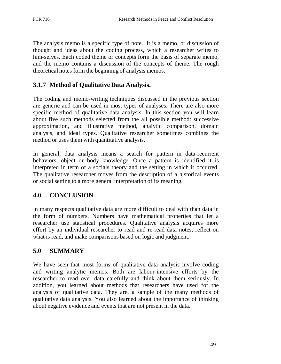The analysis memo is a specific type of note. It is a memo, or discussion of thought and ideas about the coding process, which a researcher writes to him-selves. Each coded theme or concepts form the basis of separate memo, and the memo contains a discussion of the concepts of theme. The rough theoretical notes form the beginning of analysis memos.

### **3.1.7 Method of Qualitative Data Analysis.**

The coding and memo-writing techniques discussed in the previous section are generic and can be used in most types of analyses. There are also more specific method of qualitative data analysis. In this section you will learn about five such methods selected from the all possible method: successive approximation, and illustrative method, analytic comparison, domain analysis, and ideal types. Qualitative researcher sometimes combines the method or uses them with quantitative analysis.

In general, data analysis means a search for pattern in data-recurrent behaviors, object or body knowledge. Once a pattern is identified it is interpreted in term of a socials theory and the setting in which it occurred. The qualitative researcher moves from the description of a historical events or social setting to a more general interpretation of its meaning.

## **4.0 CONCLUSION**

In many respects qualitative data are more difficult to deal with than data in the form of numbers. Numbers have mathematical properties that let a researcher use statistical procedures. Qualitative analysis acquires more effort by an individual researcher to read and re-read data notes, reflect on what is read, and make comparisons based on logic and judgment.

### **5.0 SUMMARY**

We have seen that most forms of qualitative data analysis involve coding and writing analytic memos. Both are labour-intensive efforts by the researcher to read over data carefully and think about them seriously. In addition, you learned about methods that researchers have used for the analysis of qualitative data. They are, a sample of the many methods of qualitative data analysis. You also learned about the importance of thinking about negative evidence and events that are not present in the data.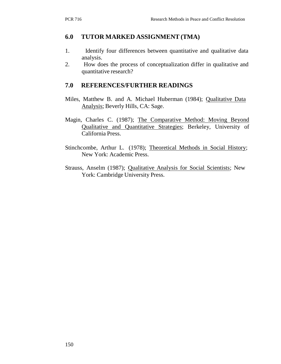## **6.0 TUTOR MARKED ASSIGNMENT (TMA)**

- 1. Identify four differences between quantitative and qualitative data analysis.
- 2. How does the process of conceptualization differ in qualitative and quantitative research?

## **7.0 REFERENCES/FURTHER READINGS**

- Miles, Matthew B. and A. Michael Huberman (1984); Qualitative Data Analysis; Beverly Hills, CA: Sage.
- Magin, Charles C. (1987); The Comparative Method: Moving Beyond Qualitative and Quantitative Strategies; Berkeley, University of California Press.
- Stinchcombe, Arthur L. (1978); Theoretical Methods in Social History; New York: Academic Press.
- Strauss, Anselm (1987); Qualitative Analysis for Social Scientists; New York: Cambridge University Press.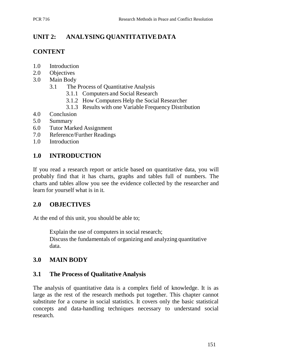# **UNIT 2: ANALYSING QUANTITATIVE DATA**

# **CONTENT**

- 1.0 Introduction
- 2.0 Objectives
- 3.0 Main Body
	- 3.1 The Process of Quantitative Analysis
		- 3.1.1 Computers and Social Research
		- 3.1.2 How Computers Help the Social Researcher
		- 3.1.3 Results with one Variable Frequency Distribution
- 4.0 Conclusion
- 5.0 Summary
- 6.0 Tutor Marked Assignment
- 7.0 Reference/Further Readings
- 1.0 Introduction

# **1.0 INTRODUCTION**

If you read a research report or article based on quantitative data, you will probably find that it has charts, graphs and tables full of numbers. The charts and tables allow you see the evidence collected by the researcher and learn for yourself what is in it.

# **2.0 OBJECTIVES**

At the end of this unit, you should be able to;

Explain the use of computers in social research; Discuss the fundamentals of organizing and analyzing quantitative data.

# **3.0 MAIN BODY**

# **3.1 The Process of Qualitative Analysis**

The analysis of quantitative data is a complex field of knowledge. It is as large as the rest of the research methods put together. This chapter cannot substitute for a course in social statistics. It covers only the basic statistical concepts and data-handling techniques necessary to understand social research.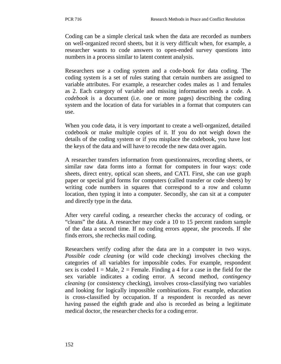Coding can be a simple clerical task when the data are recorded as numbers on well-organized record sheets, but it is very difficult when, for example, a researcher wants to code answers to open-ended survey questions into numbers in a process similar to latent content analysis.

Researchers use a coding system and a code-book for data coding. The coding system is a set of rules stating that certain numbers are assigned to variable attributes. For example, a researcher codes males as 1 and females as 2. Each category of variable and missing information needs a code. A *codebook* is a document (i.e. one or more pages) describing the coding system and the location of data for variables in a format that computers can use.

When you code data, it is very important to create a well-organized, detailed codebook or make multiple copies of it. If you do not weigh down the details of the coding system or if you misplace the codebook, you have lost the keys of the data and will have to recode the new data over again.

A researcher transfers information from questionnaires, recording sheets, or similar raw data forms into a format for computers in four ways: code sheets, direct entry, optical scan sheets, and CATI. First, she can use graph paper or special grid forms for computers (called transfer or code sheets) by writing code numbers in squares that correspond to a row and column location, then typing it into a computer. Secondly, she can sit at a computer and directly type in the data.

After very careful coding, a researcher checks the accuracy of coding, or "cleans" the data. A researcher may code a 10 to 15 percent random sample of the data a second time. If no coding errors appear, she proceeds. If she finds errors, she rechecks mail coding.

Researchers verify coding after the data are in a computer in two ways. *Possible code cleaning* (or wild code checking) involves checking the categories of all variables for impossible codes. For example, respondent sex is coded I = Male,  $2$  = Female. Finding a 4 for a case in the field for the sex variable indicates a coding error. A second method, *contingency cleaning* (or consistency checking), involves cross-classifying two variables and looking for logically impossible combinations. For example, education is cross-classified by occupation. If a respondent is recorded as never having passed the eighth grade and also is recorded as being a legitimate medical doctor, the researcher checks for a coding error.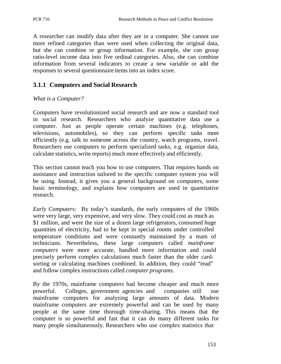A researcher can modify data after they are in a computer. She cannot use more refined categories than were used when collecting the original data, but she can combine or group information. For example, she can group ratio-level income data into five ordinal categories. Also, she can combine information from several indicators to create a new variable or add the responses to several questionnaire items into an index score.

### **3.1.1 Computers and Social Research**

#### *What is a Computer?*

Computers have revolutionized social research and are now a standard tool in social research. Researchers who analyze quantitative data use a computer. Just as people operate certain machines (e.g. telephones, televisions, automobiles), so they can perform specific tasks more efficiently (e.g. talk to someone across the country, watch programs, travel. Researchers use computers to perform specialized tasks, e.g. organize data, calculate statistics, write reports) much more effectively and efficiently.

This section cannot teach you how to use computers. That requires hands on assistance and instruction tailored to the specific computer system you will be using. Instead, it gives you a general background on computers, some basic terminology, and explains how computers are used in quantitative research.

*Early Computers:* By today's standards, the early computers of the 1960s were very large, very expensive, and very slow. They could cost as much as \$1 million, and were the size of a dozen large refrigerators, consumed huge quantities of electricity, had to be kept in special rooms under controlled temperature conditions and were constantly maintained by a team of technicians. Nevertheless, these large computers called *mainframe computers* were more accurate, handled more information and could precisely perform complex calculations much faster than the older cardsorting or calculating machines combined. In addition, they could "read" and follow complex instructions called *computer programs.*

By the 1970s, mainframe computers had become cheaper and much more powerful. Colleges, government agencies and companies still use mainframe computers for analyzing large amounts of data. Modern mainframe computers are extremely powerful and can be used by many people at the same time thorough time-sharing. This means that the computer is so powerful and fast that it can do many different tasks for many people simultaneously. Researchers who use complex statistics that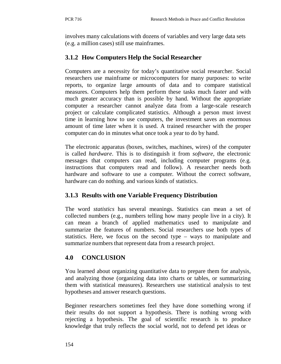involves many calculations with dozens of variables and very large data sets (e.g. a million cases) still use mainframes.

## **3.1.2 How Computers Help the Social Researcher**

Computers are a necessity for today's quantitative social researcher. Social researchers use mainframe or microcomputers for many purposes: to write reports, to organize large amounts of data and to compare statistical measures. Computers help them perform these tasks much faster and with much greater accuracy than is possible by hand. Without the appropriate computer a researcher cannot analyze data from a large-scale research project or calculate complicated statistics. Although a person must invest time in learning how to use computers, the investment saves an enormous amount of time later when it is used. A trained researcher with the proper computer can do in minutes what once took a year to do by hand.

The electronic apparatus (boxes, switches, machines, wires) of the computer is called *hardware*. This is to distinguish it from *software*, the electronic messages that computers can read, including computer programs (e.g. instructions that computers read and follow). A researcher needs both hardware and software to use a computer. Without the correct software, hardware can do nothing. and various kinds of statistics.

## **3.1.3 Results with one Variable Frequency Distribution**

The word *statistics* has several meanings. Statistics can mean a set of collected numbers (e.g., numbers telling how many people live in a city). It can mean a branch of applied mathematics used to manipulate and summarize the features of numbers. Social researchers use both types of statistics. Here, we focus on the second type – ways to manipulate and summarize numbers that represent data from a research project.

## **4.0 CONCLUSION**

You learned about organizing quantitative data to prepare them for analysis, and analyzing those (organizing data into charts or tables, or summarizing them with statistical measures). Researchers use statistical analysis to test hypotheses and answer research questions.

Beginner researchers sometimes feel they have done something wrong if their results do not support a hypothesis. There is nothing wrong with rejecting a hypothesis. The goal of scientific research is to produce knowledge that truly reflects the social world, not to defend pet ideas or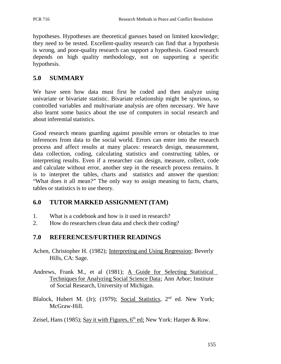hypotheses. Hypotheses are theoretical guesses based on limited knowledge; they need to be tested. Excellent-quality research can find that a hypothesis is wrong, and poor-quality research can support a hypothesis. Good research depends on high quality methodology, not on supporting a specific hypothesis.

# **5.0 SUMMARY**

We have seen how data must first be coded and then analyze using univariate or bivariate statistic. Bivariate relationship might be spurious, so controlled variables and multivariate analysis are often necessary. We have also learnt some basics about the use of computers in social research and about inferential statistics.

Good research means guarding against possible errors or obstacles to true inferences from data to the social world. Errors can enter into the research process and affect results at many places: research design, measurement, data collection, coding, calculating statistics and constructing tables, or interpreting results. Even if a researcher can design, measure, collect, code and calculate without error, another step in the research process remains. It is to interpret the tables, charts and statistics and answer the question: "What does it all mean?" The only way to assign meaning to facts, charts, tables or statistics is to use theory.

# **6.0 TUTOR MARKED ASSIGNMENT(TAM)**

- 1. What is a codebook and how is it used in research?
- 2. How do researchers clean data and check their coding?

# **7.0 REFERENCES/FURTHER READINGS**

- Achen, Christopher H. (1982); Interpreting and Using Regression; Beverly Hills, CA: Sage.
- Andrews, Frank M., et al (1981); A Guide for Selecting Statistical Techniques for Analyzing Social Science Data; Ann Arbor; Institute of Social Research, University of Michigan.
- Blalock, Hubert M. (Jr); (1979); Social Statistics,  $2<sup>nd</sup>$  ed. New York; McGraw-Hill.

Zeisel, Hans (1985); Say it with Figures,  $6<sup>th</sup>$  ed; New York: Harper & Row.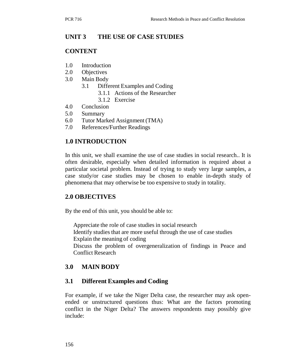# **UNIT 3 THE USE OF CASE STUDIES**

## **CONTENT**

- 1.0 Introduction
- 2.0 Objectives
- 3.0 Main Body
	- 3.1 Different Examples and Coding
		- 3.1.1 Actions of the Researcher
		- 3.1.2 Exercise
- 4.0 Conclusion
- 5.0 Summary
- 6.0 Tutor Marked Assignment (TMA)
- 7.0 References/Further Readings

# **1.0 INTRODUCTION**

In this unit, we shall examine the use of case studies in social research.. It is often desirable, especially when detailed information is required about a particular societal problem. Instead of trying to study very large samples, a case study/or case studies may be chosen to enable in-depth study of phenomena that may otherwise be too expensive to study in totality.

## **2.0 OBJECTIVES**

By the end of this unit, you should be able to:

Appreciate the role of case studies in social research Identify studies that are more useful through the use of case studies Explain the meaning of coding Discuss the problem of overgeneralization of findings in Peace and Conflict Research

## **3.0 MAIN BODY**

## **3.1 Different Examples and Coding**

For example, if we take the Niger Delta case, the researcher may ask openended or unstructured questions thus: What are the factors promoting conflict in the Niger Delta? The answers respondents may possibly give include: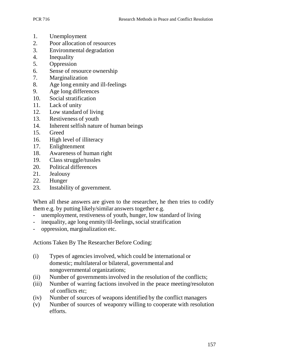- 1. Unemployment
- 2. Poor allocation of resources
- 3. Environmental degradation
- 4. Inequality
- 5. Oppression
- 6. Sense of resource ownership
- 7. Marginalization
- 8. Age long enmity and ill-feelings
- 9. Age long differences
- 10. Social stratification
- 11. Lack of unity
- 12. Low standard of living
- 13. Restiveness of youth
- 14. Inherent selfish nature of human beings
- 15. Greed
- 16. High level of illiteracy
- 17. Enlightenment
- 18. Awareness of human right
- 19. Class struggle/tussles
- 20. Political differences
- 21. Jealousy
- 22. Hunger
- 23. Instability of government.

When all these answers are given to the researcher, he then tries to codify them e.g. by putting likely/similar answers together e.g.

- unemployment, restiveness of youth, hunger, low standard of living
- inequality, age long enmity/ill-feelings, social stratification
- oppression, marginalization etc.

Actions Taken By The Researcher Before Coding:

- (i) Types of agencies involved, which could be international or domestic; multilateral or bilateral, governmental and nongovernmental organizations;
- (ii) Number of governmentsinvolved in the resolution of the conflicts;
- (iii) Number of warring factions involved in the peace meeting/resoluton of conflicts etc;
- (iv) Number of sources of weapons identified by the conflict managers
- (v) Number of sources of weaponry willing to cooperate with resolution efforts.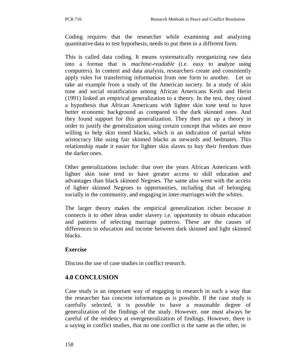Coding requires that the researcher while examining and analyzing quantitative data to test hypothesis, needs to put them in a different form.

This is called data coding. It means systematically reorganizing raw data into a format that is *machine-readable* (i.e. easy to analyze using computers). In content and data analysis, researchers create and consistently apply rules for transferring information from one form to another. Let us take an example from a study of the American society. In a study of skin tone and social stratification among African Americans Keith and Herin (1991) linked an empirical generalization to a theory. In the test, they raised a hypothesis that African Americans with lighter skin tone tend to have better economic background as compared to the dark skinned ones. And they found support for this generalization. They then put up a theory in order to justify the generalization using certain concept that whites are more willing to help skin toned blacks, which is an indication of partial white aristocracy like using fair skinned blacks as stewards and bedmates. This relationship made it easier for lighter skin slaves to buy their freedom than the darker ones.

Other generalizations include: that over the years African Americans with lighter skin tone tend to have greater access to skill education and advantages than black skinned Negroes. The same also went with the access of lighter skinned Negroes to opportunities, including that of belonging socially in the community, and engaging in inter-marriages with the whites.

The larger theory makes the empirical generalization richer because it connects it to other ideas under slavery i.e. opportunity to obtain education and patterns of selecting marriage patterns. These are the causes of differences in education and income between dark skinned and light skinned blacks.

#### **Exercise**

Discuss the use of case studies in conflict research.

## **4.0 CONCLUSION**

Case study is an important way of engaging in research in such a way that the researcher has concrete information as is possible. If the case study is carefully selected, it is possible to have a reasonable degree of generalization of the findings of the study. However, one must always be careful of the tendency at overgeneralization of findings. However, there is a saying in conflict studies, that no one conflict is the same as the other, in